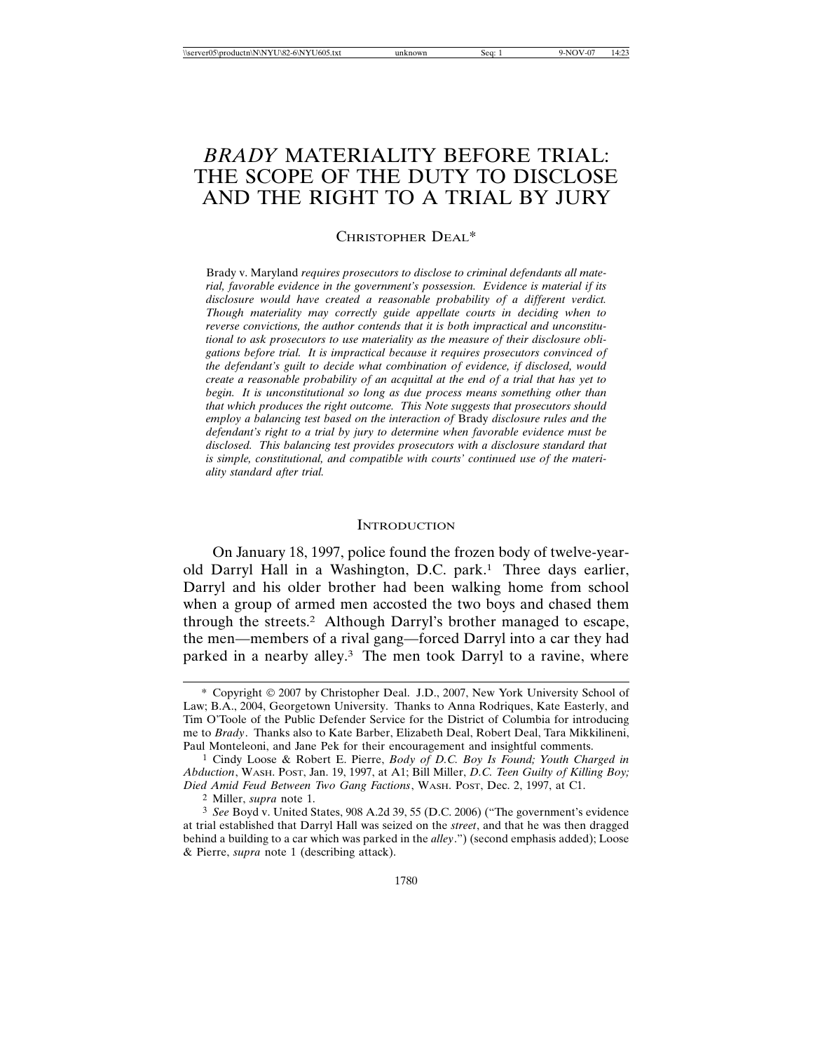# *BRADY* MATERIALITY BEFORE TRIAL: THE SCOPE OF THE DUTY TO DISCLOSE AND THE RIGHT TO A TRIAL BY JURY

## CHRISTOPHER DEAL\*

Brady v. Maryland *requires prosecutors to disclose to criminal defendants all material, favorable evidence in the government's possession. Evidence is material if its disclosure would have created a reasonable probability of a different verdict. Though materiality may correctly guide appellate courts in deciding when to reverse convictions, the author contends that it is both impractical and unconstitutional to ask prosecutors to use materiality as the measure of their disclosure obligations before trial. It is impractical because it requires prosecutors convinced of the defendant's guilt to decide what combination of evidence, if disclosed, would create a reasonable probability of an acquittal at the end of a trial that has yet to begin. It is unconstitutional so long as due process means something other than that which produces the right outcome. This Note suggests that prosecutors should employ a balancing test based on the interaction of* Brady *disclosure rules and the defendant's right to a trial by jury to determine when favorable evidence must be disclosed. This balancing test provides prosecutors with a disclosure standard that is simple, constitutional, and compatible with courts' continued use of the materiality standard after trial.*

#### **INTRODUCTION**

On January 18, 1997, police found the frozen body of twelve-yearold Darryl Hall in a Washington, D.C. park.1 Three days earlier, Darryl and his older brother had been walking home from school when a group of armed men accosted the two boys and chased them through the streets.2 Although Darryl's brother managed to escape, the men—members of a rival gang—forced Darryl into a car they had parked in a nearby alley.<sup>3</sup> The men took Darryl to a ravine, where

<sup>\*</sup> Copyright 2007 by Christopher Deal. J.D., 2007, New York University School of Law; B.A., 2004, Georgetown University. Thanks to Anna Rodriques, Kate Easterly, and Tim O'Toole of the Public Defender Service for the District of Columbia for introducing me to *Brady*. Thanks also to Kate Barber, Elizabeth Deal, Robert Deal, Tara Mikkilineni, Paul Monteleoni, and Jane Pek for their encouragement and insightful comments.

<sup>1</sup> Cindy Loose & Robert E. Pierre, *Body of D.C. Boy Is Found; Youth Charged in Abduction*, WASH. POST, Jan. 19, 1997, at A1; Bill Miller, *D.C. Teen Guilty of Killing Boy; Died Amid Feud Between Two Gang Factions*, WASH. POST, Dec. 2, 1997, at C1.

<sup>2</sup> Miller, *supra* note 1.

<sup>3</sup> *See* Boyd v. United States, 908 A.2d 39, 55 (D.C. 2006) ("The government's evidence at trial established that Darryl Hall was seized on the *street*, and that he was then dragged behind a building to a car which was parked in the *alley*.") (second emphasis added); Loose & Pierre, *supra* note 1 (describing attack).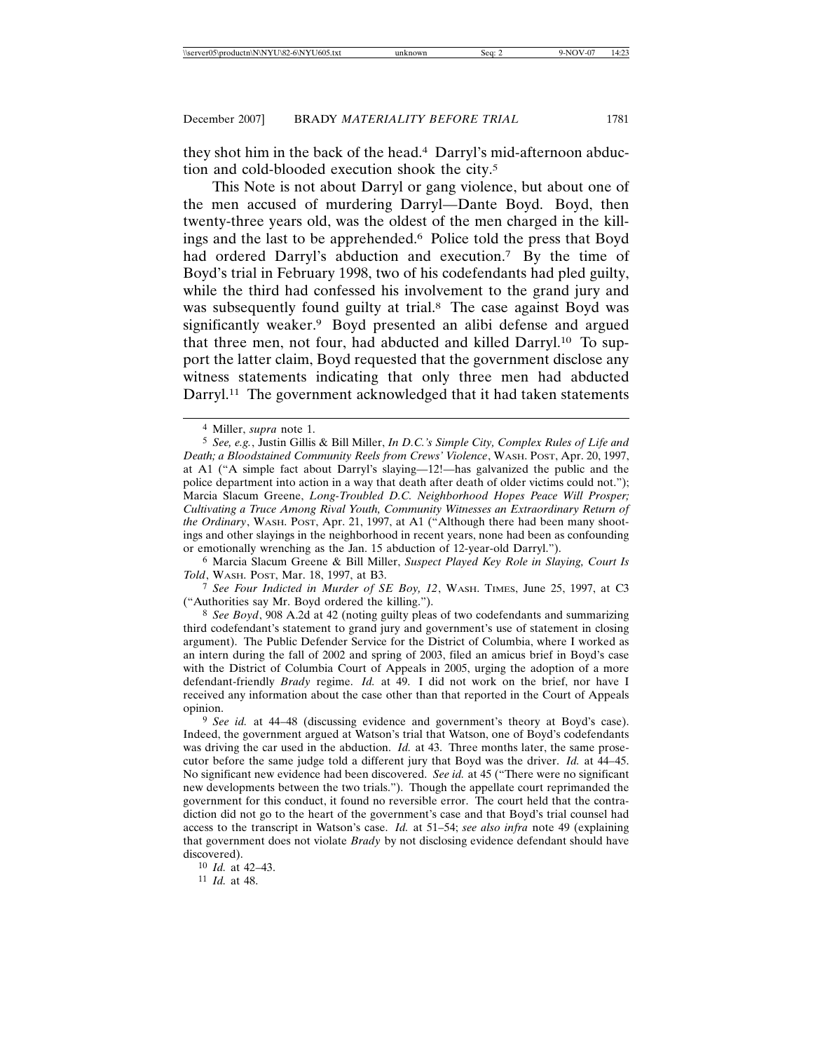they shot him in the back of the head.4 Darryl's mid-afternoon abduction and cold-blooded execution shook the city.5

This Note is not about Darryl or gang violence, but about one of the men accused of murdering Darryl—Dante Boyd. Boyd, then twenty-three years old, was the oldest of the men charged in the killings and the last to be apprehended.6 Police told the press that Boyd had ordered Darryl's abduction and execution.<sup>7</sup> By the time of Boyd's trial in February 1998, two of his codefendants had pled guilty, while the third had confessed his involvement to the grand jury and was subsequently found guilty at trial.8 The case against Boyd was significantly weaker.9 Boyd presented an alibi defense and argued that three men, not four, had abducted and killed Darryl.10 To support the latter claim, Boyd requested that the government disclose any witness statements indicating that only three men had abducted Darryl.<sup>11</sup> The government acknowledged that it had taken statements

6 Marcia Slacum Greene & Bill Miller, *Suspect Played Key Role in Slaying, Court Is Told*, WASH. POST, Mar. 18, 1997, at B3.

7 *See Four Indicted in Murder of SE Boy, 12*, WASH. TIMES, June 25, 1997, at C3 ("Authorities say Mr. Boyd ordered the killing.").

8 *See Boyd*, 908 A.2d at 42 (noting guilty pleas of two codefendants and summarizing third codefendant's statement to grand jury and government's use of statement in closing argument). The Public Defender Service for the District of Columbia, where I worked as an intern during the fall of 2002 and spring of 2003, filed an amicus brief in Boyd's case with the District of Columbia Court of Appeals in 2005, urging the adoption of a more defendant-friendly *Brady* regime. *Id.* at 49. I did not work on the brief, nor have I received any information about the case other than that reported in the Court of Appeals opinion.

11 *Id.* at 48.

<sup>4</sup> Miller, *supra* note 1.

<sup>5</sup> *See, e.g.*, Justin Gillis & Bill Miller, *In D.C.'s Simple City, Complex Rules of Life and Death; a Bloodstained Community Reels from Crews' Violence*, WASH. POST, Apr. 20, 1997, at A1 ("A simple fact about Darryl's slaying—12!—has galvanized the public and the police department into action in a way that death after death of older victims could not."); Marcia Slacum Greene, *Long-Troubled D.C. Neighborhood Hopes Peace Will Prosper; Cultivating a Truce Among Rival Youth, Community Witnesses an Extraordinary Return of the Ordinary*, WASH. POST, Apr. 21, 1997, at A1 ("Although there had been many shootings and other slayings in the neighborhood in recent years, none had been as confounding or emotionally wrenching as the Jan. 15 abduction of 12-year-old Darryl.").

<sup>9</sup> *See id.* at 44–48 (discussing evidence and government's theory at Boyd's case). Indeed, the government argued at Watson's trial that Watson, one of Boyd's codefendants was driving the car used in the abduction. *Id.* at 43. Three months later, the same prosecutor before the same judge told a different jury that Boyd was the driver. *Id.* at 44–45. No significant new evidence had been discovered. *See id.* at 45 ("There were no significant new developments between the two trials."). Though the appellate court reprimanded the government for this conduct, it found no reversible error. The court held that the contradiction did not go to the heart of the government's case and that Boyd's trial counsel had access to the transcript in Watson's case. *Id.* at 51–54; *see also infra* note 49 (explaining that government does not violate *Brady* by not disclosing evidence defendant should have discovered).

<sup>10</sup> *Id.* at 42–43.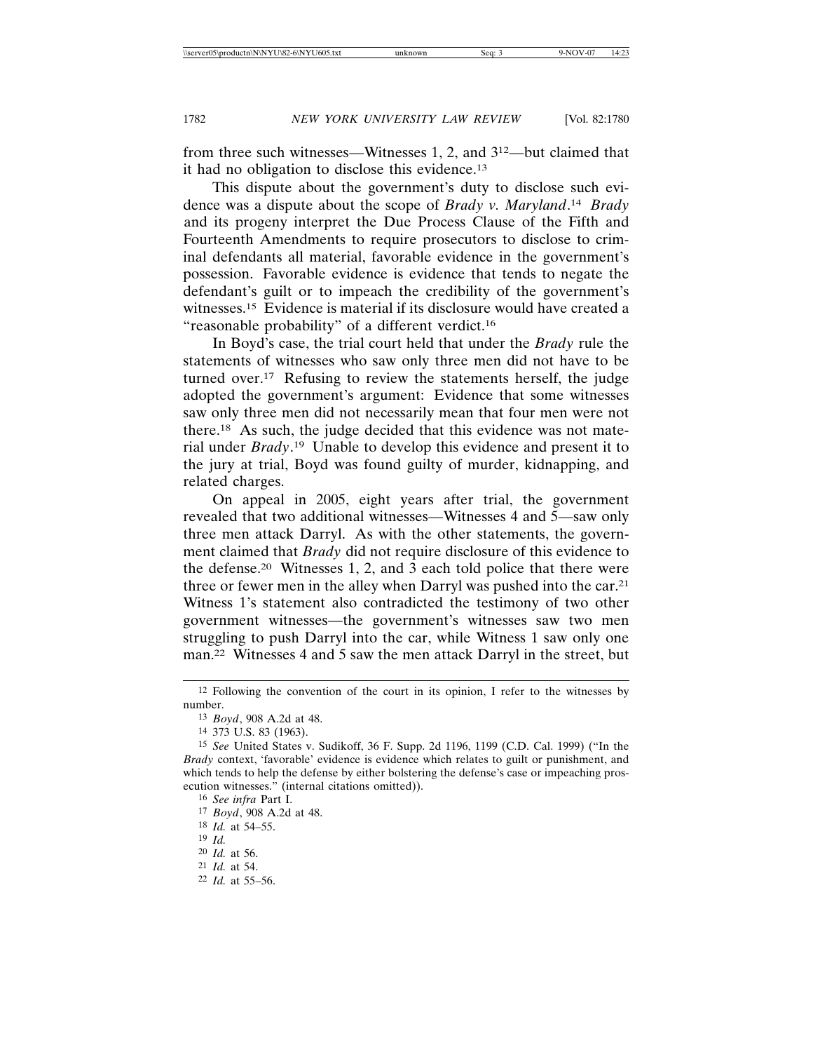from three such witnesses—Witnesses 1, 2, and 312—but claimed that it had no obligation to disclose this evidence.13

This dispute about the government's duty to disclose such evidence was a dispute about the scope of *Brady v. Maryland*. <sup>14</sup> *Brady* and its progeny interpret the Due Process Clause of the Fifth and Fourteenth Amendments to require prosecutors to disclose to criminal defendants all material, favorable evidence in the government's possession. Favorable evidence is evidence that tends to negate the defendant's guilt or to impeach the credibility of the government's witnesses.15 Evidence is material if its disclosure would have created a "reasonable probability" of a different verdict.16

In Boyd's case, the trial court held that under the *Brady* rule the statements of witnesses who saw only three men did not have to be turned over.17 Refusing to review the statements herself, the judge adopted the government's argument: Evidence that some witnesses saw only three men did not necessarily mean that four men were not there.18 As such, the judge decided that this evidence was not material under *Brady*. 19 Unable to develop this evidence and present it to the jury at trial, Boyd was found guilty of murder, kidnapping, and related charges.

On appeal in 2005, eight years after trial, the government revealed that two additional witnesses—Witnesses 4 and 5—saw only three men attack Darryl. As with the other statements, the government claimed that *Brady* did not require disclosure of this evidence to the defense.20 Witnesses 1, 2, and 3 each told police that there were three or fewer men in the alley when Darryl was pushed into the car.21 Witness 1's statement also contradicted the testimony of two other government witnesses—the government's witnesses saw two men struggling to push Darryl into the car, while Witness 1 saw only one man.22 Witnesses 4 and 5 saw the men attack Darryl in the street, but

<sup>12</sup> Following the convention of the court in its opinion, I refer to the witnesses by number.

<sup>13</sup> *Boyd*, 908 A.2d at 48.

<sup>14</sup> 373 U.S. 83 (1963).

<sup>15</sup> *See* United States v. Sudikoff, 36 F. Supp. 2d 1196, 1199 (C.D. Cal. 1999) ("In the *Brady* context, 'favorable' evidence is evidence which relates to guilt or punishment, and which tends to help the defense by either bolstering the defense's case or impeaching prosecution witnesses." (internal citations omitted)).

<sup>16</sup> *See infra* Part I.

<sup>17</sup> *Boyd*, 908 A.2d at 48. 18 *Id.* at 54–55.

<sup>19</sup> *Id.*

<sup>20</sup> *Id.* at 56. 21 *Id.* at 54.

<sup>22</sup> *Id.* at 55–56.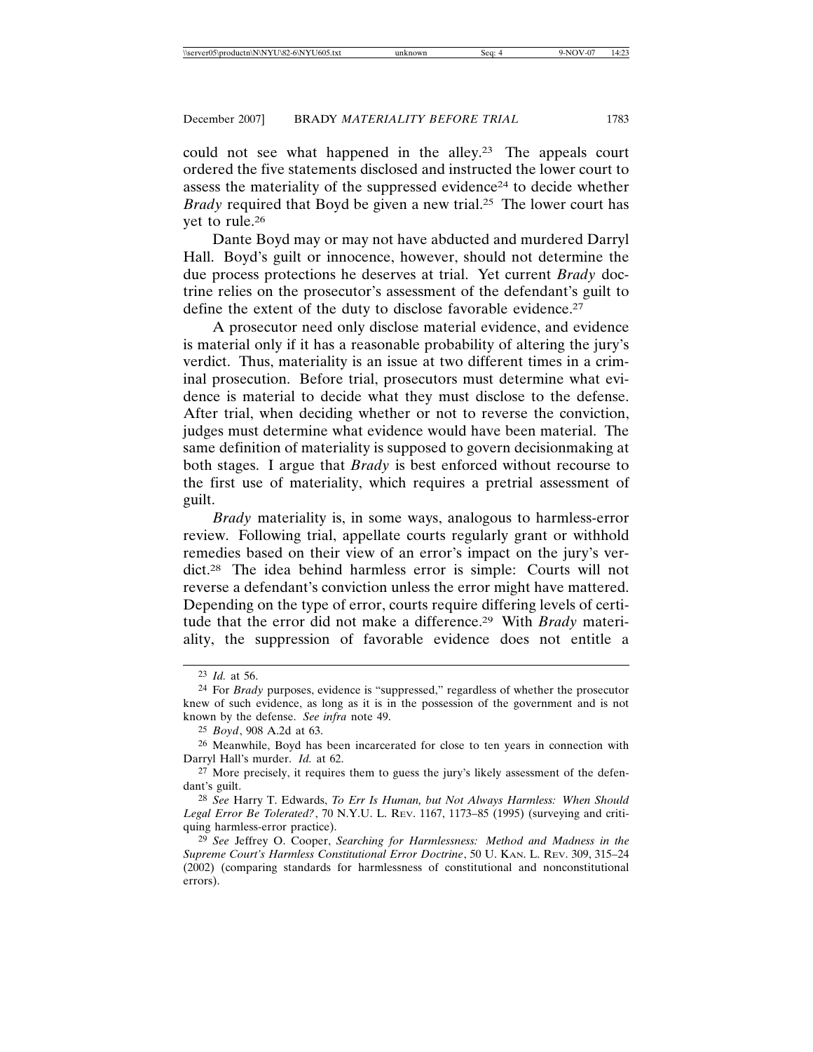could not see what happened in the alley.23 The appeals court ordered the five statements disclosed and instructed the lower court to assess the materiality of the suppressed evidence24 to decide whether *Brady* required that Boyd be given a new trial.25 The lower court has yet to rule.26

Dante Boyd may or may not have abducted and murdered Darryl Hall. Boyd's guilt or innocence, however, should not determine the due process protections he deserves at trial. Yet current *Brady* doctrine relies on the prosecutor's assessment of the defendant's guilt to define the extent of the duty to disclose favorable evidence.<sup>27</sup>

A prosecutor need only disclose material evidence, and evidence is material only if it has a reasonable probability of altering the jury's verdict. Thus, materiality is an issue at two different times in a criminal prosecution. Before trial, prosecutors must determine what evidence is material to decide what they must disclose to the defense. After trial, when deciding whether or not to reverse the conviction, judges must determine what evidence would have been material. The same definition of materiality is supposed to govern decisionmaking at both stages. I argue that *Brady* is best enforced without recourse to the first use of materiality, which requires a pretrial assessment of guilt.

*Brady* materiality is, in some ways, analogous to harmless-error review. Following trial, appellate courts regularly grant or withhold remedies based on their view of an error's impact on the jury's verdict.28 The idea behind harmless error is simple: Courts will not reverse a defendant's conviction unless the error might have mattered. Depending on the type of error, courts require differing levels of certitude that the error did not make a difference.29 With *Brady* materiality, the suppression of favorable evidence does not entitle a

<sup>23</sup> *Id.* at 56.

<sup>24</sup> For *Brady* purposes, evidence is "suppressed," regardless of whether the prosecutor knew of such evidence, as long as it is in the possession of the government and is not known by the defense. *See infra* note 49.

<sup>25</sup> *Boyd*, 908 A.2d at 63.

<sup>26</sup> Meanwhile, Boyd has been incarcerated for close to ten years in connection with Darryl Hall's murder. *Id.* at 62.

<sup>27</sup> More precisely, it requires them to guess the jury's likely assessment of the defendant's guilt.

<sup>28</sup> *See* Harry T. Edwards, *To Err Is Human, but Not Always Harmless: When Should Legal Error Be Tolerated?*, 70 N.Y.U. L. REV. 1167, 1173–85 (1995) (surveying and critiquing harmless-error practice).

<sup>29</sup> *See* Jeffrey O. Cooper, *Searching for Harmlessness: Method and Madness in the Supreme Court's Harmless Constitutional Error Doctrine*, 50 U. KAN. L. REV. 309, 315–24 (2002) (comparing standards for harmlessness of constitutional and nonconstitutional errors).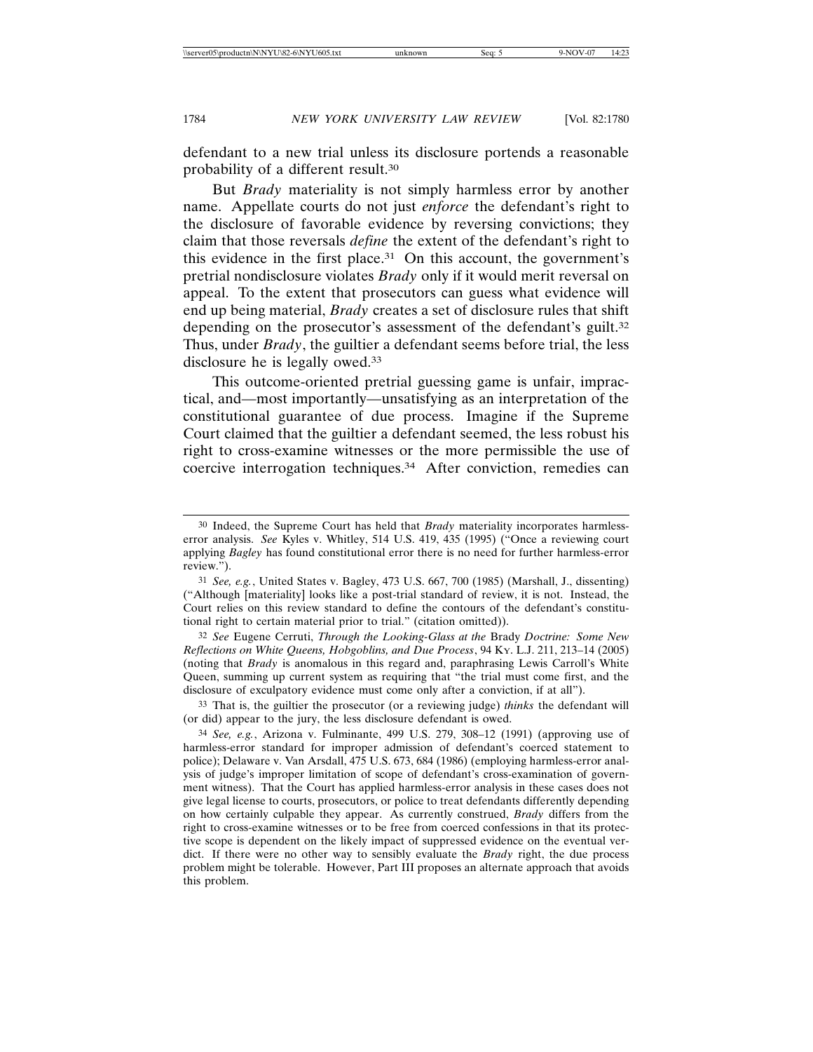defendant to a new trial unless its disclosure portends a reasonable probability of a different result.30

But *Brady* materiality is not simply harmless error by another name. Appellate courts do not just *enforce* the defendant's right to the disclosure of favorable evidence by reversing convictions; they claim that those reversals *define* the extent of the defendant's right to this evidence in the first place.31 On this account, the government's pretrial nondisclosure violates *Brady* only if it would merit reversal on appeal. To the extent that prosecutors can guess what evidence will end up being material, *Brady* creates a set of disclosure rules that shift depending on the prosecutor's assessment of the defendant's guilt.<sup>32</sup> Thus, under *Brady*, the guiltier a defendant seems before trial, the less disclosure he is legally owed.33

This outcome-oriented pretrial guessing game is unfair, impractical, and—most importantly—unsatisfying as an interpretation of the constitutional guarantee of due process. Imagine if the Supreme Court claimed that the guiltier a defendant seemed, the less robust his right to cross-examine witnesses or the more permissible the use of coercive interrogation techniques.34 After conviction, remedies can

32 *See* Eugene Cerruti, *Through the Looking-Glass at the* Brady *Doctrine: Some New Reflections on White Queens, Hobgoblins, and Due Process*, 94 KY. L.J. 211, 213–14 (2005) (noting that *Brady* is anomalous in this regard and, paraphrasing Lewis Carroll's White Queen, summing up current system as requiring that "the trial must come first, and the disclosure of exculpatory evidence must come only after a conviction, if at all").

33 That is, the guiltier the prosecutor (or a reviewing judge) *thinks* the defendant will (or did) appear to the jury, the less disclosure defendant is owed.

<sup>30</sup> Indeed, the Supreme Court has held that *Brady* materiality incorporates harmlesserror analysis. *See* Kyles v. Whitley, 514 U.S. 419, 435 (1995) ("Once a reviewing court applying *Bagley* has found constitutional error there is no need for further harmless-error review.").

<sup>31</sup> *See, e.g.*, United States v. Bagley, 473 U.S. 667, 700 (1985) (Marshall, J., dissenting) ("Although [materiality] looks like a post-trial standard of review, it is not. Instead, the Court relies on this review standard to define the contours of the defendant's constitutional right to certain material prior to trial." (citation omitted)).

<sup>34</sup> *See, e.g.*, Arizona v. Fulminante, 499 U.S. 279, 308–12 (1991) (approving use of harmless-error standard for improper admission of defendant's coerced statement to police); Delaware v. Van Arsdall, 475 U.S. 673, 684 (1986) (employing harmless-error analysis of judge's improper limitation of scope of defendant's cross-examination of government witness). That the Court has applied harmless-error analysis in these cases does not give legal license to courts, prosecutors, or police to treat defendants differently depending on how certainly culpable they appear. As currently construed, *Brady* differs from the right to cross-examine witnesses or to be free from coerced confessions in that its protective scope is dependent on the likely impact of suppressed evidence on the eventual verdict. If there were no other way to sensibly evaluate the *Brady* right, the due process problem might be tolerable. However, Part III proposes an alternate approach that avoids this problem.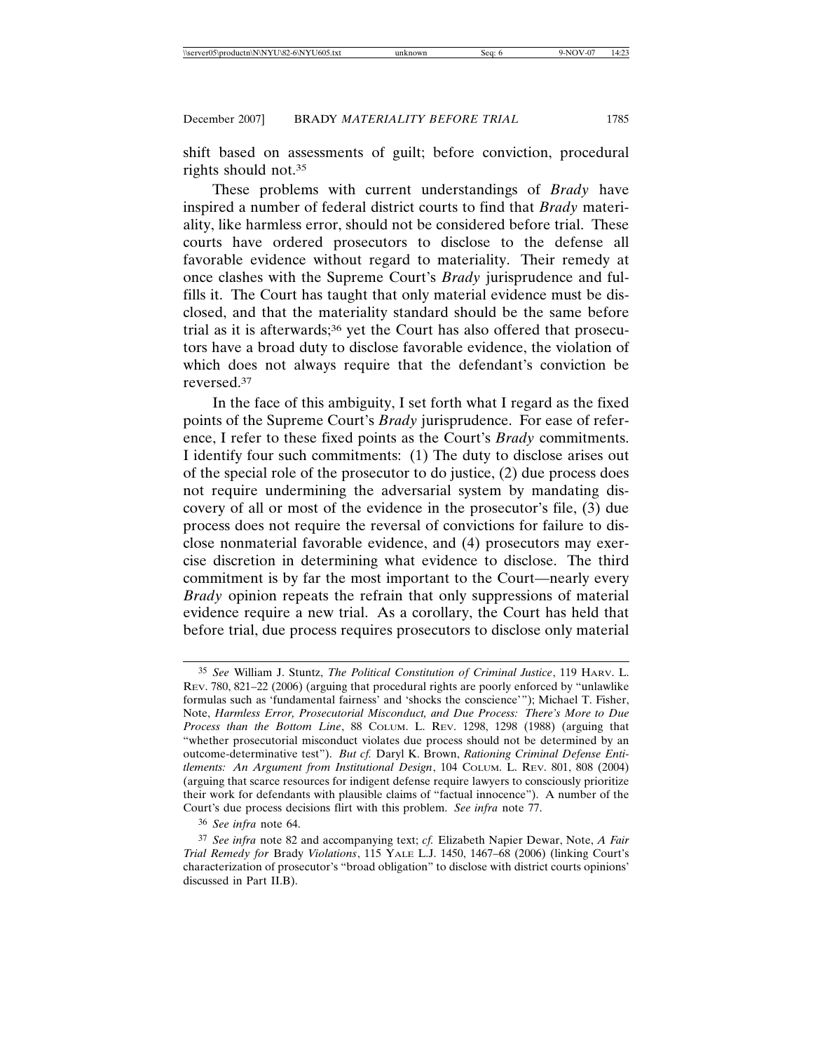shift based on assessments of guilt; before conviction, procedural rights should not.35

These problems with current understandings of *Brady* have inspired a number of federal district courts to find that *Brady* materiality, like harmless error, should not be considered before trial. These courts have ordered prosecutors to disclose to the defense all favorable evidence without regard to materiality. Their remedy at once clashes with the Supreme Court's *Brady* jurisprudence and fulfills it. The Court has taught that only material evidence must be disclosed, and that the materiality standard should be the same before trial as it is afterwards;36 yet the Court has also offered that prosecutors have a broad duty to disclose favorable evidence, the violation of which does not always require that the defendant's conviction be reversed.37

In the face of this ambiguity, I set forth what I regard as the fixed points of the Supreme Court's *Brady* jurisprudence. For ease of reference, I refer to these fixed points as the Court's *Brady* commitments. I identify four such commitments: (1) The duty to disclose arises out of the special role of the prosecutor to do justice, (2) due process does not require undermining the adversarial system by mandating discovery of all or most of the evidence in the prosecutor's file, (3) due process does not require the reversal of convictions for failure to disclose nonmaterial favorable evidence, and (4) prosecutors may exercise discretion in determining what evidence to disclose. The third commitment is by far the most important to the Court—nearly every *Brady* opinion repeats the refrain that only suppressions of material evidence require a new trial. As a corollary, the Court has held that before trial, due process requires prosecutors to disclose only material

<sup>35</sup> *See* William J. Stuntz, *The Political Constitution of Criminal Justice*, 119 HARV. L. REV. 780, 821–22 (2006) (arguing that procedural rights are poorly enforced by "unlawlike formulas such as 'fundamental fairness' and 'shocks the conscience'"); Michael T. Fisher, Note, *Harmless Error, Prosecutorial Misconduct, and Due Process: There's More to Due Process than the Bottom Line*, 88 COLUM. L. REV. 1298, 1298 (1988) (arguing that "whether prosecutorial misconduct violates due process should not be determined by an outcome-determinative test"). *But cf.* Daryl K. Brown, *Rationing Criminal Defense Entitlements: An Argument from Institutional Design*, 104 COLUM. L. REV. 801, 808 (2004) (arguing that scarce resources for indigent defense require lawyers to consciously prioritize their work for defendants with plausible claims of "factual innocence"). A number of the Court's due process decisions flirt with this problem. *See infra* note 77.

<sup>36</sup> *See infra* note 64.

<sup>37</sup> *See infra* note 82 and accompanying text; *cf.* Elizabeth Napier Dewar, Note, *A Fair Trial Remedy for* Brady *Violations*, 115 YALE L.J. 1450, 1467–68 (2006) (linking Court's characterization of prosecutor's "broad obligation" to disclose with district courts opinions' discussed in Part II.B).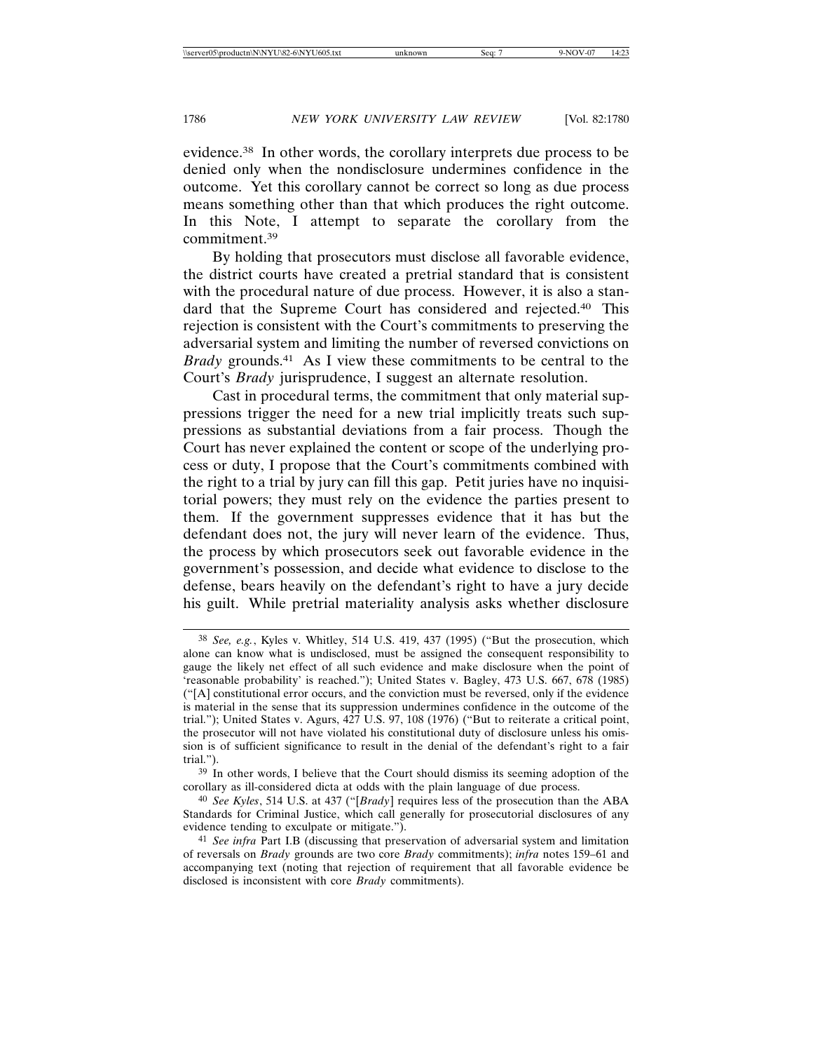evidence.38 In other words, the corollary interprets due process to be denied only when the nondisclosure undermines confidence in the outcome. Yet this corollary cannot be correct so long as due process means something other than that which produces the right outcome. In this Note, I attempt to separate the corollary from the commitment.39

By holding that prosecutors must disclose all favorable evidence, the district courts have created a pretrial standard that is consistent with the procedural nature of due process. However, it is also a standard that the Supreme Court has considered and rejected.40 This rejection is consistent with the Court's commitments to preserving the adversarial system and limiting the number of reversed convictions on *Brady* grounds.41 As I view these commitments to be central to the Court's *Brady* jurisprudence, I suggest an alternate resolution.

Cast in procedural terms, the commitment that only material suppressions trigger the need for a new trial implicitly treats such suppressions as substantial deviations from a fair process. Though the Court has never explained the content or scope of the underlying process or duty, I propose that the Court's commitments combined with the right to a trial by jury can fill this gap. Petit juries have no inquisitorial powers; they must rely on the evidence the parties present to them. If the government suppresses evidence that it has but the defendant does not, the jury will never learn of the evidence. Thus, the process by which prosecutors seek out favorable evidence in the government's possession, and decide what evidence to disclose to the defense, bears heavily on the defendant's right to have a jury decide his guilt. While pretrial materiality analysis asks whether disclosure

<sup>38</sup> *See, e.g.*, Kyles v. Whitley, 514 U.S. 419, 437 (1995) ("But the prosecution, which alone can know what is undisclosed, must be assigned the consequent responsibility to gauge the likely net effect of all such evidence and make disclosure when the point of 'reasonable probability' is reached."); United States v. Bagley, 473 U.S. 667, 678 (1985) ("[A] constitutional error occurs, and the conviction must be reversed, only if the evidence is material in the sense that its suppression undermines confidence in the outcome of the trial."); United States v. Agurs, 427 U.S. 97, 108 (1976) ("But to reiterate a critical point, the prosecutor will not have violated his constitutional duty of disclosure unless his omission is of sufficient significance to result in the denial of the defendant's right to a fair trial.").

<sup>39</sup> In other words, I believe that the Court should dismiss its seeming adoption of the corollary as ill-considered dicta at odds with the plain language of due process.

<sup>40</sup> *See Kyles*, 514 U.S. at 437 ("[*Brady*] requires less of the prosecution than the ABA Standards for Criminal Justice, which call generally for prosecutorial disclosures of any evidence tending to exculpate or mitigate.").

<sup>41</sup> *See infra* Part I.B (discussing that preservation of adversarial system and limitation of reversals on *Brady* grounds are two core *Brady* commitments); *infra* notes 159–61 and accompanying text (noting that rejection of requirement that all favorable evidence be disclosed is inconsistent with core *Brady* commitments).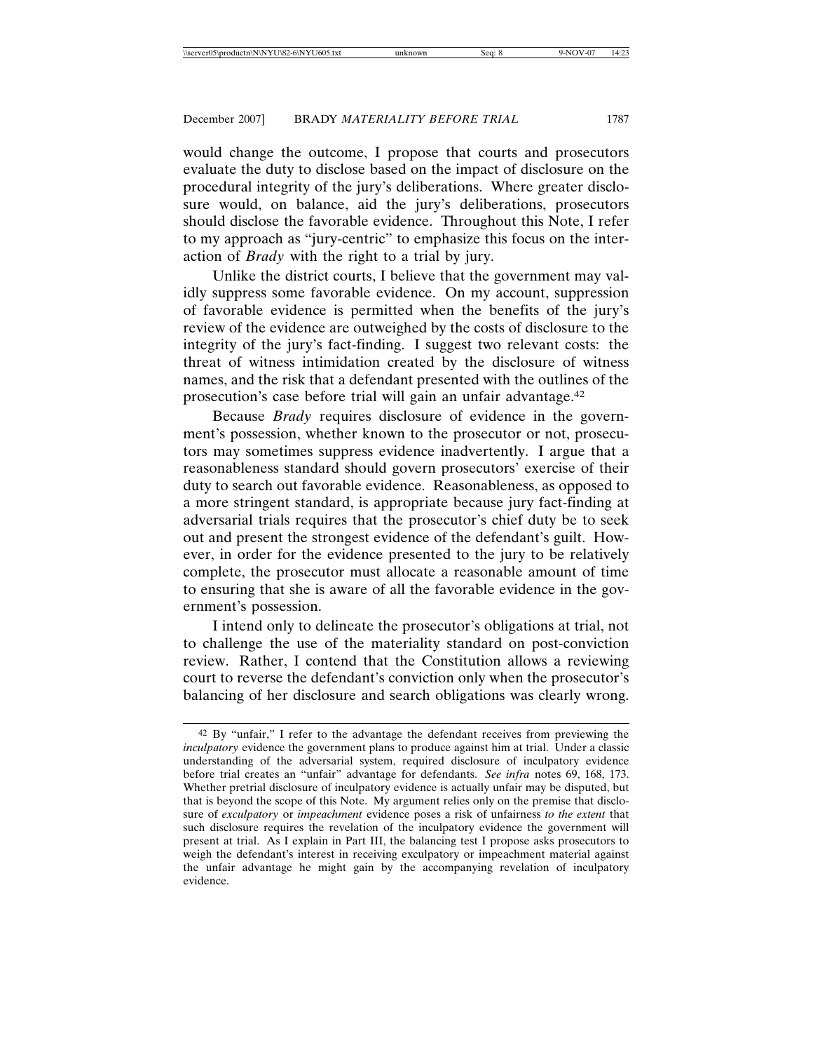would change the outcome, I propose that courts and prosecutors evaluate the duty to disclose based on the impact of disclosure on the procedural integrity of the jury's deliberations. Where greater disclosure would, on balance, aid the jury's deliberations, prosecutors should disclose the favorable evidence. Throughout this Note, I refer to my approach as "jury-centric" to emphasize this focus on the interaction of *Brady* with the right to a trial by jury.

Unlike the district courts, I believe that the government may validly suppress some favorable evidence. On my account, suppression of favorable evidence is permitted when the benefits of the jury's review of the evidence are outweighed by the costs of disclosure to the integrity of the jury's fact-finding. I suggest two relevant costs: the threat of witness intimidation created by the disclosure of witness names, and the risk that a defendant presented with the outlines of the prosecution's case before trial will gain an unfair advantage.42

Because *Brady* requires disclosure of evidence in the government's possession, whether known to the prosecutor or not, prosecutors may sometimes suppress evidence inadvertently. I argue that a reasonableness standard should govern prosecutors' exercise of their duty to search out favorable evidence. Reasonableness, as opposed to a more stringent standard, is appropriate because jury fact-finding at adversarial trials requires that the prosecutor's chief duty be to seek out and present the strongest evidence of the defendant's guilt. However, in order for the evidence presented to the jury to be relatively complete, the prosecutor must allocate a reasonable amount of time to ensuring that she is aware of all the favorable evidence in the government's possession.

I intend only to delineate the prosecutor's obligations at trial, not to challenge the use of the materiality standard on post-conviction review. Rather, I contend that the Constitution allows a reviewing court to reverse the defendant's conviction only when the prosecutor's balancing of her disclosure and search obligations was clearly wrong.

<sup>42</sup> By "unfair," I refer to the advantage the defendant receives from previewing the *inculpatory* evidence the government plans to produce against him at trial. Under a classic understanding of the adversarial system, required disclosure of inculpatory evidence before trial creates an "unfair" advantage for defendants. *See infra* notes 69, 168, 173. Whether pretrial disclosure of inculpatory evidence is actually unfair may be disputed, but that is beyond the scope of this Note. My argument relies only on the premise that disclosure of *exculpatory* or *impeachment* evidence poses a risk of unfairness *to the extent* that such disclosure requires the revelation of the inculpatory evidence the government will present at trial. As I explain in Part III, the balancing test I propose asks prosecutors to weigh the defendant's interest in receiving exculpatory or impeachment material against the unfair advantage he might gain by the accompanying revelation of inculpatory evidence.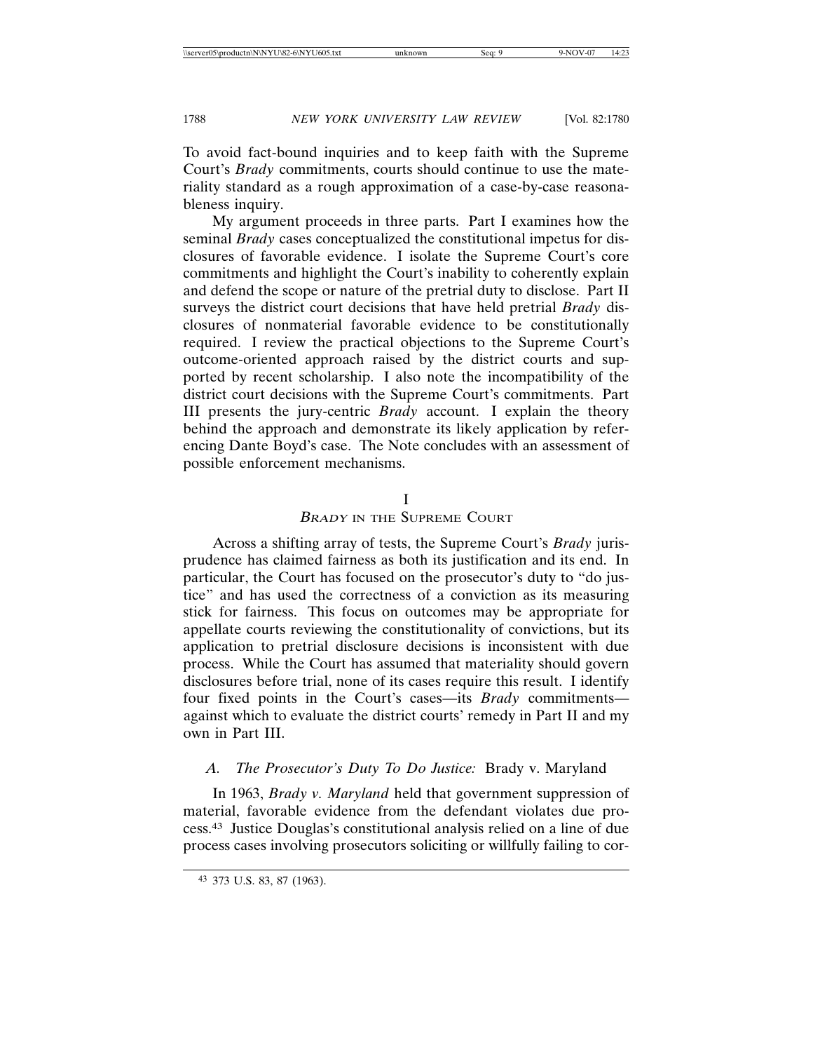To avoid fact-bound inquiries and to keep faith with the Supreme Court's *Brady* commitments, courts should continue to use the materiality standard as a rough approximation of a case-by-case reasonableness inquiry.

My argument proceeds in three parts. Part I examines how the seminal *Brady* cases conceptualized the constitutional impetus for disclosures of favorable evidence. I isolate the Supreme Court's core commitments and highlight the Court's inability to coherently explain and defend the scope or nature of the pretrial duty to disclose. Part II surveys the district court decisions that have held pretrial *Brady* disclosures of nonmaterial favorable evidence to be constitutionally required. I review the practical objections to the Supreme Court's outcome-oriented approach raised by the district courts and supported by recent scholarship. I also note the incompatibility of the district court decisions with the Supreme Court's commitments. Part III presents the jury-centric *Brady* account. I explain the theory behind the approach and demonstrate its likely application by referencing Dante Boyd's case. The Note concludes with an assessment of possible enforcement mechanisms.

## I

## BRADY IN THE SUPREME COURT

Across a shifting array of tests, the Supreme Court's *Brady* jurisprudence has claimed fairness as both its justification and its end. In particular, the Court has focused on the prosecutor's duty to "do justice" and has used the correctness of a conviction as its measuring stick for fairness. This focus on outcomes may be appropriate for appellate courts reviewing the constitutionality of convictions, but its application to pretrial disclosure decisions is inconsistent with due process. While the Court has assumed that materiality should govern disclosures before trial, none of its cases require this result. I identify four fixed points in the Court's cases—its *Brady* commitments against which to evaluate the district courts' remedy in Part II and my own in Part III.

# *A. The Prosecutor's Duty To Do Justice:* Brady v. Maryland

In 1963, *Brady v. Maryland* held that government suppression of material, favorable evidence from the defendant violates due process.43 Justice Douglas's constitutional analysis relied on a line of due process cases involving prosecutors soliciting or willfully failing to cor-

<sup>43</sup> 373 U.S. 83, 87 (1963).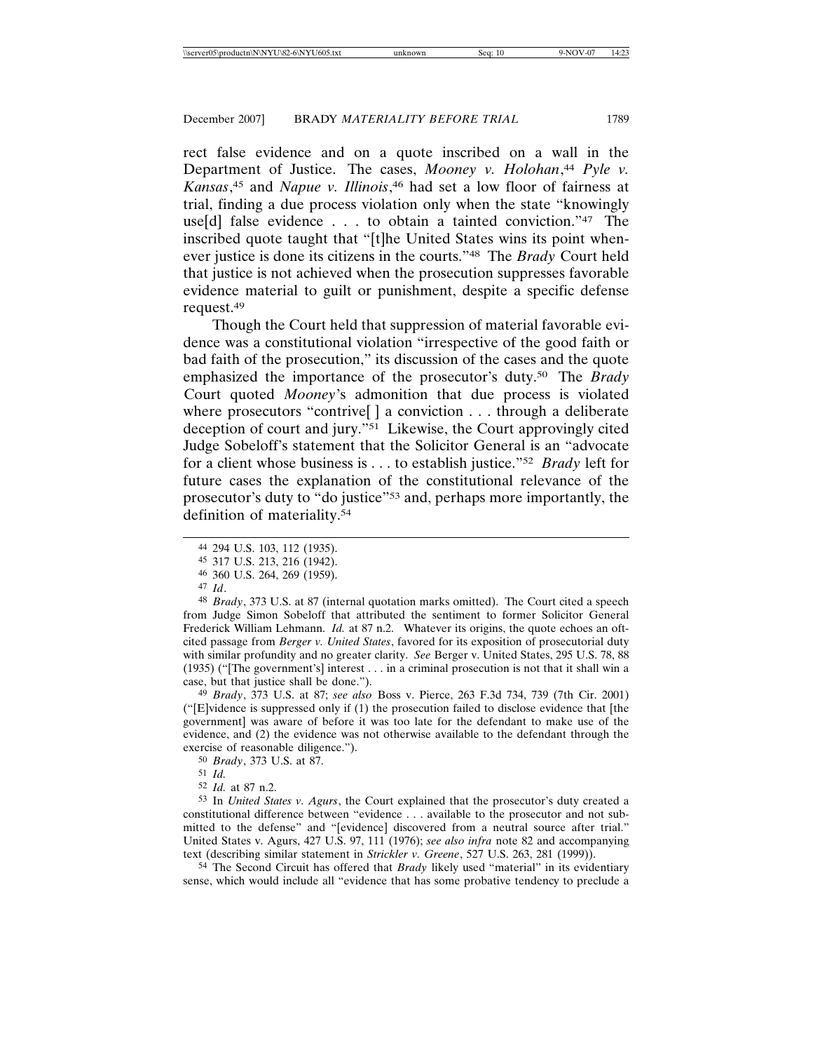rect false evidence and on a quote inscribed on a wall in the Department of Justice. The cases, *Mooney v. Holohan*, <sup>44</sup> *Pyle v. Kansas*, 45 and *Napue v. Illinois*, 46 had set a low floor of fairness at trial, finding a due process violation only when the state "knowingly use[d] false evidence . . . to obtain a tainted conviction."47 The inscribed quote taught that "[t]he United States wins its point whenever justice is done its citizens in the courts."48 The *Brady* Court held that justice is not achieved when the prosecution suppresses favorable evidence material to guilt or punishment, despite a specific defense request.49

Though the Court held that suppression of material favorable evidence was a constitutional violation "irrespective of the good faith or bad faith of the prosecution," its discussion of the cases and the quote emphasized the importance of the prosecutor's duty.50 The *Brady* Court quoted *Mooney*'s admonition that due process is violated where prosecutors "contrive<sup>[]</sup> a conviction . . . through a deliberate deception of court and jury."51 Likewise, the Court approvingly cited Judge Sobeloff's statement that the Solicitor General is an "advocate for a client whose business is . . . to establish justice."52 *Brady* left for future cases the explanation of the constitutional relevance of the prosecutor's duty to "do justice"53 and, perhaps more importantly, the definition of materiality.54

48 *Brady*, 373 U.S. at 87 (internal quotation marks omitted). The Court cited a speech from Judge Simon Sobeloff that attributed the sentiment to former Solicitor General Frederick William Lehmann. *Id.* at 87 n.2. Whatever its origins, the quote echoes an oftcited passage from *Berger v. United States*, favored for its exposition of prosecutorial duty with similar profundity and no greater clarity. *See* Berger v. United States, 295 U.S. 78, 88 (1935) ("[The government's] interest . . . in a criminal prosecution is not that it shall win a case, but that justice shall be done.").

49 *Brady*, 373 U.S. at 87; *see also* Boss v. Pierce, 263 F.3d 734, 739 (7th Cir. 2001) ("[E]vidence is suppressed only if (1) the prosecution failed to disclose evidence that [the government] was aware of before it was too late for the defendant to make use of the evidence, and (2) the evidence was not otherwise available to the defendant through the exercise of reasonable diligence.").

50 *Brady*, 373 U.S. at 87.

51 *Id.*

53 In *United States v. Agurs*, the Court explained that the prosecutor's duty created a constitutional difference between "evidence . . . available to the prosecutor and not submitted to the defense" and "[evidence] discovered from a neutral source after trial." United States v. Agurs, 427 U.S. 97, 111 (1976); *see also infra* note 82 and accompanying text (describing similar statement in *Strickler v. Greene*, 527 U.S. 263, 281 (1999)).

54 The Second Circuit has offered that *Brady* likely used "material" in its evidentiary sense, which would include all "evidence that has some probative tendency to preclude a

<sup>44</sup> 294 U.S. 103, 112 (1935).

<sup>45</sup> 317 U.S. 213, 216 (1942).

<sup>46</sup> 360 U.S. 264, 269 (1959).

<sup>47</sup> *Id*.

<sup>52</sup> *Id.* at 87 n.2.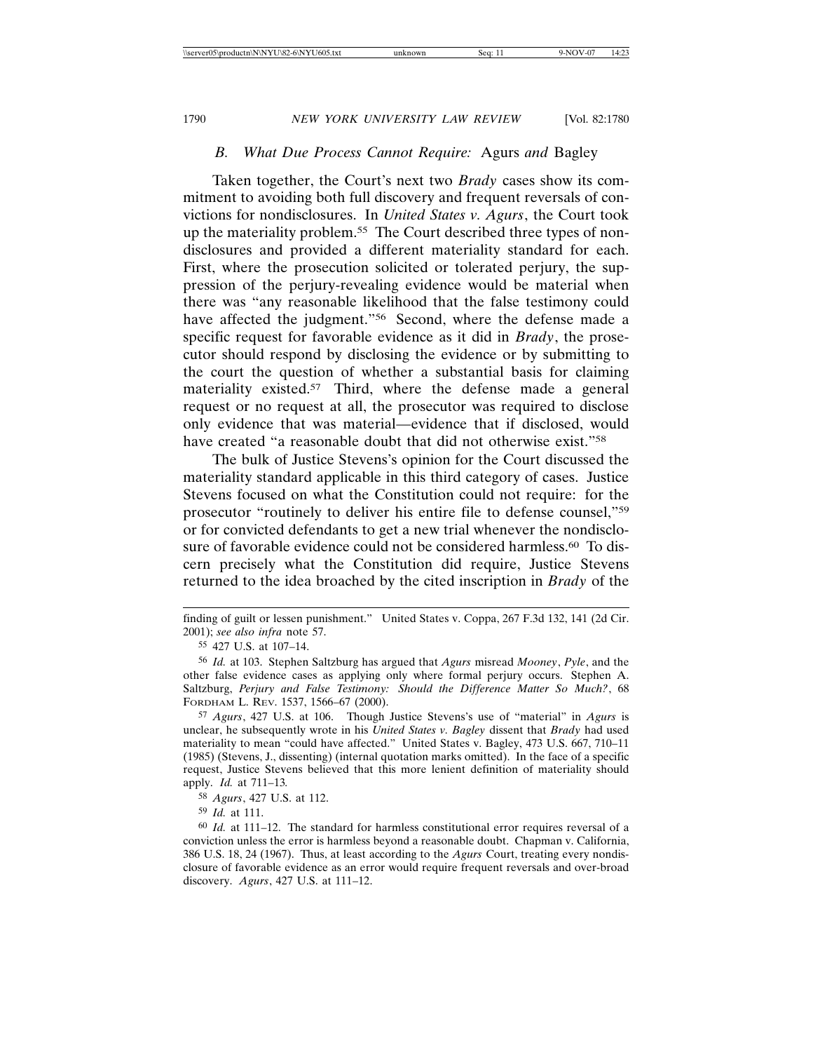# *B. What Due Process Cannot Require:* Agurs *and* Bagley

Taken together, the Court's next two *Brady* cases show its commitment to avoiding both full discovery and frequent reversals of convictions for nondisclosures. In *United States v. Agurs*, the Court took up the materiality problem.<sup>55</sup> The Court described three types of nondisclosures and provided a different materiality standard for each. First, where the prosecution solicited or tolerated perjury, the suppression of the perjury-revealing evidence would be material when there was "any reasonable likelihood that the false testimony could have affected the judgment."<sup>56</sup> Second, where the defense made a specific request for favorable evidence as it did in *Brady*, the prosecutor should respond by disclosing the evidence or by submitting to the court the question of whether a substantial basis for claiming materiality existed.<sup>57</sup> Third, where the defense made a general request or no request at all, the prosecutor was required to disclose only evidence that was material—evidence that if disclosed, would have created "a reasonable doubt that did not otherwise exist."58

The bulk of Justice Stevens's opinion for the Court discussed the materiality standard applicable in this third category of cases. Justice Stevens focused on what the Constitution could not require: for the prosecutor "routinely to deliver his entire file to defense counsel,"59 or for convicted defendants to get a new trial whenever the nondisclosure of favorable evidence could not be considered harmless.<sup>60</sup> To discern precisely what the Constitution did require, Justice Stevens returned to the idea broached by the cited inscription in *Brady* of the

finding of guilt or lessen punishment." United States v. Coppa, 267 F.3d 132, 141 (2d Cir. 2001); *see also infra* note 57.

<sup>55</sup> 427 U.S. at 107–14.

<sup>56</sup> *Id.* at 103. Stephen Saltzburg has argued that *Agurs* misread *Mooney*, *Pyle*, and the other false evidence cases as applying only where formal perjury occurs. Stephen A. Saltzburg, *Perjury and False Testimony: Should the Difference Matter So Much?*, 68 FORDHAM L. REV. 1537, 1566–67 (2000).

<sup>57</sup> *Agurs*, 427 U.S. at 106. Though Justice Stevens's use of "material" in *Agurs* is unclear, he subsequently wrote in his *United States v. Bagley* dissent that *Brady* had used materiality to mean "could have affected." United States v. Bagley, 473 U.S. 667, 710–11 (1985) (Stevens, J., dissenting) (internal quotation marks omitted). In the face of a specific request, Justice Stevens believed that this more lenient definition of materiality should apply. *Id.* at 711–13*.*

<sup>58</sup> *Agurs*, 427 U.S. at 112.

<sup>59</sup> *Id.* at 111.

<sup>60</sup> *Id.* at 111–12. The standard for harmless constitutional error requires reversal of a conviction unless the error is harmless beyond a reasonable doubt. Chapman v. California, 386 U.S. 18, 24 (1967). Thus, at least according to the *Agurs* Court, treating every nondisclosure of favorable evidence as an error would require frequent reversals and over-broad discovery. *Agurs*, 427 U.S. at 111–12.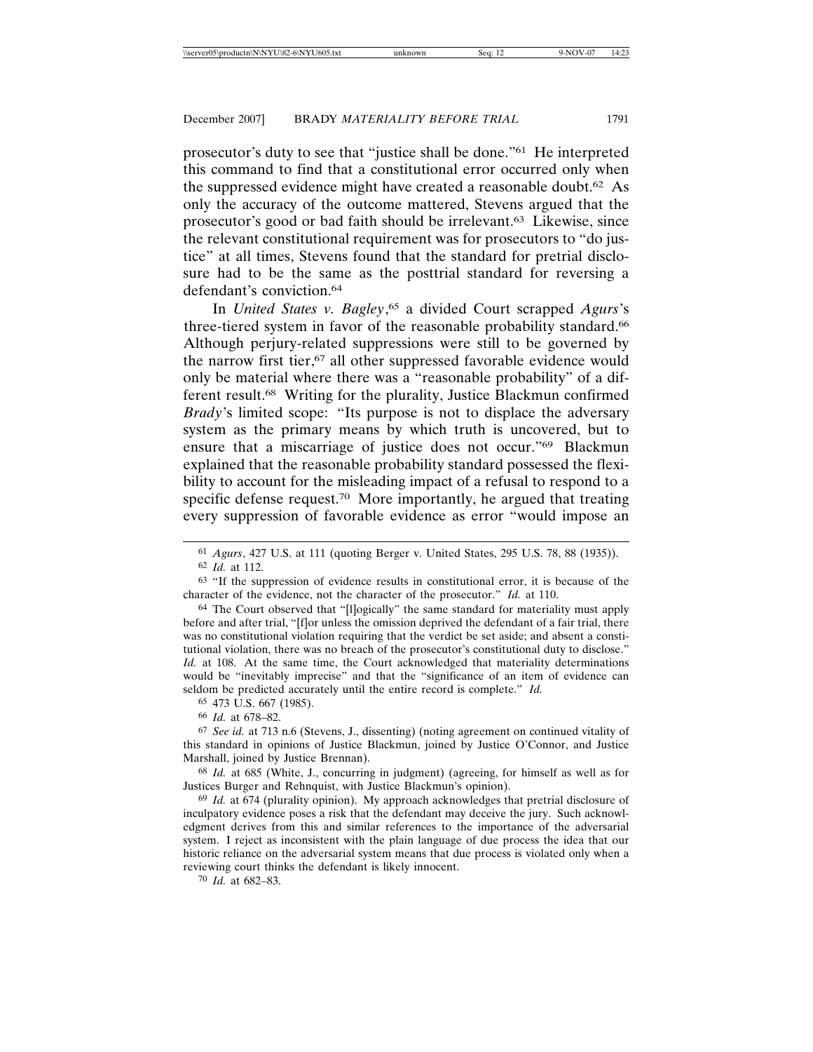prosecutor's duty to see that "justice shall be done."61 He interpreted this command to find that a constitutional error occurred only when the suppressed evidence might have created a reasonable doubt.62 As only the accuracy of the outcome mattered, Stevens argued that the prosecutor's good or bad faith should be irrelevant.63 Likewise, since the relevant constitutional requirement was for prosecutors to "do justice" at all times, Stevens found that the standard for pretrial disclosure had to be the same as the posttrial standard for reversing a defendant's conviction.64

In *United States v. Bagley*, 65 a divided Court scrapped *Agurs*'s three-tiered system in favor of the reasonable probability standard.<sup>66</sup> Although perjury-related suppressions were still to be governed by the narrow first tier,<sup>67</sup> all other suppressed favorable evidence would only be material where there was a "reasonable probability" of a different result.68 Writing for the plurality, Justice Blackmun confirmed *Brady*'s limited scope: "Its purpose is not to displace the adversary system as the primary means by which truth is uncovered, but to ensure that a miscarriage of justice does not occur."69 Blackmun explained that the reasonable probability standard possessed the flexibility to account for the misleading impact of a refusal to respond to a specific defense request.70 More importantly, he argued that treating every suppression of favorable evidence as error "would impose an

66 *Id.* at 678–82.

67 *See id.* at 713 n.6 (Stevens, J., dissenting) (noting agreement on continued vitality of this standard in opinions of Justice Blackmun, joined by Justice O'Connor, and Justice Marshall, joined by Justice Brennan).

68 *Id.* at 685 (White, J., concurring in judgment) (agreeing, for himself as well as for Justices Burger and Rehnquist, with Justice Blackmun's opinion).

69 *Id.* at 674 (plurality opinion). My approach acknowledges that pretrial disclosure of inculpatory evidence poses a risk that the defendant may deceive the jury. Such acknowledgment derives from this and similar references to the importance of the adversarial system. I reject as inconsistent with the plain language of due process the idea that our historic reliance on the adversarial system means that due process is violated only when a reviewing court thinks the defendant is likely innocent.

70 *Id.* at 682–83.

<sup>61</sup> *Agurs*, 427 U.S. at 111 (quoting Berger v. United States, 295 U.S. 78, 88 (1935)). 62 *Id.* at 112.

<sup>63</sup> "If the suppression of evidence results in constitutional error, it is because of the character of the evidence, not the character of the prosecutor." *Id.* at 110.

<sup>64</sup> The Court observed that "[l]ogically" the same standard for materiality must apply before and after trial, "[f]or unless the omission deprived the defendant of a fair trial, there was no constitutional violation requiring that the verdict be set aside; and absent a constitutional violation, there was no breach of the prosecutor's constitutional duty to disclose." *Id.* at 108. At the same time, the Court acknowledged that materiality determinations would be "inevitably imprecise" and that the "significance of an item of evidence can seldom be predicted accurately until the entire record is complete." *Id.*

<sup>65</sup> 473 U.S. 667 (1985).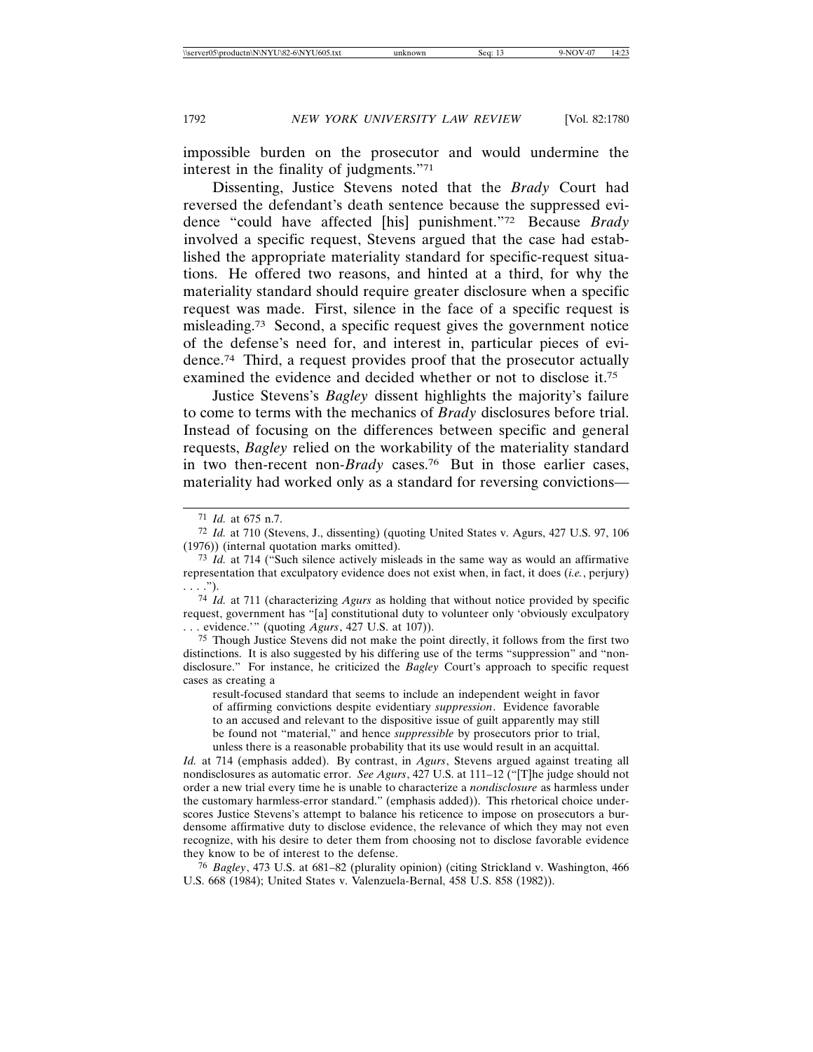impossible burden on the prosecutor and would undermine the interest in the finality of judgments."71

Dissenting, Justice Stevens noted that the *Brady* Court had reversed the defendant's death sentence because the suppressed evidence "could have affected [his] punishment."72 Because *Brady* involved a specific request, Stevens argued that the case had established the appropriate materiality standard for specific-request situations. He offered two reasons, and hinted at a third, for why the materiality standard should require greater disclosure when a specific request was made. First, silence in the face of a specific request is misleading.73 Second, a specific request gives the government notice of the defense's need for, and interest in, particular pieces of evidence.74 Third, a request provides proof that the prosecutor actually examined the evidence and decided whether or not to disclose it.75

Justice Stevens's *Bagley* dissent highlights the majority's failure to come to terms with the mechanics of *Brady* disclosures before trial. Instead of focusing on the differences between specific and general requests, *Bagley* relied on the workability of the materiality standard in two then-recent non-*Brady* cases.76 But in those earlier cases, materiality had worked only as a standard for reversing convictions—

74 *Id.* at 711 (characterizing *Agurs* as holding that without notice provided by specific request, government has "[a] constitutional duty to volunteer only 'obviously exculpatory . . . evidence.'" (quoting *Agurs*, 427 U.S. at 107)).

75 Though Justice Stevens did not make the point directly, it follows from the first two distinctions. It is also suggested by his differing use of the terms "suppression" and "nondisclosure." For instance, he criticized the *Bagley* Court's approach to specific request cases as creating a

result-focused standard that seems to include an independent weight in favor of affirming convictions despite evidentiary *suppression*. Evidence favorable to an accused and relevant to the dispositive issue of guilt apparently may still be found not "material," and hence *suppressible* by prosecutors prior to trial, unless there is a reasonable probability that its use would result in an acquittal.

*Id.* at 714 (emphasis added). By contrast, in *Agurs*, Stevens argued against treating all nondisclosures as automatic error. *See Agurs*, 427 U.S. at 111–12 ("[T]he judge should not order a new trial every time he is unable to characterize a *nondisclosure* as harmless under the customary harmless-error standard." (emphasis added)). This rhetorical choice underscores Justice Stevens's attempt to balance his reticence to impose on prosecutors a burdensome affirmative duty to disclose evidence, the relevance of which they may not even recognize, with his desire to deter them from choosing not to disclose favorable evidence they know to be of interest to the defense.

76 *Bagley*, 473 U.S. at 681–82 (plurality opinion) (citing Strickland v. Washington, 466 U.S. 668 (1984); United States v. Valenzuela-Bernal, 458 U.S. 858 (1982)).

<sup>71</sup> *Id.* at 675 n.7.

<sup>72</sup> *Id.* at 710 (Stevens, J., dissenting) (quoting United States v. Agurs, 427 U.S. 97, 106 (1976)) (internal quotation marks omitted).

<sup>73</sup> *Id.* at 714 ("Such silence actively misleads in the same way as would an affirmative representation that exculpatory evidence does not exist when, in fact, it does (*i.e.*, perjury)  $\ldots$ .").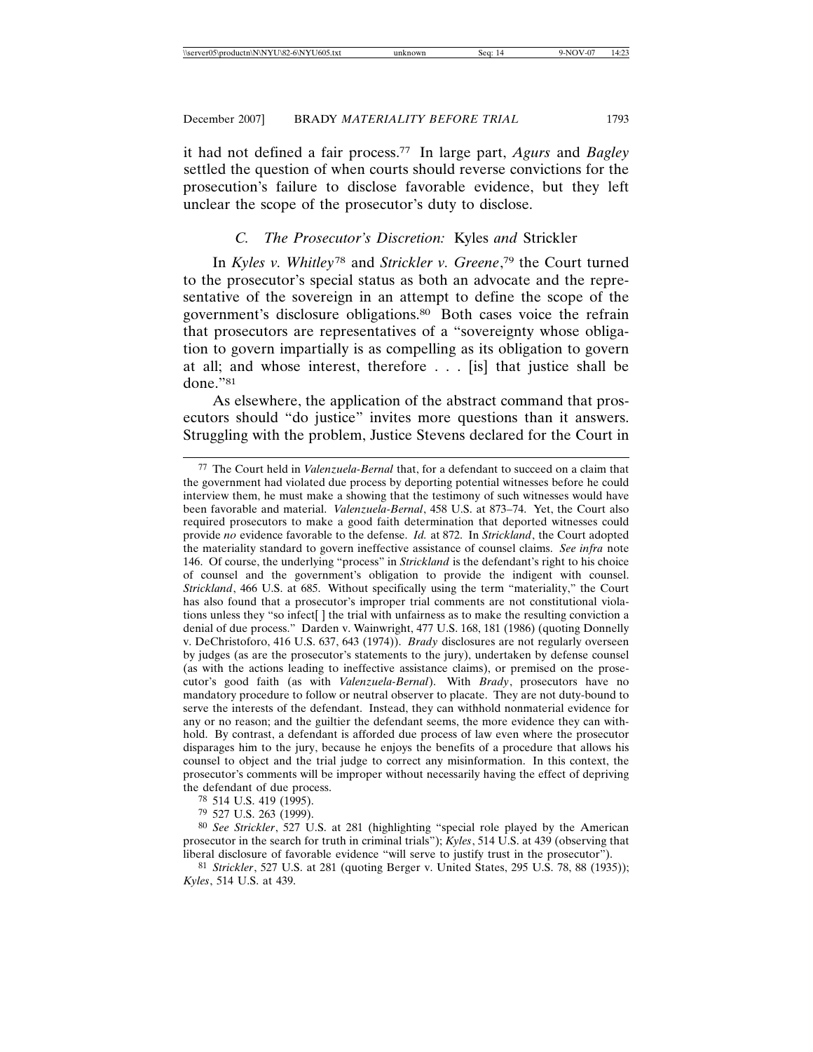it had not defined a fair process.77 In large part, *Agurs* and *Bagley* settled the question of when courts should reverse convictions for the prosecution's failure to disclose favorable evidence, but they left unclear the scope of the prosecutor's duty to disclose.

## *C. The Prosecutor's Discretion:* Kyles *and* Strickler

In *Kyles v. Whitley*<sup>78</sup> and *Strickler v. Greene*, 79 the Court turned to the prosecutor's special status as both an advocate and the representative of the sovereign in an attempt to define the scope of the government's disclosure obligations.80 Both cases voice the refrain that prosecutors are representatives of a "sovereignty whose obligation to govern impartially is as compelling as its obligation to govern at all; and whose interest, therefore . . . [is] that justice shall be done."81

As elsewhere, the application of the abstract command that prosecutors should "do justice" invites more questions than it answers. Struggling with the problem, Justice Stevens declared for the Court in

78 514 U.S. 419 (1995).

79 527 U.S. 263 (1999).

<sup>77</sup> The Court held in *Valenzuela-Bernal* that, for a defendant to succeed on a claim that the government had violated due process by deporting potential witnesses before he could interview them, he must make a showing that the testimony of such witnesses would have been favorable and material. *Valenzuela-Bernal*, 458 U.S. at 873–74. Yet, the Court also required prosecutors to make a good faith determination that deported witnesses could provide *no* evidence favorable to the defense. *Id.* at 872. In *Strickland*, the Court adopted the materiality standard to govern ineffective assistance of counsel claims. *See infra* note 146. Of course, the underlying "process" in *Strickland* is the defendant's right to his choice of counsel and the government's obligation to provide the indigent with counsel. *Strickland*, 466 U.S. at 685. Without specifically using the term "materiality," the Court has also found that a prosecutor's improper trial comments are not constitutional violations unless they "so infect[ ] the trial with unfairness as to make the resulting conviction a denial of due process." Darden v. Wainwright, 477 U.S. 168, 181 (1986) (quoting Donnelly v. DeChristoforo, 416 U.S. 637, 643 (1974)). *Brady* disclosures are not regularly overseen by judges (as are the prosecutor's statements to the jury), undertaken by defense counsel (as with the actions leading to ineffective assistance claims), or premised on the prosecutor's good faith (as with *Valenzuela-Bernal*). With *Brady*, prosecutors have no mandatory procedure to follow or neutral observer to placate. They are not duty-bound to serve the interests of the defendant. Instead, they can withhold nonmaterial evidence for any or no reason; and the guiltier the defendant seems, the more evidence they can withhold. By contrast, a defendant is afforded due process of law even where the prosecutor disparages him to the jury, because he enjoys the benefits of a procedure that allows his counsel to object and the trial judge to correct any misinformation. In this context, the prosecutor's comments will be improper without necessarily having the effect of depriving the defendant of due process.

<sup>80</sup> *See Strickler*, 527 U.S. at 281 (highlighting "special role played by the American prosecutor in the search for truth in criminal trials"); *Kyles*, 514 U.S. at 439 (observing that liberal disclosure of favorable evidence "will serve to justify trust in the prosecutor").

<sup>81</sup> *Strickler*, 527 U.S. at 281 (quoting Berger v. United States, 295 U.S. 78, 88 (1935)); *Kyles*, 514 U.S. at 439.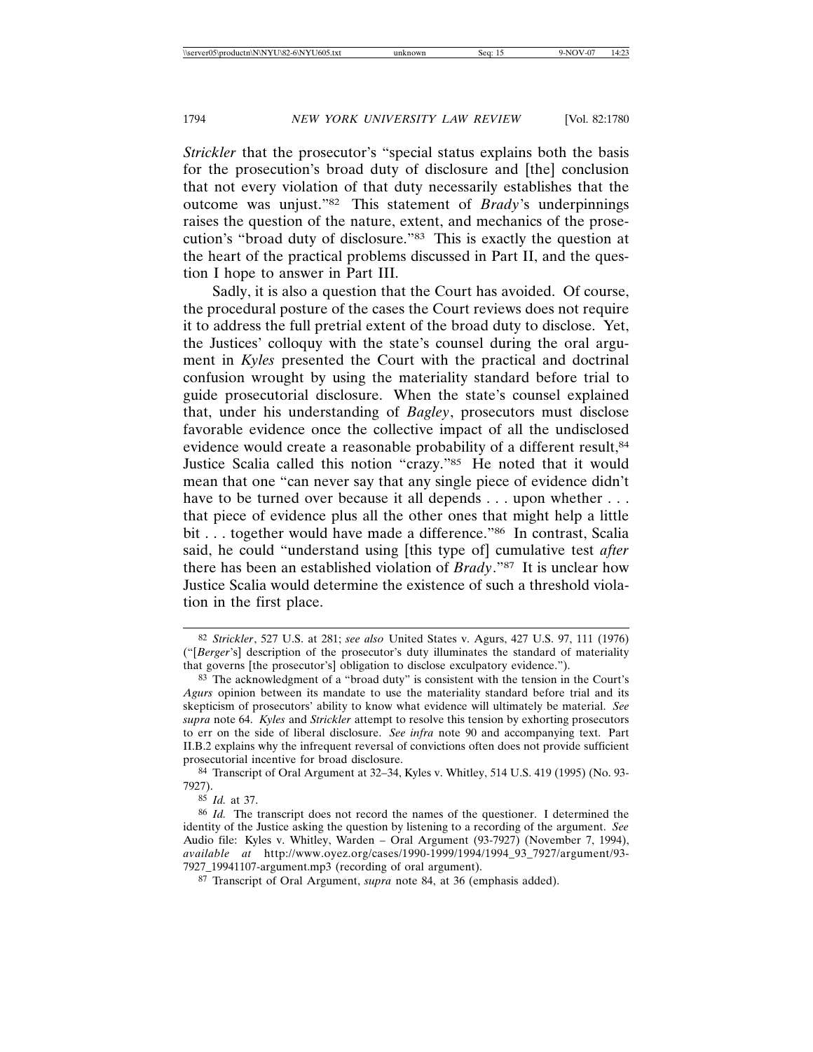*Strickler* that the prosecutor's "special status explains both the basis for the prosecution's broad duty of disclosure and [the] conclusion that not every violation of that duty necessarily establishes that the outcome was unjust."82 This statement of *Brady*'s underpinnings raises the question of the nature, extent, and mechanics of the prosecution's "broad duty of disclosure."83 This is exactly the question at the heart of the practical problems discussed in Part II, and the question I hope to answer in Part III.

Sadly, it is also a question that the Court has avoided. Of course, the procedural posture of the cases the Court reviews does not require it to address the full pretrial extent of the broad duty to disclose. Yet, the Justices' colloquy with the state's counsel during the oral argument in *Kyles* presented the Court with the practical and doctrinal confusion wrought by using the materiality standard before trial to guide prosecutorial disclosure. When the state's counsel explained that, under his understanding of *Bagley*, prosecutors must disclose favorable evidence once the collective impact of all the undisclosed evidence would create a reasonable probability of a different result, 84 Justice Scalia called this notion "crazy."85 He noted that it would mean that one "can never say that any single piece of evidence didn't have to be turned over because it all depends . . . upon whether . . . that piece of evidence plus all the other ones that might help a little bit . . . together would have made a difference."<sup>86</sup> In contrast, Scalia said, he could "understand using [this type of] cumulative test *after* there has been an established violation of *Brady*."87 It is unclear how Justice Scalia would determine the existence of such a threshold violation in the first place.

<sup>82</sup> *Strickler*, 527 U.S. at 281; *see also* United States v. Agurs, 427 U.S. 97, 111 (1976) ("[*Berger*'s] description of the prosecutor's duty illuminates the standard of materiality that governs [the prosecutor's] obligation to disclose exculpatory evidence.").

<sup>83</sup> The acknowledgment of a "broad duty" is consistent with the tension in the Court's *Agurs* opinion between its mandate to use the materiality standard before trial and its skepticism of prosecutors' ability to know what evidence will ultimately be material. *See supra* note 64. *Kyles* and *Strickler* attempt to resolve this tension by exhorting prosecutors to err on the side of liberal disclosure. *See infra* note 90 and accompanying text. Part II.B.2 explains why the infrequent reversal of convictions often does not provide sufficient prosecutorial incentive for broad disclosure.

<sup>84</sup> Transcript of Oral Argument at 32–34, Kyles v. Whitley, 514 U.S. 419 (1995) (No. 93- 7927).

<sup>85</sup> *Id.* at 37.

<sup>86</sup> *Id.* The transcript does not record the names of the questioner. I determined the identity of the Justice asking the question by listening to a recording of the argument. *See* Audio file: Kyles v. Whitley, Warden – Oral Argument (93-7927) (November 7, 1994), *available at* http://www.oyez.org/cases/1990-1999/1994/1994\_93\_7927/argument/93- 7927\_19941107-argument.mp3 (recording of oral argument).

<sup>87</sup> Transcript of Oral Argument, *supra* note 84, at 36 (emphasis added).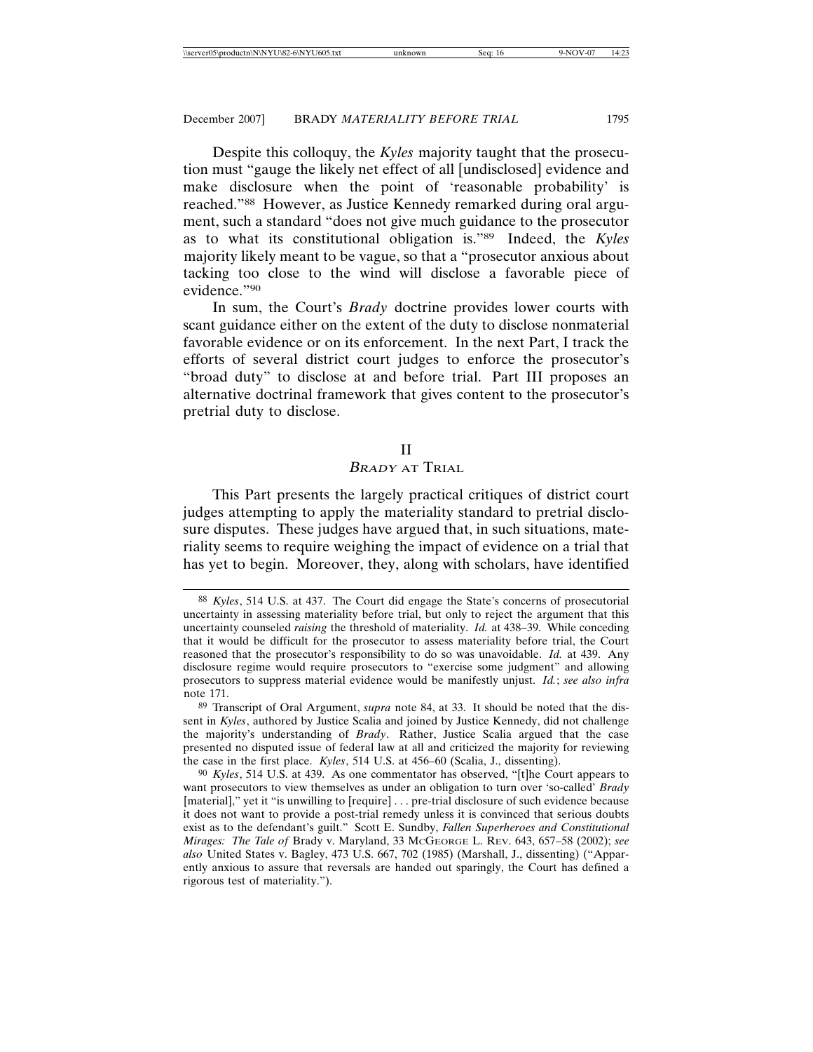Despite this colloquy, the *Kyles* majority taught that the prosecution must "gauge the likely net effect of all [undisclosed] evidence and make disclosure when the point of 'reasonable probability' is reached."88 However, as Justice Kennedy remarked during oral argument, such a standard "does not give much guidance to the prosecutor as to what its constitutional obligation is."89 Indeed, the *Kyles* majority likely meant to be vague, so that a "prosecutor anxious about tacking too close to the wind will disclose a favorable piece of evidence."90

In sum, the Court's *Brady* doctrine provides lower courts with scant guidance either on the extent of the duty to disclose nonmaterial favorable evidence or on its enforcement. In the next Part, I track the efforts of several district court judges to enforce the prosecutor's "broad duty" to disclose at and before trial. Part III proposes an alternative doctrinal framework that gives content to the prosecutor's pretrial duty to disclose.

#### II

## <sup>B</sup>RADY AT TRIAL

This Part presents the largely practical critiques of district court judges attempting to apply the materiality standard to pretrial disclosure disputes. These judges have argued that, in such situations, materiality seems to require weighing the impact of evidence on a trial that has yet to begin. Moreover, they, along with scholars, have identified

<sup>88</sup> *Kyles*, 514 U.S. at 437. The Court did engage the State's concerns of prosecutorial uncertainty in assessing materiality before trial, but only to reject the argument that this uncertainty counseled *raising* the threshold of materiality. *Id.* at 438–39. While conceding that it would be difficult for the prosecutor to assess materiality before trial, the Court reasoned that the prosecutor's responsibility to do so was unavoidable. *Id.* at 439. Any disclosure regime would require prosecutors to "exercise some judgment" and allowing prosecutors to suppress material evidence would be manifestly unjust. *Id.*; *see also infra* note 171.

<sup>89</sup> Transcript of Oral Argument, *supra* note 84, at 33. It should be noted that the dissent in *Kyles*, authored by Justice Scalia and joined by Justice Kennedy, did not challenge the majority's understanding of *Brady*. Rather, Justice Scalia argued that the case presented no disputed issue of federal law at all and criticized the majority for reviewing the case in the first place. *Kyles*, 514 U.S. at 456–60 (Scalia, J., dissenting).

<sup>90</sup> *Kyles*, 514 U.S. at 439. As one commentator has observed, "[t]he Court appears to want prosecutors to view themselves as under an obligation to turn over 'so-called' *Brady* [material]," yet it "is unwilling to [require] . . . pre-trial disclosure of such evidence because it does not want to provide a post-trial remedy unless it is convinced that serious doubts exist as to the defendant's guilt." Scott E. Sundby, *Fallen Superheroes and Constitutional Mirages: The Tale of* Brady v. Maryland, 33 MCGEORGE L. REV. 643, 657–58 (2002); *see also* United States v. Bagley, 473 U.S. 667, 702 (1985) (Marshall, J., dissenting) ("Apparently anxious to assure that reversals are handed out sparingly, the Court has defined a rigorous test of materiality.").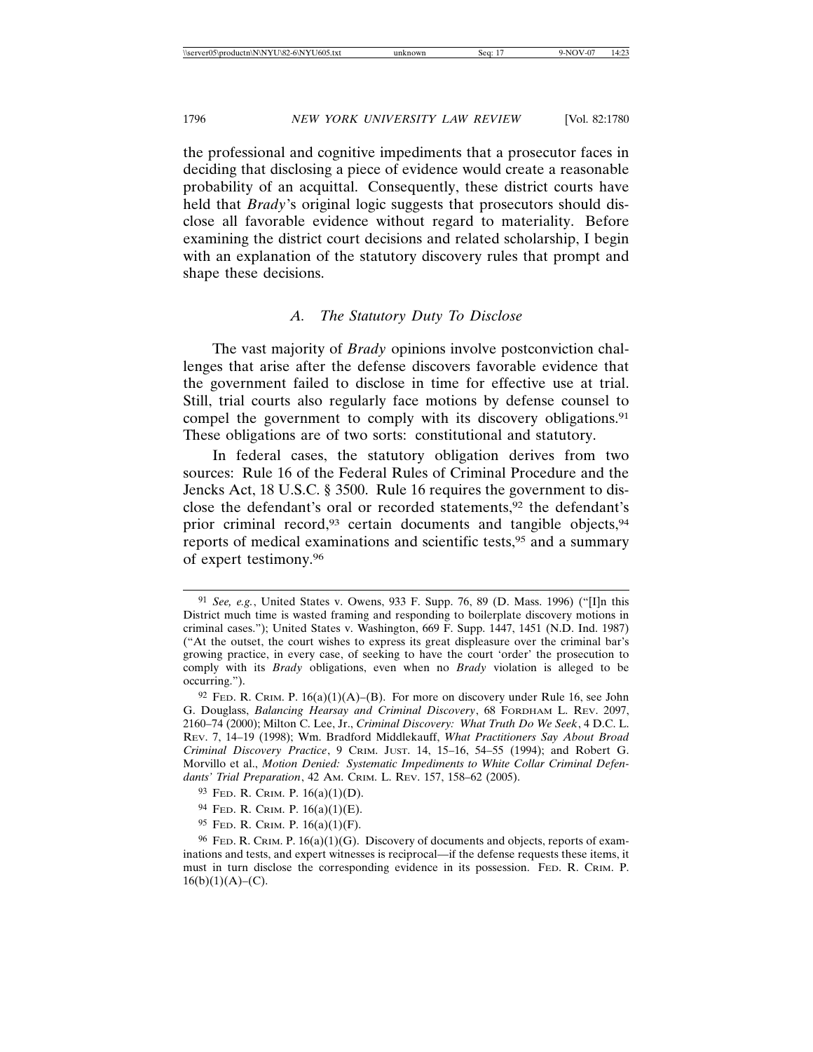the professional and cognitive impediments that a prosecutor faces in deciding that disclosing a piece of evidence would create a reasonable probability of an acquittal. Consequently, these district courts have held that *Brady*'s original logic suggests that prosecutors should disclose all favorable evidence without regard to materiality. Before examining the district court decisions and related scholarship, I begin with an explanation of the statutory discovery rules that prompt and shape these decisions.

# *A. The Statutory Duty To Disclose*

The vast majority of *Brady* opinions involve postconviction challenges that arise after the defense discovers favorable evidence that the government failed to disclose in time for effective use at trial. Still, trial courts also regularly face motions by defense counsel to compel the government to comply with its discovery obligations.<sup>91</sup> These obligations are of two sorts: constitutional and statutory.

In federal cases, the statutory obligation derives from two sources: Rule 16 of the Federal Rules of Criminal Procedure and the Jencks Act, 18 U.S.C. § 3500. Rule 16 requires the government to disclose the defendant's oral or recorded statements,<sup>92</sup> the defendant's prior criminal record,<sup>93</sup> certain documents and tangible objects,<sup>94</sup> reports of medical examinations and scientific tests,95 and a summary of expert testimony.96

<sup>91</sup> *See, e.g.*, United States v. Owens, 933 F. Supp. 76, 89 (D. Mass. 1996) ("[I]n this District much time is wasted framing and responding to boilerplate discovery motions in criminal cases."); United States v. Washington, 669 F. Supp. 1447, 1451 (N.D. Ind. 1987) ("At the outset, the court wishes to express its great displeasure over the criminal bar's growing practice, in every case, of seeking to have the court 'order' the prosecution to comply with its *Brady* obligations, even when no *Brady* violation is alleged to be occurring.").

<sup>&</sup>lt;sup>92</sup> FED. R. CRIM. P.  $16(a)(1)(A)$ –(B). For more on discovery under Rule 16, see John G. Douglass, *Balancing Hearsay and Criminal Discovery*, 68 FORDHAM L. REV. 2097, 2160–74 (2000); Milton C. Lee, Jr., *Criminal Discovery: What Truth Do We Seek*, 4 D.C. L. REV. 7, 14–19 (1998); Wm. Bradford Middlekauff, *What Practitioners Say About Broad Criminal Discovery Practice*, 9 CRIM. JUST. 14, 15–16, 54–55 (1994); and Robert G. Morvillo et al., *Motion Denied: Systematic Impediments to White Collar Criminal Defendants' Trial Preparation*, 42 AM. CRIM. L. REV. 157, 158–62 (2005).

<sup>93</sup> FED. R. CRIM. P. 16(a)(1)(D).

<sup>94</sup> FED. R. CRIM. P. 16(a)(1)(E).

<sup>95</sup> FED. R. CRIM. P. 16(a)(1)(F).

 $96$  FeD. R. CRIM. P.  $16(a)(1)(G)$ . Discovery of documents and objects, reports of examinations and tests, and expert witnesses is reciprocal—if the defense requests these items, it must in turn disclose the corresponding evidence in its possession. FED. R. CRIM. P.  $16(b)(1)(A)–(C).$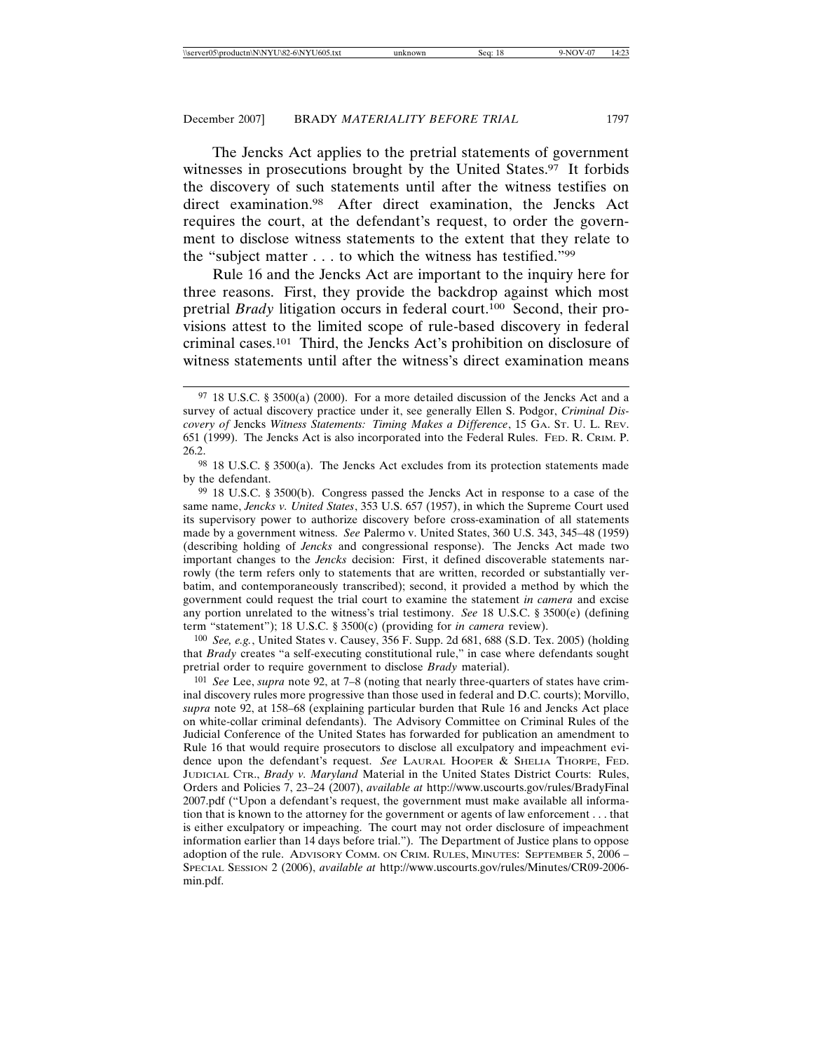The Jencks Act applies to the pretrial statements of government witnesses in prosecutions brought by the United States.<sup>97</sup> It forbids the discovery of such statements until after the witness testifies on direct examination.98 After direct examination, the Jencks Act requires the court, at the defendant's request, to order the government to disclose witness statements to the extent that they relate to the "subject matter . . . to which the witness has testified."99

Rule 16 and the Jencks Act are important to the inquiry here for three reasons. First, they provide the backdrop against which most pretrial *Brady* litigation occurs in federal court.100 Second, their provisions attest to the limited scope of rule-based discovery in federal criminal cases.101 Third, the Jencks Act's prohibition on disclosure of witness statements until after the witness's direct examination means

100 *See, e.g.*, United States v. Causey, 356 F. Supp. 2d 681, 688 (S.D. Tex. 2005) (holding that *Brady* creates "a self-executing constitutional rule," in case where defendants sought pretrial order to require government to disclose *Brady* material).

101 *See* Lee, *supra* note 92, at 7–8 (noting that nearly three-quarters of states have criminal discovery rules more progressive than those used in federal and D.C. courts); Morvillo, *supra* note 92, at 158–68 (explaining particular burden that Rule 16 and Jencks Act place on white-collar criminal defendants). The Advisory Committee on Criminal Rules of the Judicial Conference of the United States has forwarded for publication an amendment to Rule 16 that would require prosecutors to disclose all exculpatory and impeachment evidence upon the defendant's request. *See* LAURAL HOOPER & SHELIA THORPE, FED. JUDICIAL CTR., *Brady v. Maryland* Material in the United States District Courts: Rules, Orders and Policies 7, 23–24 (2007), *available at* http://www.uscourts.gov/rules/BradyFinal 2007.pdf ("Upon a defendant's request, the government must make available all information that is known to the attorney for the government or agents of law enforcement . . . that is either exculpatory or impeaching. The court may not order disclosure of impeachment information earlier than 14 days before trial."). The Department of Justice plans to oppose adoption of the rule. ADVISORY COMM. ON CRIM. RULES, MINUTES: SEPTEMBER 5, 2006 – SPECIAL SESSION 2 (2006), *available at* http://www.uscourts.gov/rules/Minutes/CR09-2006 min.pdf.

<sup>97</sup> 18 U.S.C. § 3500(a) (2000). For a more detailed discussion of the Jencks Act and a survey of actual discovery practice under it, see generally Ellen S. Podgor, *Criminal Discovery of* Jencks *Witness Statements: Timing Makes a Difference*, 15 GA. ST. U. L. REV. 651 (1999). The Jencks Act is also incorporated into the Federal Rules. FED. R. CRIM. P. 26.2.

<sup>98</sup> 18 U.S.C. § 3500(a). The Jencks Act excludes from its protection statements made by the defendant.

<sup>99</sup> 18 U.S.C. § 3500(b). Congress passed the Jencks Act in response to a case of the same name, *Jencks v. United States*, 353 U.S. 657 (1957), in which the Supreme Court used its supervisory power to authorize discovery before cross-examination of all statements made by a government witness. *See* Palermo v. United States, 360 U.S. 343, 345–48 (1959) (describing holding of *Jencks* and congressional response). The Jencks Act made two important changes to the *Jencks* decision: First, it defined discoverable statements narrowly (the term refers only to statements that are written, recorded or substantially verbatim, and contemporaneously transcribed); second, it provided a method by which the government could request the trial court to examine the statement *in camera* and excise any portion unrelated to the witness's trial testimony. *See* 18 U.S.C. § 3500(e) (defining term "statement"); 18 U.S.C. § 3500(c) (providing for *in camera* review).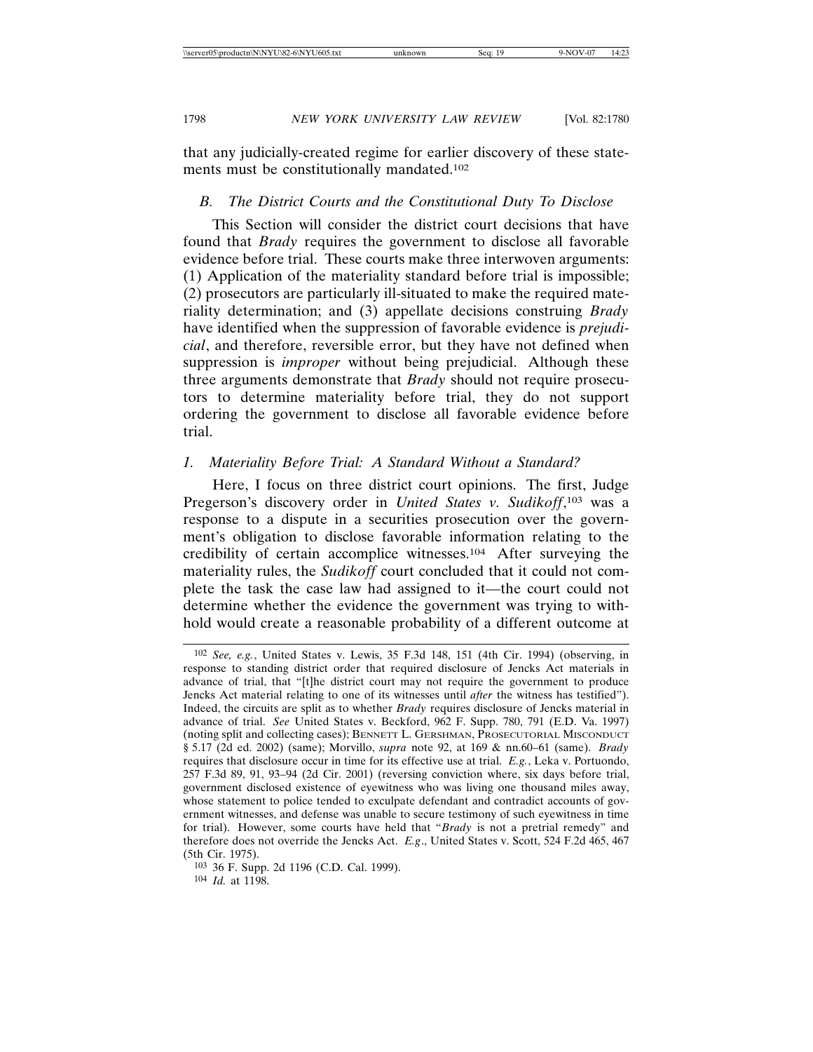that any judicially-created regime for earlier discovery of these statements must be constitutionally mandated.102

## *B. The District Courts and the Constitutional Duty To Disclose*

This Section will consider the district court decisions that have found that *Brady* requires the government to disclose all favorable evidence before trial. These courts make three interwoven arguments: (1) Application of the materiality standard before trial is impossible; (2) prosecutors are particularly ill-situated to make the required materiality determination; and (3) appellate decisions construing *Brady* have identified when the suppression of favorable evidence is *prejudicial*, and therefore, reversible error, but they have not defined when suppression is *improper* without being prejudicial. Although these three arguments demonstrate that *Brady* should not require prosecutors to determine materiality before trial, they do not support ordering the government to disclose all favorable evidence before trial.

## *1. Materiality Before Trial: A Standard Without a Standard?*

Here, I focus on three district court opinions. The first, Judge Pregerson's discovery order in *United States v. Sudikoff*, 103 was a response to a dispute in a securities prosecution over the government's obligation to disclose favorable information relating to the credibility of certain accomplice witnesses.104 After surveying the materiality rules, the *Sudikoff* court concluded that it could not complete the task the case law had assigned to it—the court could not determine whether the evidence the government was trying to withhold would create a reasonable probability of a different outcome at

<sup>102</sup> *See, e.g.*, United States v. Lewis, 35 F.3d 148, 151 (4th Cir. 1994) (observing, in response to standing district order that required disclosure of Jencks Act materials in advance of trial, that "[t]he district court may not require the government to produce Jencks Act material relating to one of its witnesses until *after* the witness has testified"). Indeed, the circuits are split as to whether *Brady* requires disclosure of Jencks material in advance of trial. *See* United States v. Beckford, 962 F. Supp. 780, 791 (E.D. Va. 1997) (noting split and collecting cases); BENNETT L. GERSHMAN, PROSECUTORIAL MISCONDUCT § 5.17 (2d ed. 2002) (same); Morvillo, *supra* note 92, at 169 & nn.60–61 (same). *Brady* requires that disclosure occur in time for its effective use at trial. *E.g.*, Leka v. Portuondo, 257 F.3d 89, 91, 93–94 (2d Cir. 2001) (reversing conviction where, six days before trial, government disclosed existence of eyewitness who was living one thousand miles away, whose statement to police tended to exculpate defendant and contradict accounts of government witnesses, and defense was unable to secure testimony of such eyewitness in time for trial). However, some courts have held that "*Brady* is not a pretrial remedy" and therefore does not override the Jencks Act. *E.g*., United States v. Scott, 524 F.2d 465, 467 (5th Cir. 1975).

<sup>103</sup> 36 F. Supp. 2d 1196 (C.D. Cal. 1999).

<sup>104</sup> *Id.* at 1198.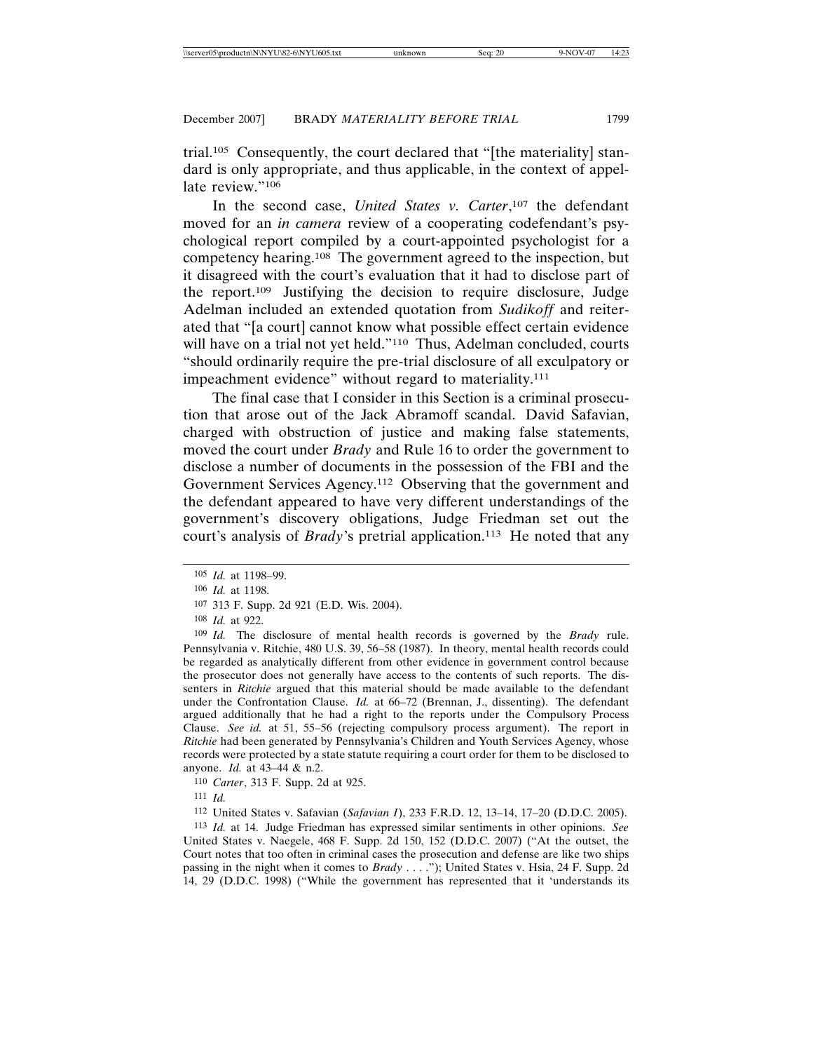trial.105 Consequently, the court declared that "[the materiality] standard is only appropriate, and thus applicable, in the context of appellate review."106

In the second case, *United States v. Carter*, 107 the defendant moved for an *in camera* review of a cooperating codefendant's psychological report compiled by a court-appointed psychologist for a competency hearing.108 The government agreed to the inspection, but it disagreed with the court's evaluation that it had to disclose part of the report.109 Justifying the decision to require disclosure, Judge Adelman included an extended quotation from *Sudikoff* and reiterated that "[a court] cannot know what possible effect certain evidence will have on a trial not yet held."<sup>110</sup> Thus, Adelman concluded, courts "should ordinarily require the pre-trial disclosure of all exculpatory or impeachment evidence" without regard to materiality.<sup>111</sup>

The final case that I consider in this Section is a criminal prosecution that arose out of the Jack Abramoff scandal. David Safavian, charged with obstruction of justice and making false statements, moved the court under *Brady* and Rule 16 to order the government to disclose a number of documents in the possession of the FBI and the Government Services Agency.112 Observing that the government and the defendant appeared to have very different understandings of the government's discovery obligations, Judge Friedman set out the court's analysis of *Brady*'s pretrial application.<sup>113</sup> He noted that any

109 *Id.* The disclosure of mental health records is governed by the *Brady* rule. Pennsylvania v. Ritchie, 480 U.S. 39, 56–58 (1987). In theory, mental health records could be regarded as analytically different from other evidence in government control because the prosecutor does not generally have access to the contents of such reports. The dissenters in *Ritchie* argued that this material should be made available to the defendant under the Confrontation Clause. *Id.* at 66–72 (Brennan, J., dissenting). The defendant argued additionally that he had a right to the reports under the Compulsory Process Clause. *See id.* at 51, 55–56 (rejecting compulsory process argument). The report in *Ritchie* had been generated by Pennsylvania's Children and Youth Services Agency, whose records were protected by a state statute requiring a court order for them to be disclosed to anyone. *Id.* at 43–44 & n.2.

110 *Carter*, 313 F. Supp. 2d at 925.

111 *Id.*

112 United States v. Safavian (*Safavian I*), 233 F.R.D. 12, 13–14, 17–20 (D.D.C. 2005).

113 *Id.* at 14. Judge Friedman has expressed similar sentiments in other opinions. *See* United States v. Naegele, 468 F. Supp. 2d 150, 152 (D.D.C. 2007) ("At the outset, the Court notes that too often in criminal cases the prosecution and defense are like two ships passing in the night when it comes to *Brady* . . . ."); United States v. Hsia, 24 F. Supp. 2d 14, 29 (D.D.C. 1998) ("While the government has represented that it 'understands its

<sup>105</sup> *Id.* at 1198–99.

<sup>106</sup> *Id.* at 1198.

<sup>107</sup> 313 F. Supp. 2d 921 (E.D. Wis. 2004).

<sup>108</sup> *Id.* at 922.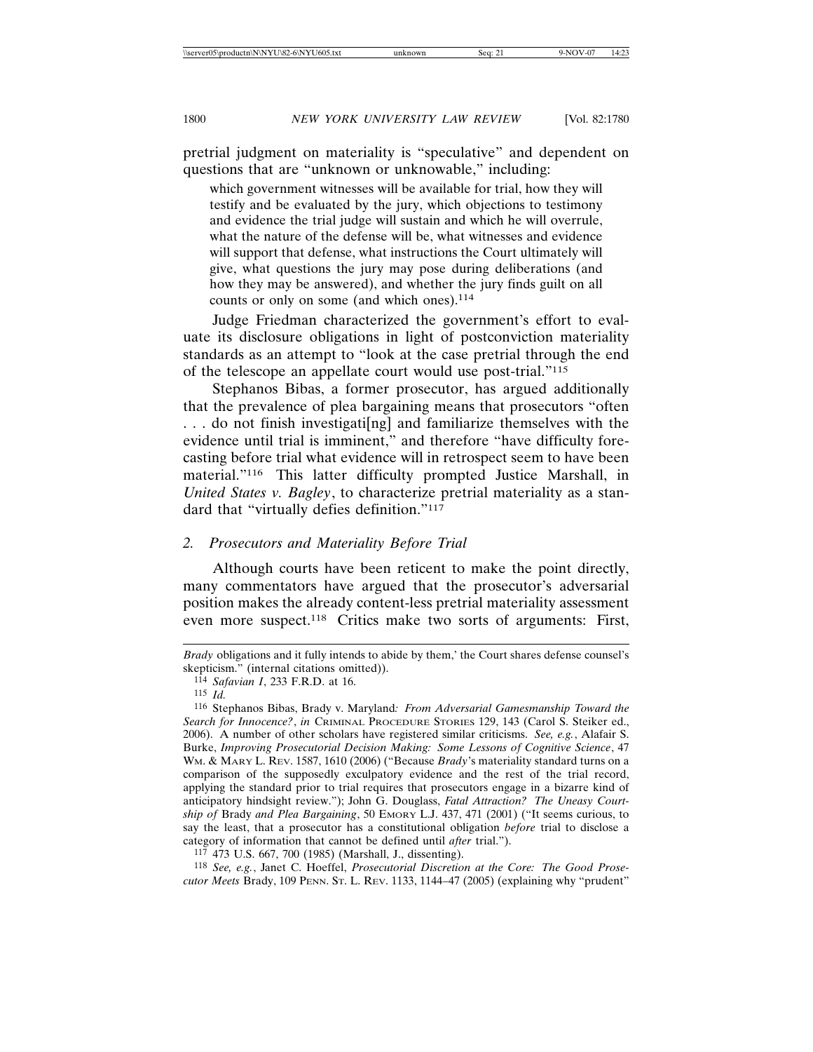pretrial judgment on materiality is "speculative" and dependent on questions that are "unknown or unknowable," including:

which government witnesses will be available for trial, how they will testify and be evaluated by the jury, which objections to testimony and evidence the trial judge will sustain and which he will overrule, what the nature of the defense will be, what witnesses and evidence will support that defense, what instructions the Court ultimately will give, what questions the jury may pose during deliberations (and how they may be answered), and whether the jury finds guilt on all counts or only on some (and which ones).<sup>114</sup>

Judge Friedman characterized the government's effort to evaluate its disclosure obligations in light of postconviction materiality standards as an attempt to "look at the case pretrial through the end of the telescope an appellate court would use post-trial."115

Stephanos Bibas, a former prosecutor, has argued additionally that the prevalence of plea bargaining means that prosecutors "often . . . do not finish investigati[ng] and familiarize themselves with the evidence until trial is imminent," and therefore "have difficulty forecasting before trial what evidence will in retrospect seem to have been material."116 This latter difficulty prompted Justice Marshall, in *United States v. Bagley*, to characterize pretrial materiality as a standard that "virtually defies definition."117

#### *2. Prosecutors and Materiality Before Trial*

Although courts have been reticent to make the point directly, many commentators have argued that the prosecutor's adversarial position makes the already content-less pretrial materiality assessment even more suspect.118 Critics make two sorts of arguments: First,

*Brady* obligations and it fully intends to abide by them,' the Court shares defense counsel's skepticism." (internal citations omitted)).

<sup>114</sup> *Safavian I*, 233 F.R.D. at 16.

<sup>115</sup> *Id.*

<sup>116</sup> Stephanos Bibas, Brady v. Maryland*: From Adversarial Gamesmanship Toward the Search for Innocence?*, *in* CRIMINAL PROCEDURE STORIES 129, 143 (Carol S. Steiker ed., 2006). A number of other scholars have registered similar criticisms. *See, e.g.*, Alafair S. Burke, *Improving Prosecutorial Decision Making: Some Lessons of Cognitive Science*, 47 WM. & MARY L. REV. 1587, 1610 (2006) ("Because *Brady*'s materiality standard turns on a comparison of the supposedly exculpatory evidence and the rest of the trial record, applying the standard prior to trial requires that prosecutors engage in a bizarre kind of anticipatory hindsight review."); John G. Douglass, *Fatal Attraction? The Uneasy Courtship of* Brady *and Plea Bargaining*, 50 EMORY L.J. 437, 471 (2001) ("It seems curious, to say the least, that a prosecutor has a constitutional obligation *before* trial to disclose a category of information that cannot be defined until *after* trial.").

<sup>117</sup> 473 U.S. 667, 700 (1985) (Marshall, J., dissenting).

<sup>118</sup> *See, e.g.*, Janet C. Hoeffel, *Prosecutorial Discretion at the Core: The Good Prosecutor Meets* Brady, 109 PENN. ST. L. REV. 1133, 1144–47 (2005) (explaining why "prudent"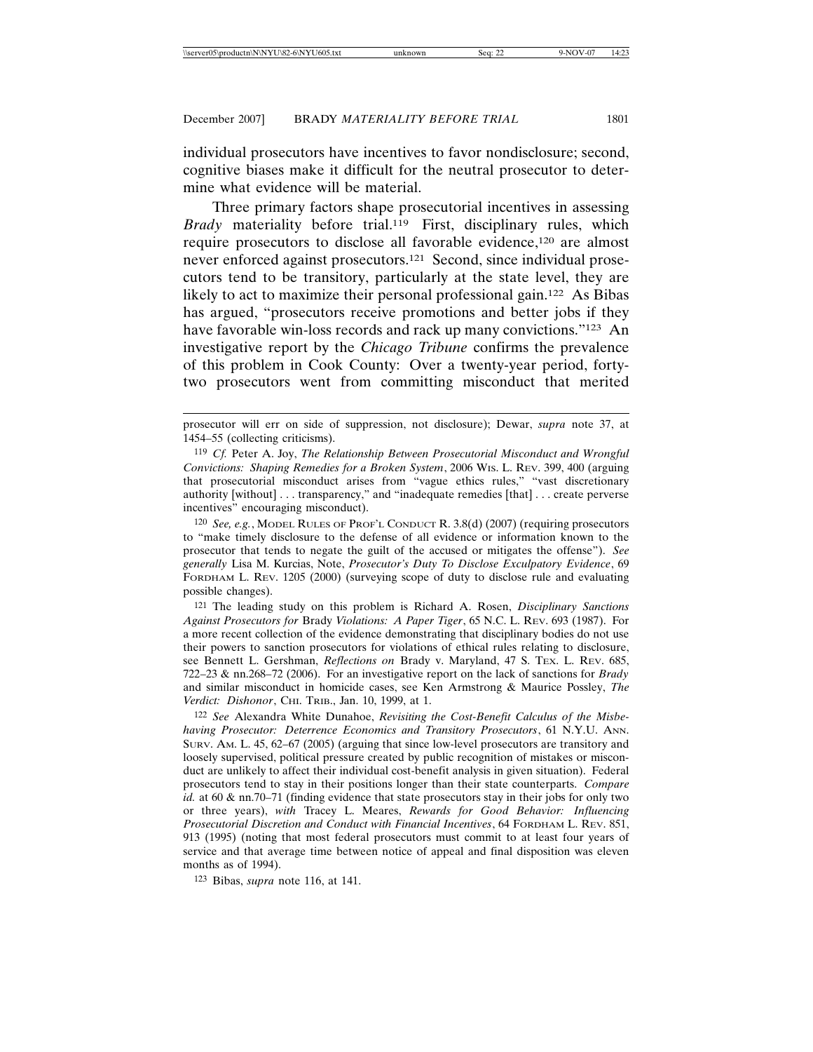individual prosecutors have incentives to favor nondisclosure; second, cognitive biases make it difficult for the neutral prosecutor to determine what evidence will be material.

Three primary factors shape prosecutorial incentives in assessing *Brady* materiality before trial.119 First, disciplinary rules, which require prosecutors to disclose all favorable evidence,120 are almost never enforced against prosecutors.121 Second, since individual prosecutors tend to be transitory, particularly at the state level, they are likely to act to maximize their personal professional gain.<sup>122</sup> As Bibas has argued, "prosecutors receive promotions and better jobs if they have favorable win-loss records and rack up many convictions."<sup>123</sup> An investigative report by the *Chicago Tribune* confirms the prevalence of this problem in Cook County: Over a twenty-year period, fortytwo prosecutors went from committing misconduct that merited

120 *See, e.g.*, MODEL RULES OF PROF'L CONDUCT R. 3.8(d) (2007) (requiring prosecutors to "make timely disclosure to the defense of all evidence or information known to the prosecutor that tends to negate the guilt of the accused or mitigates the offense"). *See generally* Lisa M. Kurcias, Note, *Prosecutor's Duty To Disclose Exculpatory Evidence*, 69 FORDHAM L. REV. 1205 (2000) (surveying scope of duty to disclose rule and evaluating possible changes).

121 The leading study on this problem is Richard A. Rosen, *Disciplinary Sanctions Against Prosecutors for* Brady *Violations: A Paper Tiger*, 65 N.C. L. REV. 693 (1987). For a more recent collection of the evidence demonstrating that disciplinary bodies do not use their powers to sanction prosecutors for violations of ethical rules relating to disclosure, see Bennett L. Gershman, *Reflections on* Brady v. Maryland, 47 S. TEX. L. REV. 685, 722–23 & nn.268–72 (2006). For an investigative report on the lack of sanctions for *Brady* and similar misconduct in homicide cases, see Ken Armstrong & Maurice Possley, *The Verdict: Dishonor*, CHI. TRIB., Jan. 10, 1999, at 1.

122 *See* Alexandra White Dunahoe, *Revisiting the Cost-Benefit Calculus of the Misbehaving Prosecutor: Deterrence Economics and Transitory Prosecutors*, 61 N.Y.U. ANN. SURV. AM. L. 45, 62–67 (2005) (arguing that since low-level prosecutors are transitory and loosely supervised, political pressure created by public recognition of mistakes or misconduct are unlikely to affect their individual cost-benefit analysis in given situation). Federal prosecutors tend to stay in their positions longer than their state counterparts. *Compare id.* at 60 & nn.70–71 (finding evidence that state prosecutors stay in their jobs for only two or three years), *with* Tracey L. Meares, *Rewards for Good Behavior: Influencing Prosecutorial Discretion and Conduct with Financial Incentives*, 64 FORDHAM L. REV. 851, 913 (1995) (noting that most federal prosecutors must commit to at least four years of service and that average time between notice of appeal and final disposition was eleven months as of 1994).

123 Bibas, *supra* note 116, at 141.

prosecutor will err on side of suppression, not disclosure); Dewar, *supra* note 37, at 1454–55 (collecting criticisms).

<sup>119</sup> *Cf.* Peter A. Joy, *The Relationship Between Prosecutorial Misconduct and Wrongful Convictions: Shaping Remedies for a Broken System*, 2006 WIS. L. REV. 399, 400 (arguing that prosecutorial misconduct arises from "vague ethics rules," "vast discretionary authority [without] . . . transparency," and "inadequate remedies [that] . . . create perverse incentives" encouraging misconduct).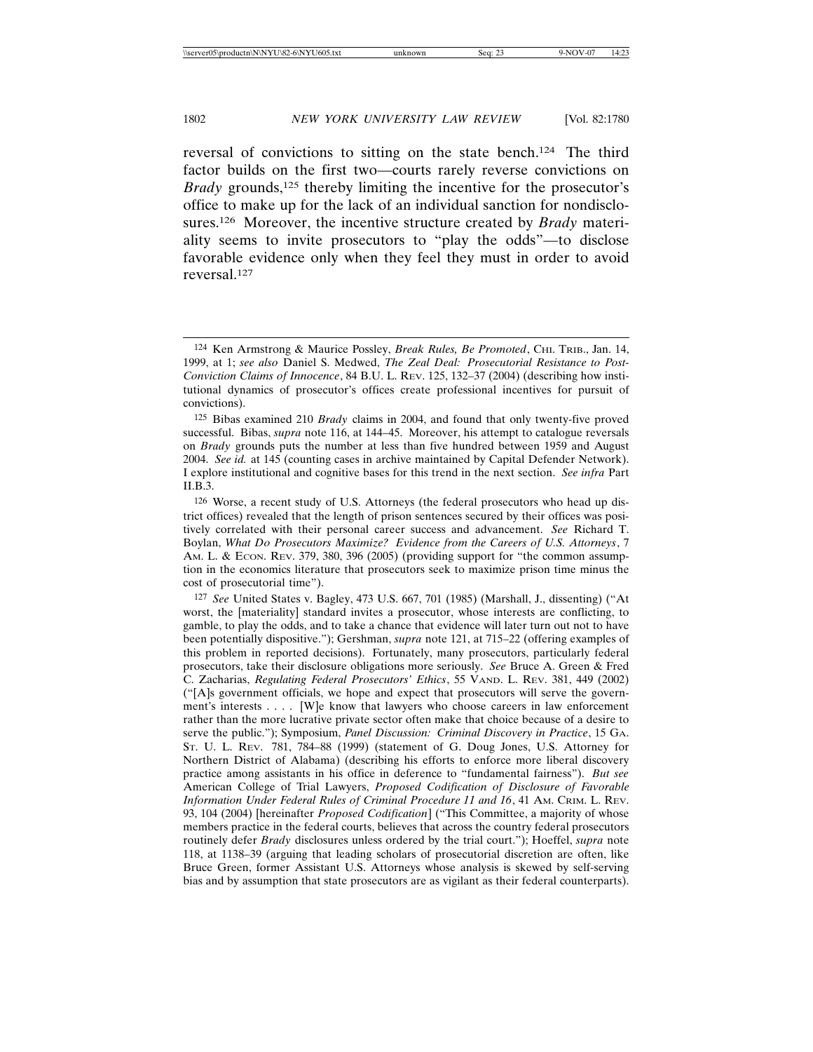reversal of convictions to sitting on the state bench.124 The third factor builds on the first two—courts rarely reverse convictions on *Brady* grounds,<sup>125</sup> thereby limiting the incentive for the prosecutor's office to make up for the lack of an individual sanction for nondisclosures.126 Moreover, the incentive structure created by *Brady* materiality seems to invite prosecutors to "play the odds"—to disclose favorable evidence only when they feel they must in order to avoid reversal.127

<sup>124</sup> Ken Armstrong & Maurice Possley, *Break Rules, Be Promoted*, CHI. TRIB., Jan. 14, 1999, at 1; *see also* Daniel S. Medwed, *The Zeal Deal: Prosecutorial Resistance to Post-Conviction Claims of Innocence*, 84 B.U. L. REV. 125, 132–37 (2004) (describing how institutional dynamics of prosecutor's offices create professional incentives for pursuit of convictions).

<sup>125</sup> Bibas examined 210 *Brady* claims in 2004, and found that only twenty-five proved successful. Bibas, *supra* note 116, at 144–45. Moreover, his attempt to catalogue reversals on *Brady* grounds puts the number at less than five hundred between 1959 and August 2004. *See id.* at 145 (counting cases in archive maintained by Capital Defender Network). I explore institutional and cognitive bases for this trend in the next section. *See infra* Part II.B.3.

<sup>126</sup> Worse, a recent study of U.S. Attorneys (the federal prosecutors who head up district offices) revealed that the length of prison sentences secured by their offices was positively correlated with their personal career success and advancement. *See* Richard T. Boylan, *What Do Prosecutors Maximize? Evidence from the Careers of U.S. Attorneys*, 7 AM. L. & ECON. REV. 379, 380, 396 (2005) (providing support for "the common assumption in the economics literature that prosecutors seek to maximize prison time minus the cost of prosecutorial time").

<sup>127</sup> *See* United States v. Bagley, 473 U.S. 667, 701 (1985) (Marshall, J., dissenting) ("At worst, the [materiality] standard invites a prosecutor, whose interests are conflicting, to gamble, to play the odds, and to take a chance that evidence will later turn out not to have been potentially dispositive."); Gershman, *supra* note 121, at 715–22 (offering examples of this problem in reported decisions). Fortunately, many prosecutors, particularly federal prosecutors, take their disclosure obligations more seriously. *See* Bruce A. Green & Fred C. Zacharias, *Regulating Federal Prosecutors' Ethics*, 55 VAND. L. REV. 381, 449 (2002) ("[A]s government officials, we hope and expect that prosecutors will serve the government's interests . . . . [W]e know that lawyers who choose careers in law enforcement rather than the more lucrative private sector often make that choice because of a desire to serve the public."); Symposium, *Panel Discussion: Criminal Discovery in Practice*, 15 GA. ST. U. L. REV. 781, 784–88 (1999) (statement of G. Doug Jones, U.S. Attorney for Northern District of Alabama) (describing his efforts to enforce more liberal discovery practice among assistants in his office in deference to "fundamental fairness"). *But see* American College of Trial Lawyers, *Proposed Codification of Disclosure of Favorable Information Under Federal Rules of Criminal Procedure 11 and 16*, 41 AM. CRIM. L. REV. 93, 104 (2004) [hereinafter *Proposed Codification*] ("This Committee, a majority of whose members practice in the federal courts, believes that across the country federal prosecutors routinely defer *Brady* disclosures unless ordered by the trial court."); Hoeffel, *supra* note 118, at 1138–39 (arguing that leading scholars of prosecutorial discretion are often, like Bruce Green, former Assistant U.S. Attorneys whose analysis is skewed by self-serving bias and by assumption that state prosecutors are as vigilant as their federal counterparts).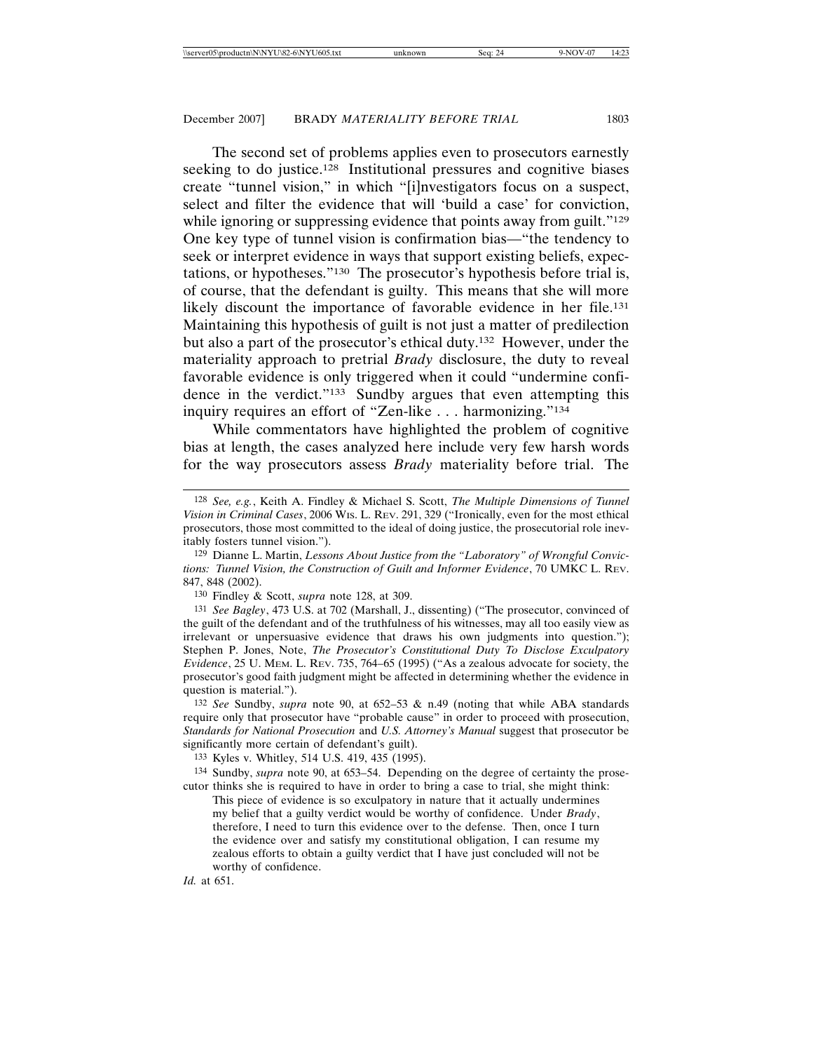The second set of problems applies even to prosecutors earnestly seeking to do justice.<sup>128</sup> Institutional pressures and cognitive biases create "tunnel vision," in which "[i]nvestigators focus on a suspect, select and filter the evidence that will 'build a case' for conviction, while ignoring or suppressing evidence that points away from guilt."<sup>129</sup> One key type of tunnel vision is confirmation bias—"the tendency to seek or interpret evidence in ways that support existing beliefs, expectations, or hypotheses."130 The prosecutor's hypothesis before trial is, of course, that the defendant is guilty. This means that she will more likely discount the importance of favorable evidence in her file.<sup>131</sup> Maintaining this hypothesis of guilt is not just a matter of predilection but also a part of the prosecutor's ethical duty.132 However, under the materiality approach to pretrial *Brady* disclosure, the duty to reveal favorable evidence is only triggered when it could "undermine confidence in the verdict."133 Sundby argues that even attempting this inquiry requires an effort of "Zen-like . . . harmonizing."134

While commentators have highlighted the problem of cognitive bias at length, the cases analyzed here include very few harsh words for the way prosecutors assess *Brady* materiality before trial. The

130 Findley & Scott, *supra* note 128, at 309.

*Id.* at 651.

<sup>128</sup> *See, e.g.*, Keith A. Findley & Michael S. Scott, *The Multiple Dimensions of Tunnel Vision in Criminal Cases*, 2006 WIS. L. REV. 291, 329 ("Ironically, even for the most ethical prosecutors, those most committed to the ideal of doing justice, the prosecutorial role inevitably fosters tunnel vision.").

<sup>129</sup> Dianne L. Martin, *Lessons About Justice from the "Laboratory" of Wrongful Convictions: Tunnel Vision, the Construction of Guilt and Informer Evidence*, 70 UMKC L. REV. 847, 848 (2002).

<sup>131</sup> *See Bagley*, 473 U.S. at 702 (Marshall, J., dissenting) ("The prosecutor, convinced of the guilt of the defendant and of the truthfulness of his witnesses, may all too easily view as irrelevant or unpersuasive evidence that draws his own judgments into question."); Stephen P. Jones, Note, *The Prosecutor's Constitutional Duty To Disclose Exculpatory Evidence*, 25 U. MEM. L. REV. 735, 764–65 (1995) ("As a zealous advocate for society, the prosecutor's good faith judgment might be affected in determining whether the evidence in question is material.").

<sup>132</sup> *See* Sundby, *supra* note 90, at 652–53 & n.49 (noting that while ABA standards require only that prosecutor have "probable cause" in order to proceed with prosecution, *Standards for National Prosecution* and *U.S. Attorney's Manual* suggest that prosecutor be significantly more certain of defendant's guilt).

<sup>133</sup> Kyles v. Whitley, 514 U.S. 419, 435 (1995).

<sup>134</sup> Sundby, *supra* note 90, at 653–54. Depending on the degree of certainty the prosecutor thinks she is required to have in order to bring a case to trial, she might think:

This piece of evidence is so exculpatory in nature that it actually undermines my belief that a guilty verdict would be worthy of confidence. Under *Brady*, therefore, I need to turn this evidence over to the defense. Then, once I turn the evidence over and satisfy my constitutional obligation, I can resume my zealous efforts to obtain a guilty verdict that I have just concluded will not be worthy of confidence.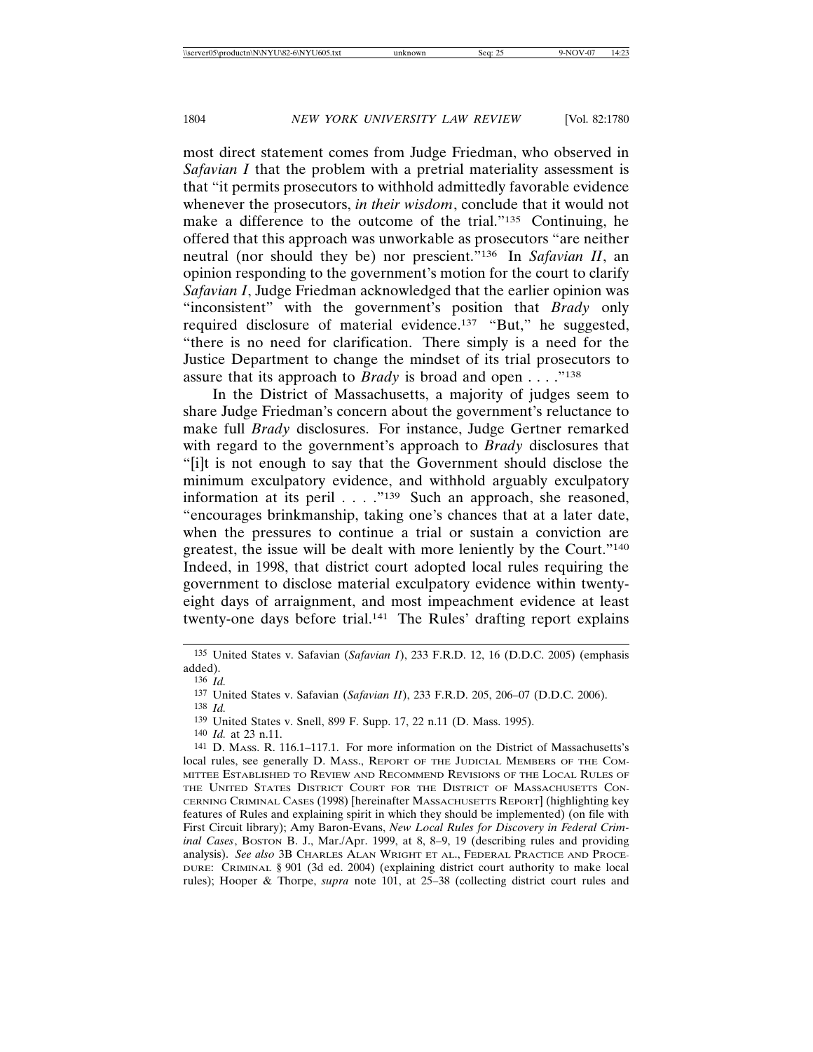most direct statement comes from Judge Friedman, who observed in *Safavian I* that the problem with a pretrial materiality assessment is that "it permits prosecutors to withhold admittedly favorable evidence whenever the prosecutors, *in their wisdom*, conclude that it would not make a difference to the outcome of the trial."135 Continuing, he offered that this approach was unworkable as prosecutors "are neither neutral (nor should they be) nor prescient."136 In *Safavian II*, an opinion responding to the government's motion for the court to clarify *Safavian I*, Judge Friedman acknowledged that the earlier opinion was "inconsistent" with the government's position that *Brady* only required disclosure of material evidence.137 "But," he suggested, "there is no need for clarification. There simply is a need for the Justice Department to change the mindset of its trial prosecutors to assure that its approach to *Brady* is broad and open . . . ."138

In the District of Massachusetts, a majority of judges seem to share Judge Friedman's concern about the government's reluctance to make full *Brady* disclosures. For instance, Judge Gertner remarked with regard to the government's approach to *Brady* disclosures that "[i]t is not enough to say that the Government should disclose the minimum exculpatory evidence, and withhold arguably exculpatory information at its peril . . . . "<sup>139</sup> Such an approach, she reasoned, "encourages brinkmanship, taking one's chances that at a later date, when the pressures to continue a trial or sustain a conviction are greatest, the issue will be dealt with more leniently by the Court."140 Indeed, in 1998, that district court adopted local rules requiring the government to disclose material exculpatory evidence within twentyeight days of arraignment, and most impeachment evidence at least twenty-one days before trial.141 The Rules' drafting report explains

138 *Id.*

140 *Id.* at 23 n.11.

<sup>135</sup> United States v. Safavian (*Safavian I*), 233 F.R.D. 12, 16 (D.D.C. 2005) (emphasis added).

<sup>136</sup> *Id.*

<sup>137</sup> United States v. Safavian (*Safavian II*), 233 F.R.D. 205, 206–07 (D.D.C. 2006).

<sup>139</sup> United States v. Snell, 899 F. Supp. 17, 22 n.11 (D. Mass. 1995).

<sup>141</sup> D. MASS. R. 116.1–117.1. For more information on the District of Massachusetts's local rules, see generally D. MASS., REPORT OF THE JUDICIAL MEMBERS OF THE COM-MITTEE ESTABLISHED TO REVIEW AND RECOMMEND REVISIONS OF THE LOCAL RULES OF THE UNITED STATES DISTRICT COURT FOR THE DISTRICT OF MASSACHUSETTS CON-CERNING CRIMINAL CASES (1998) [hereinafter MASSACHUSETTS REPORT] (highlighting key features of Rules and explaining spirit in which they should be implemented) (on file with First Circuit library); Amy Baron-Evans, *New Local Rules for Discovery in Federal Criminal Cases*, BOSTON B. J., Mar./Apr. 1999, at 8, 8–9, 19 (describing rules and providing analysis). *See also* 3B CHARLES ALAN WRIGHT ET AL., FEDERAL PRACTICE AND PROCE-DURE: CRIMINAL § 901 (3d ed. 2004) (explaining district court authority to make local rules); Hooper & Thorpe, *supra* note 101, at 25–38 (collecting district court rules and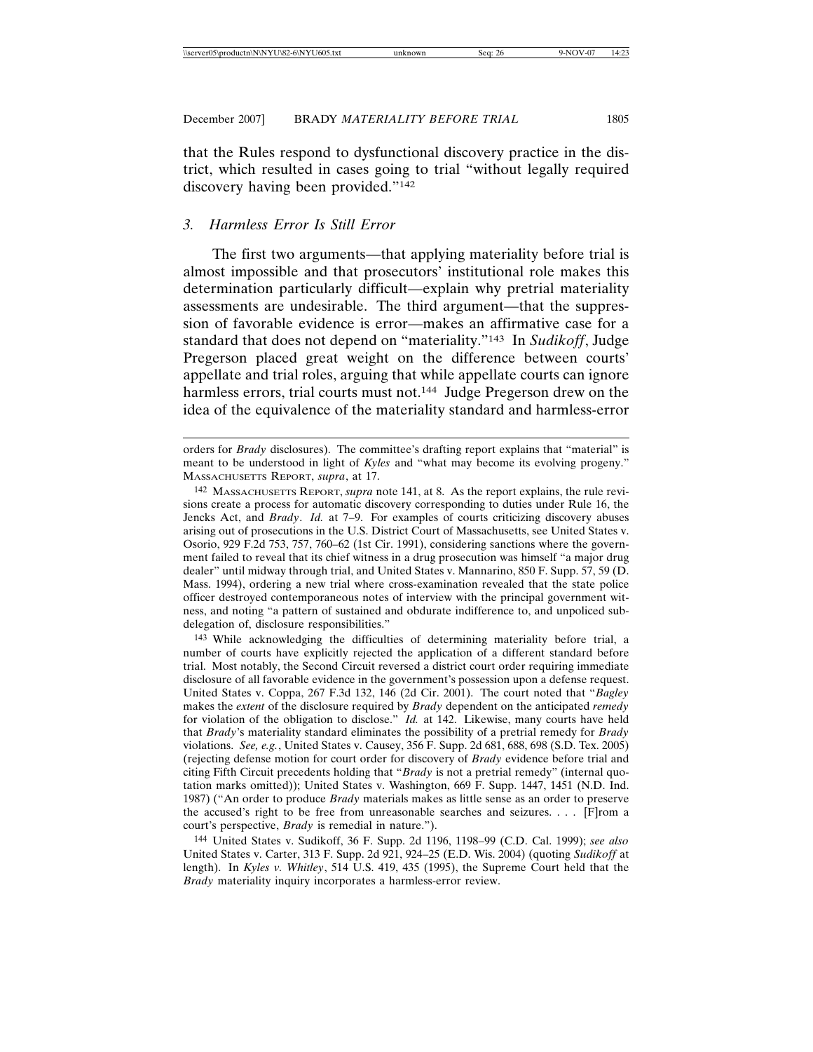that the Rules respond to dysfunctional discovery practice in the district, which resulted in cases going to trial "without legally required discovery having been provided."142

#### *3. Harmless Error Is Still Error*

The first two arguments—that applying materiality before trial is almost impossible and that prosecutors' institutional role makes this determination particularly difficult—explain why pretrial materiality assessments are undesirable. The third argument—that the suppression of favorable evidence is error—makes an affirmative case for a standard that does not depend on "materiality."143 In *Sudikoff*, Judge Pregerson placed great weight on the difference between courts' appellate and trial roles, arguing that while appellate courts can ignore harmless errors, trial courts must not.<sup>144</sup> Judge Pregerson drew on the idea of the equivalence of the materiality standard and harmless-error

143 While acknowledging the difficulties of determining materiality before trial, a number of courts have explicitly rejected the application of a different standard before trial. Most notably, the Second Circuit reversed a district court order requiring immediate disclosure of all favorable evidence in the government's possession upon a defense request. United States v. Coppa, 267 F.3d 132, 146 (2d Cir. 2001). The court noted that "*Bagley* makes the *extent* of the disclosure required by *Brady* dependent on the anticipated *remedy* for violation of the obligation to disclose." *Id.* at 142. Likewise, many courts have held that *Brady*'s materiality standard eliminates the possibility of a pretrial remedy for *Brady* violations. *See, e.g.*, United States v. Causey, 356 F. Supp. 2d 681, 688, 698 (S.D. Tex. 2005) (rejecting defense motion for court order for discovery of *Brady* evidence before trial and citing Fifth Circuit precedents holding that "*Brady* is not a pretrial remedy" (internal quotation marks omitted)); United States v. Washington, 669 F. Supp. 1447, 1451 (N.D. Ind. 1987) ("An order to produce *Brady* materials makes as little sense as an order to preserve the accused's right to be free from unreasonable searches and seizures. . . . [F]rom a court's perspective, *Brady* is remedial in nature.").

144 United States v. Sudikoff, 36 F. Supp. 2d 1196, 1198–99 (C.D. Cal. 1999); *see also* United States v. Carter, 313 F. Supp. 2d 921, 924–25 (E.D. Wis. 2004) (quoting *Sudikoff* at length). In *Kyles v. Whitley*, 514 U.S. 419, 435 (1995), the Supreme Court held that the *Brady* materiality inquiry incorporates a harmless-error review.

orders for *Brady* disclosures). The committee's drafting report explains that "material" is meant to be understood in light of *Kyles* and "what may become its evolving progeny." MASSACHUSETTS REPORT, *supra*, at 17.

<sup>142</sup> MASSACHUSETTS REPORT, *supra* note 141, at 8. As the report explains, the rule revisions create a process for automatic discovery corresponding to duties under Rule 16, the Jencks Act, and *Brady*. *Id.* at 7–9. For examples of courts criticizing discovery abuses arising out of prosecutions in the U.S. District Court of Massachusetts, see United States v. Osorio, 929 F.2d 753, 757, 760–62 (1st Cir. 1991), considering sanctions where the government failed to reveal that its chief witness in a drug prosecution was himself "a major drug dealer" until midway through trial, and United States v. Mannarino, 850 F. Supp. 57, 59 (D. Mass. 1994), ordering a new trial where cross-examination revealed that the state police officer destroyed contemporaneous notes of interview with the principal government witness, and noting "a pattern of sustained and obdurate indifference to, and unpoliced subdelegation of, disclosure responsibilities."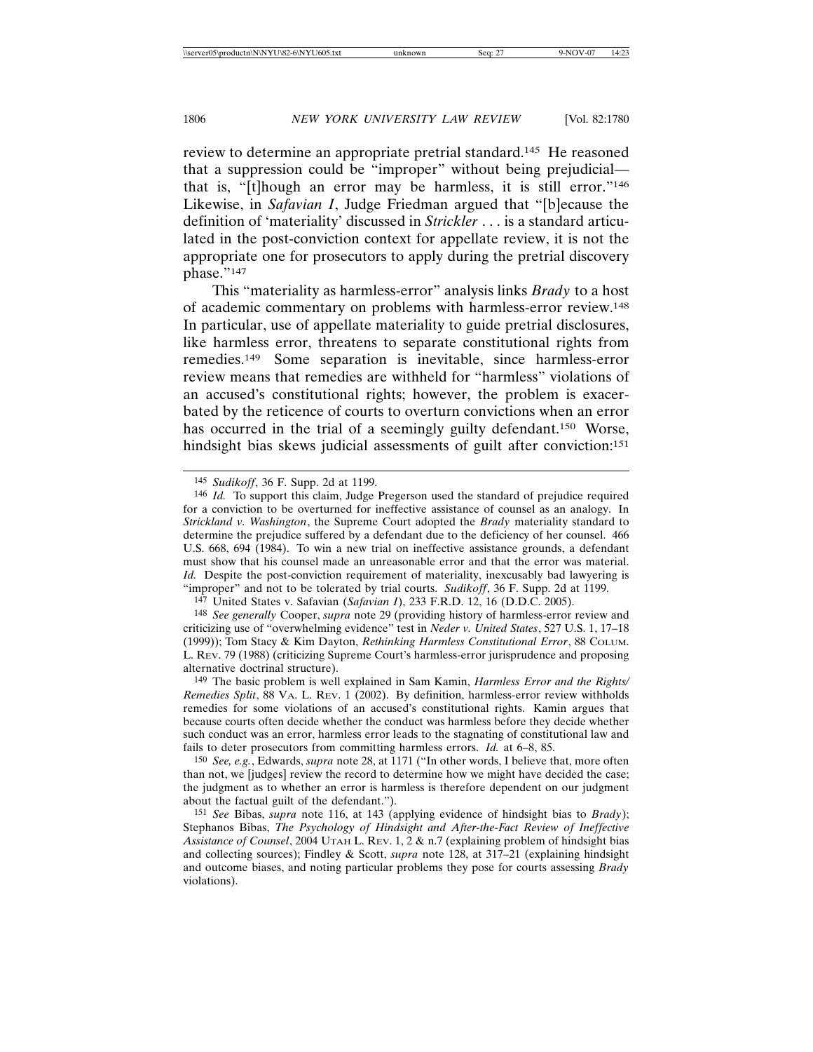review to determine an appropriate pretrial standard.145 He reasoned that a suppression could be "improper" without being prejudicial that is, "[t]hough an error may be harmless, it is still error."146 Likewise, in *Safavian I*, Judge Friedman argued that "[b]ecause the definition of 'materiality' discussed in *Strickler* . . . is a standard articulated in the post-conviction context for appellate review, it is not the appropriate one for prosecutors to apply during the pretrial discovery phase."147

This "materiality as harmless-error" analysis links *Brady* to a host of academic commentary on problems with harmless-error review.148 In particular, use of appellate materiality to guide pretrial disclosures, like harmless error, threatens to separate constitutional rights from remedies.149 Some separation is inevitable, since harmless-error review means that remedies are withheld for "harmless" violations of an accused's constitutional rights; however, the problem is exacerbated by the reticence of courts to overturn convictions when an error has occurred in the trial of a seemingly guilty defendant.<sup>150</sup> Worse, hindsight bias skews judicial assessments of guilt after conviction:<sup>151</sup>

147 United States v. Safavian (*Safavian I*), 233 F.R.D. 12, 16 (D.D.C. 2005).

148 *See generally* Cooper, *supra* note 29 (providing history of harmless-error review and criticizing use of "overwhelming evidence" test in *Neder v. United States*, 527 U.S. 1, 17–18 (1999)); Tom Stacy & Kim Dayton, *Rethinking Harmless Constitutional Error*, 88 COLUM. L. REV. 79 (1988) (criticizing Supreme Court's harmless-error jurisprudence and proposing alternative doctrinal structure).

149 The basic problem is well explained in Sam Kamin, *Harmless Error and the Rights/ Remedies Split*, 88 VA. L. REV. 1 (2002). By definition, harmless-error review withholds remedies for some violations of an accused's constitutional rights. Kamin argues that because courts often decide whether the conduct was harmless before they decide whether such conduct was an error, harmless error leads to the stagnating of constitutional law and fails to deter prosecutors from committing harmless errors. *Id.* at 6–8, 85.

150 *See, e.g.*, Edwards, *supra* note 28, at 1171 ("In other words, I believe that, more often than not, we [judges] review the record to determine how we might have decided the case; the judgment as to whether an error is harmless is therefore dependent on our judgment about the factual guilt of the defendant.").

151 *See* Bibas, *supra* note 116, at 143 (applying evidence of hindsight bias to *Brady*); Stephanos Bibas, *The Psychology of Hindsight and After-the-Fact Review of Ineffective Assistance of Counsel*, 2004 UTAH L. REV. 1, 2 & n.7 (explaining problem of hindsight bias and collecting sources); Findley & Scott, *supra* note 128, at 317–21 (explaining hindsight and outcome biases, and noting particular problems they pose for courts assessing *Brady* violations).

<sup>145</sup> *Sudikoff*, 36 F. Supp. 2d at 1199.

<sup>146</sup> *Id.* To support this claim, Judge Pregerson used the standard of prejudice required for a conviction to be overturned for ineffective assistance of counsel as an analogy. In *Strickland v. Washington*, the Supreme Court adopted the *Brady* materiality standard to determine the prejudice suffered by a defendant due to the deficiency of her counsel. 466 U.S. 668, 694 (1984). To win a new trial on ineffective assistance grounds, a defendant must show that his counsel made an unreasonable error and that the error was material. *Id.* Despite the post-conviction requirement of materiality, inexcusably bad lawyering is "improper" and not to be tolerated by trial courts. *Sudikoff*, 36 F. Supp. 2d at 1199.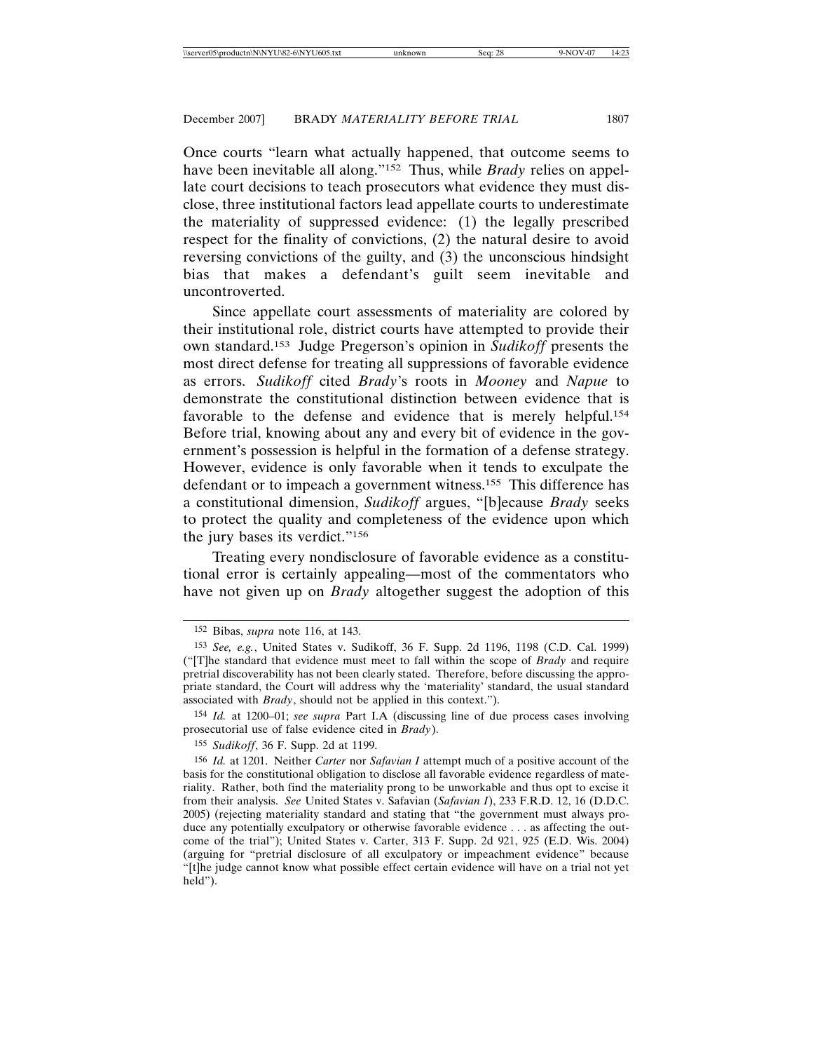Once courts "learn what actually happened, that outcome seems to have been inevitable all along."152 Thus, while *Brady* relies on appellate court decisions to teach prosecutors what evidence they must disclose, three institutional factors lead appellate courts to underestimate the materiality of suppressed evidence: (1) the legally prescribed respect for the finality of convictions, (2) the natural desire to avoid reversing convictions of the guilty, and (3) the unconscious hindsight bias that makes a defendant's guilt seem inevitable and uncontroverted.

Since appellate court assessments of materiality are colored by their institutional role, district courts have attempted to provide their own standard.153 Judge Pregerson's opinion in *Sudikoff* presents the most direct defense for treating all suppressions of favorable evidence as errors. *Sudikoff* cited *Brady*'s roots in *Mooney* and *Napue* to demonstrate the constitutional distinction between evidence that is favorable to the defense and evidence that is merely helpful.154 Before trial, knowing about any and every bit of evidence in the government's possession is helpful in the formation of a defense strategy. However, evidence is only favorable when it tends to exculpate the defendant or to impeach a government witness.155 This difference has a constitutional dimension, *Sudikoff* argues, "[b]ecause *Brady* seeks to protect the quality and completeness of the evidence upon which the jury bases its verdict."156

Treating every nondisclosure of favorable evidence as a constitutional error is certainly appealing—most of the commentators who have not given up on *Brady* altogether suggest the adoption of this

154 *Id.* at 1200–01; *see supra* Part I.A (discussing line of due process cases involving prosecutorial use of false evidence cited in *Brady*).

<sup>152</sup> Bibas, *supra* note 116, at 143.

<sup>153</sup> *See, e.g.*, United States v. Sudikoff, 36 F. Supp. 2d 1196, 1198 (C.D. Cal. 1999) ("[T]he standard that evidence must meet to fall within the scope of *Brady* and require pretrial discoverability has not been clearly stated. Therefore, before discussing the appropriate standard, the Court will address why the 'materiality' standard, the usual standard associated with *Brady*, should not be applied in this context.").

<sup>155</sup> *Sudikoff*, 36 F. Supp. 2d at 1199.

<sup>156</sup> *Id.* at 1201. Neither *Carter* nor *Safavian I* attempt much of a positive account of the basis for the constitutional obligation to disclose all favorable evidence regardless of materiality. Rather, both find the materiality prong to be unworkable and thus opt to excise it from their analysis. *See* United States v. Safavian (*Safavian I*), 233 F.R.D. 12, 16 (D.D.C. 2005) (rejecting materiality standard and stating that "the government must always produce any potentially exculpatory or otherwise favorable evidence . . . as affecting the outcome of the trial"); United States v. Carter, 313 F. Supp. 2d 921, 925 (E.D. Wis. 2004) (arguing for "pretrial disclosure of all exculpatory or impeachment evidence" because "[t]he judge cannot know what possible effect certain evidence will have on a trial not yet held").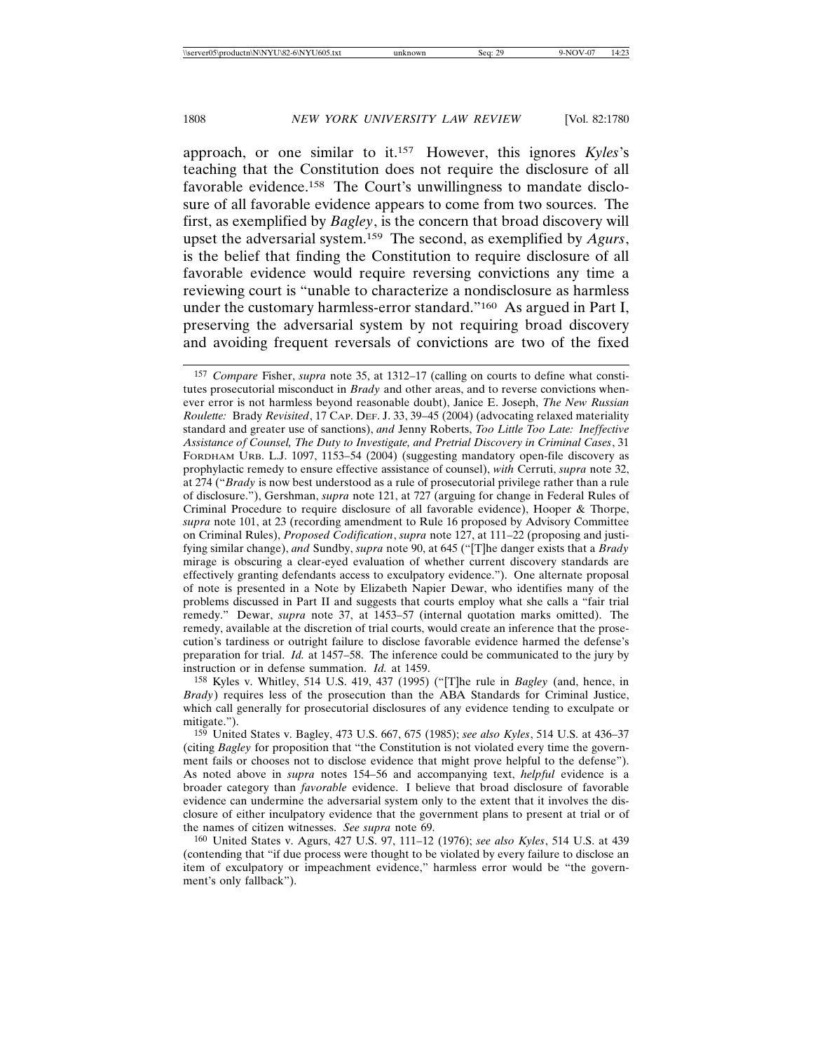approach, or one similar to it.157 However, this ignores *Kyles*'s teaching that the Constitution does not require the disclosure of all favorable evidence.<sup>158</sup> The Court's unwillingness to mandate disclosure of all favorable evidence appears to come from two sources. The first, as exemplified by *Bagley*, is the concern that broad discovery will upset the adversarial system.159 The second, as exemplified by *Agurs*, is the belief that finding the Constitution to require disclosure of all favorable evidence would require reversing convictions any time a reviewing court is "unable to characterize a nondisclosure as harmless under the customary harmless-error standard."160 As argued in Part I, preserving the adversarial system by not requiring broad discovery and avoiding frequent reversals of convictions are two of the fixed

158 Kyles v. Whitley, 514 U.S. 419, 437 (1995) ("[T]he rule in *Bagley* (and, hence, in *Brady*) requires less of the prosecution than the ABA Standards for Criminal Justice, which call generally for prosecutorial disclosures of any evidence tending to exculpate or mitigate.").

<sup>157</sup> *Compare* Fisher, *supra* note 35, at 1312–17 (calling on courts to define what constitutes prosecutorial misconduct in *Brady* and other areas, and to reverse convictions whenever error is not harmless beyond reasonable doubt), Janice E. Joseph, *The New Russian Roulette:* Brady *Revisited*, 17 CAP. DEF. J. 33, 39–45 (2004) (advocating relaxed materiality standard and greater use of sanctions), *and* Jenny Roberts, *Too Little Too Late: Ineffective Assistance of Counsel, The Duty to Investigate, and Pretrial Discovery in Criminal Cases*, 31 FORDHAM URB. L.J. 1097, 1153–54 (2004) (suggesting mandatory open-file discovery as prophylactic remedy to ensure effective assistance of counsel), *with* Cerruti, *supra* note 32, at 274 ("*Brady* is now best understood as a rule of prosecutorial privilege rather than a rule of disclosure."), Gershman, *supra* note 121, at 727 (arguing for change in Federal Rules of Criminal Procedure to require disclosure of all favorable evidence), Hooper & Thorpe, *supra* note 101, at 23 (recording amendment to Rule 16 proposed by Advisory Committee on Criminal Rules), *Proposed Codification*, *supra* note 127, at 111–22 (proposing and justifying similar change), *and* Sundby, *supra* note 90, at 645 ("[T]he danger exists that a *Brady* mirage is obscuring a clear-eyed evaluation of whether current discovery standards are effectively granting defendants access to exculpatory evidence."). One alternate proposal of note is presented in a Note by Elizabeth Napier Dewar, who identifies many of the problems discussed in Part II and suggests that courts employ what she calls a "fair trial remedy." Dewar, *supra* note 37, at 1453–57 (internal quotation marks omitted). The remedy, available at the discretion of trial courts, would create an inference that the prosecution's tardiness or outright failure to disclose favorable evidence harmed the defense's preparation for trial. *Id.* at 1457–58. The inference could be communicated to the jury by instruction or in defense summation. *Id.* at 1459.

<sup>159</sup> United States v. Bagley, 473 U.S. 667, 675 (1985); *see also Kyles*, 514 U.S. at 436–37 (citing *Bagley* for proposition that "the Constitution is not violated every time the government fails or chooses not to disclose evidence that might prove helpful to the defense"). As noted above in *supra* notes 154–56 and accompanying text, *helpful* evidence is a broader category than *favorable* evidence. I believe that broad disclosure of favorable evidence can undermine the adversarial system only to the extent that it involves the disclosure of either inculpatory evidence that the government plans to present at trial or of the names of citizen witnesses. *See supra* note 69.

<sup>160</sup> United States v. Agurs, 427 U.S. 97, 111–12 (1976); *see also Kyles*, 514 U.S. at 439 (contending that "if due process were thought to be violated by every failure to disclose an item of exculpatory or impeachment evidence," harmless error would be "the government's only fallback").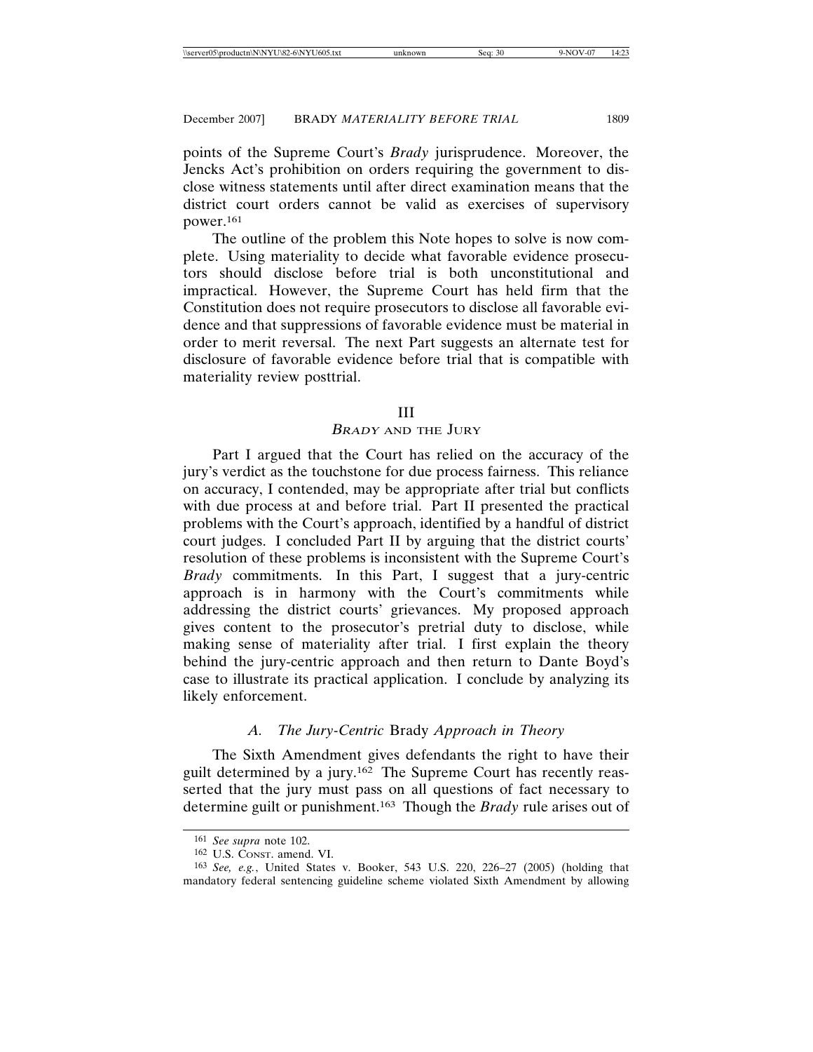points of the Supreme Court's *Brady* jurisprudence. Moreover, the Jencks Act's prohibition on orders requiring the government to disclose witness statements until after direct examination means that the district court orders cannot be valid as exercises of supervisory power.161

The outline of the problem this Note hopes to solve is now complete. Using materiality to decide what favorable evidence prosecutors should disclose before trial is both unconstitutional and impractical. However, the Supreme Court has held firm that the Constitution does not require prosecutors to disclose all favorable evidence and that suppressions of favorable evidence must be material in order to merit reversal. The next Part suggests an alternate test for disclosure of favorable evidence before trial that is compatible with materiality review posttrial.

#### III

## <sup>B</sup>RADY AND THE JURY

Part I argued that the Court has relied on the accuracy of the jury's verdict as the touchstone for due process fairness. This reliance on accuracy, I contended, may be appropriate after trial but conflicts with due process at and before trial. Part II presented the practical problems with the Court's approach, identified by a handful of district court judges. I concluded Part II by arguing that the district courts' resolution of these problems is inconsistent with the Supreme Court's *Brady* commitments. In this Part, I suggest that a jury-centric approach is in harmony with the Court's commitments while addressing the district courts' grievances. My proposed approach gives content to the prosecutor's pretrial duty to disclose, while making sense of materiality after trial. I first explain the theory behind the jury-centric approach and then return to Dante Boyd's case to illustrate its practical application. I conclude by analyzing its likely enforcement.

# *A. The Jury-Centric* Brady *Approach in Theory*

The Sixth Amendment gives defendants the right to have their guilt determined by a jury.162 The Supreme Court has recently reasserted that the jury must pass on all questions of fact necessary to determine guilt or punishment.163 Though the *Brady* rule arises out of

<sup>161</sup> *See supra* note 102.

<sup>162</sup> U.S. CONST. amend. VI.

<sup>163</sup> *See, e.g.*, United States v. Booker, 543 U.S. 220, 226–27 (2005) (holding that mandatory federal sentencing guideline scheme violated Sixth Amendment by allowing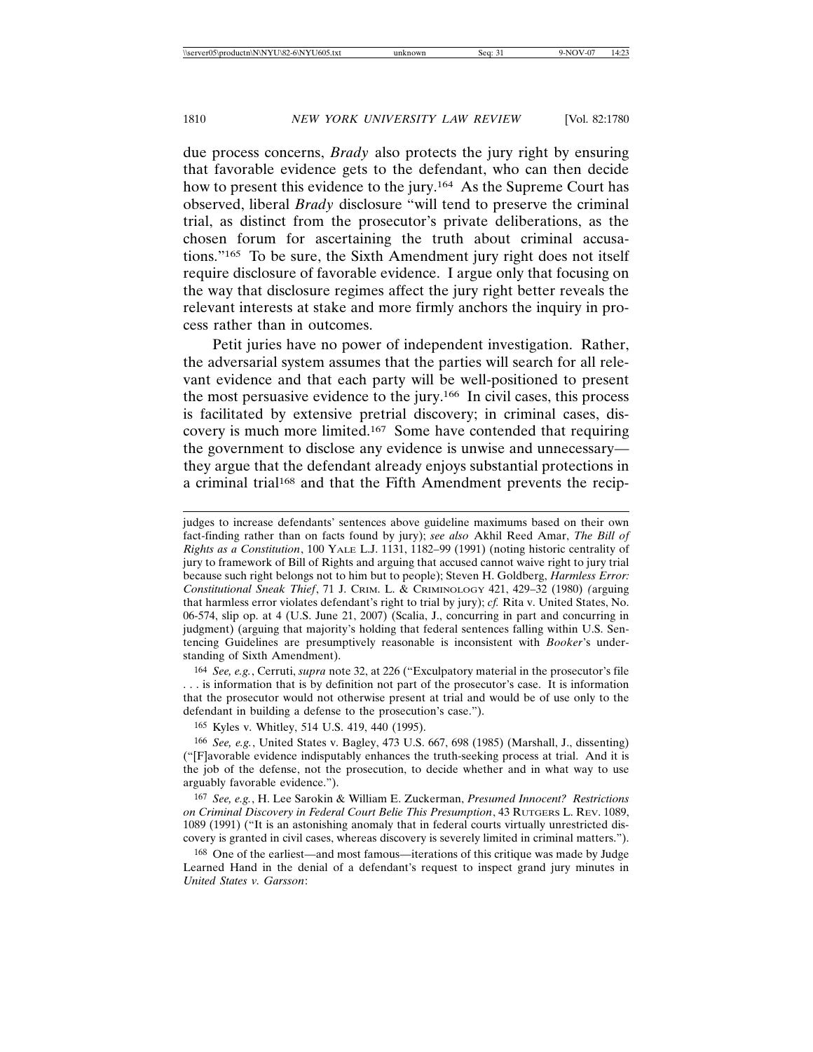due process concerns, *Brady* also protects the jury right by ensuring that favorable evidence gets to the defendant, who can then decide how to present this evidence to the jury.<sup>164</sup> As the Supreme Court has observed, liberal *Brady* disclosure "will tend to preserve the criminal trial, as distinct from the prosecutor's private deliberations, as the chosen forum for ascertaining the truth about criminal accusations."165 To be sure, the Sixth Amendment jury right does not itself require disclosure of favorable evidence. I argue only that focusing on the way that disclosure regimes affect the jury right better reveals the relevant interests at stake and more firmly anchors the inquiry in process rather than in outcomes.

Petit juries have no power of independent investigation. Rather, the adversarial system assumes that the parties will search for all relevant evidence and that each party will be well-positioned to present the most persuasive evidence to the jury.166 In civil cases, this process is facilitated by extensive pretrial discovery; in criminal cases, discovery is much more limited.167 Some have contended that requiring the government to disclose any evidence is unwise and unnecessary they argue that the defendant already enjoys substantial protections in a criminal trial<sup>168</sup> and that the Fifth Amendment prevents the recip-

164 *See, e.g.*, Cerruti, *supra* note 32, at 226 ("Exculpatory material in the prosecutor's file . . . is information that is by definition not part of the prosecutor's case. It is information that the prosecutor would not otherwise present at trial and would be of use only to the defendant in building a defense to the prosecution's case.").

165 Kyles v. Whitley, 514 U.S. 419, 440 (1995).

166 *See, e.g.*, United States v. Bagley, 473 U.S. 667, 698 (1985) (Marshall, J., dissenting) ("[F]avorable evidence indisputably enhances the truth-seeking process at trial. And it is the job of the defense, not the prosecution, to decide whether and in what way to use arguably favorable evidence.").

167 *See, e.g.*, H. Lee Sarokin & William E. Zuckerman, *Presumed Innocent? Restrictions on Criminal Discovery in Federal Court Belie This Presumption*, 43 RUTGERS L. REV. 1089, 1089 (1991) ("It is an astonishing anomaly that in federal courts virtually unrestricted discovery is granted in civil cases, whereas discovery is severely limited in criminal matters.").

168 One of the earliest—and most famous—iterations of this critique was made by Judge Learned Hand in the denial of a defendant's request to inspect grand jury minutes in *United States v. Garsson*:

judges to increase defendants' sentences above guideline maximums based on their own fact-finding rather than on facts found by jury); *see also* Akhil Reed Amar, *The Bill of Rights as a Constitution*, 100 YALE L.J. 1131, 1182–99 (1991) (noting historic centrality of jury to framework of Bill of Rights and arguing that accused cannot waive right to jury trial because such right belongs not to him but to people); Steven H. Goldberg, *Harmless Error: Constitutional Sneak Thief*, 71 J. CRIM. L. & CRIMINOLOGY 421, 429–32 (1980) *(*arguing that harmless error violates defendant's right to trial by jury); *cf.* Rita v. United States, No. 06-574, slip op. at 4 (U.S. June 21, 2007) (Scalia, J., concurring in part and concurring in judgment) (arguing that majority's holding that federal sentences falling within U.S. Sentencing Guidelines are presumptively reasonable is inconsistent with *Booker*'s understanding of Sixth Amendment).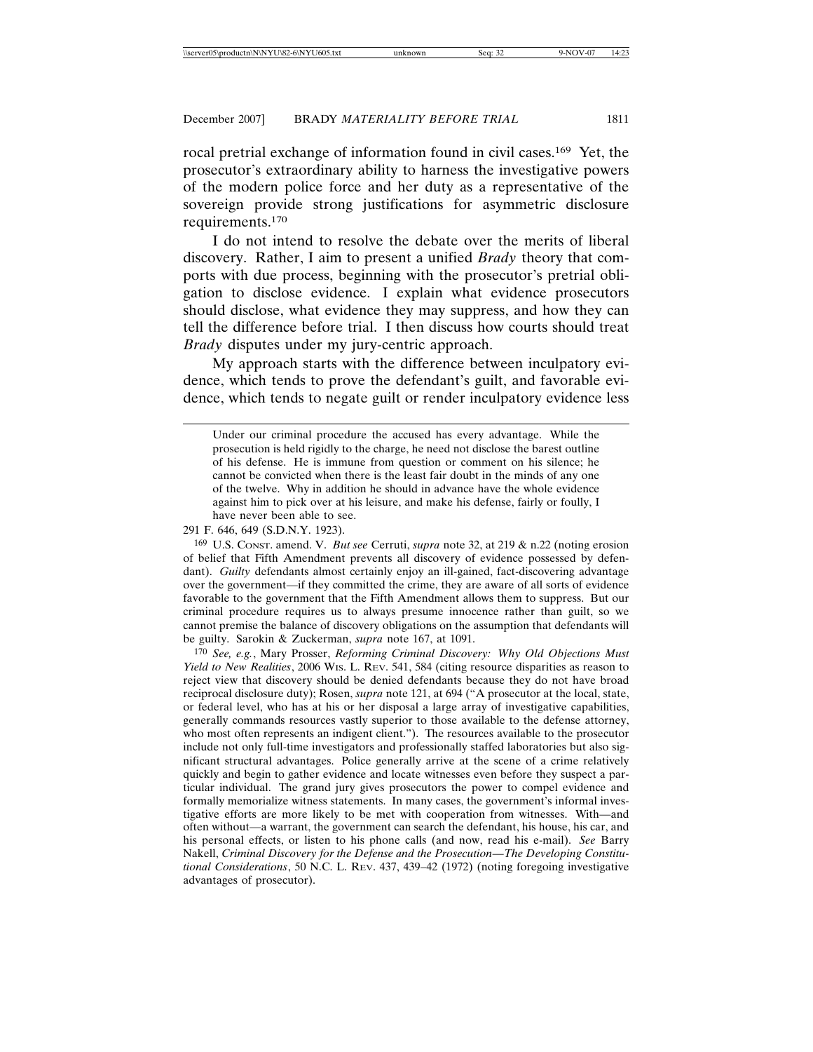rocal pretrial exchange of information found in civil cases.169 Yet, the prosecutor's extraordinary ability to harness the investigative powers of the modern police force and her duty as a representative of the sovereign provide strong justifications for asymmetric disclosure requirements.170

I do not intend to resolve the debate over the merits of liberal discovery. Rather, I aim to present a unified *Brady* theory that comports with due process, beginning with the prosecutor's pretrial obligation to disclose evidence. I explain what evidence prosecutors should disclose, what evidence they may suppress, and how they can tell the difference before trial. I then discuss how courts should treat *Brady* disputes under my jury-centric approach.

My approach starts with the difference between inculpatory evidence, which tends to prove the defendant's guilt, and favorable evidence, which tends to negate guilt or render inculpatory evidence less

291 F. 646, 649 (S.D.N.Y. 1923).

169 U.S. CONST. amend. V. *But see* Cerruti, *supra* note 32, at 219 & n.22 (noting erosion of belief that Fifth Amendment prevents all discovery of evidence possessed by defendant). *Guilty* defendants almost certainly enjoy an ill-gained, fact-discovering advantage over the government—if they committed the crime, they are aware of all sorts of evidence favorable to the government that the Fifth Amendment allows them to suppress. But our criminal procedure requires us to always presume innocence rather than guilt, so we cannot premise the balance of discovery obligations on the assumption that defendants will be guilty. Sarokin & Zuckerman, *supra* note 167, at 1091.

170 *See, e.g.*, Mary Prosser, *Reforming Criminal Discovery: Why Old Objections Must Yield to New Realities*, 2006 WIS. L. REV. 541, 584 (citing resource disparities as reason to reject view that discovery should be denied defendants because they do not have broad reciprocal disclosure duty); Rosen, *supra* note 121, at 694 ("A prosecutor at the local, state, or federal level, who has at his or her disposal a large array of investigative capabilities, generally commands resources vastly superior to those available to the defense attorney, who most often represents an indigent client."). The resources available to the prosecutor include not only full-time investigators and professionally staffed laboratories but also significant structural advantages. Police generally arrive at the scene of a crime relatively quickly and begin to gather evidence and locate witnesses even before they suspect a particular individual. The grand jury gives prosecutors the power to compel evidence and formally memorialize witness statements. In many cases, the government's informal investigative efforts are more likely to be met with cooperation from witnesses. With—and often without—a warrant, the government can search the defendant, his house, his car, and his personal effects, or listen to his phone calls (and now, read his e-mail). *See* Barry Nakell, *Criminal Discovery for the Defense and the Prosecution—The Developing Constitutional Considerations*, 50 N.C. L. REV. 437, 439–42 (1972) (noting foregoing investigative advantages of prosecutor).

Under our criminal procedure the accused has every advantage. While the prosecution is held rigidly to the charge, he need not disclose the barest outline of his defense. He is immune from question or comment on his silence; he cannot be convicted when there is the least fair doubt in the minds of any one of the twelve. Why in addition he should in advance have the whole evidence against him to pick over at his leisure, and make his defense, fairly or foully, I have never been able to see.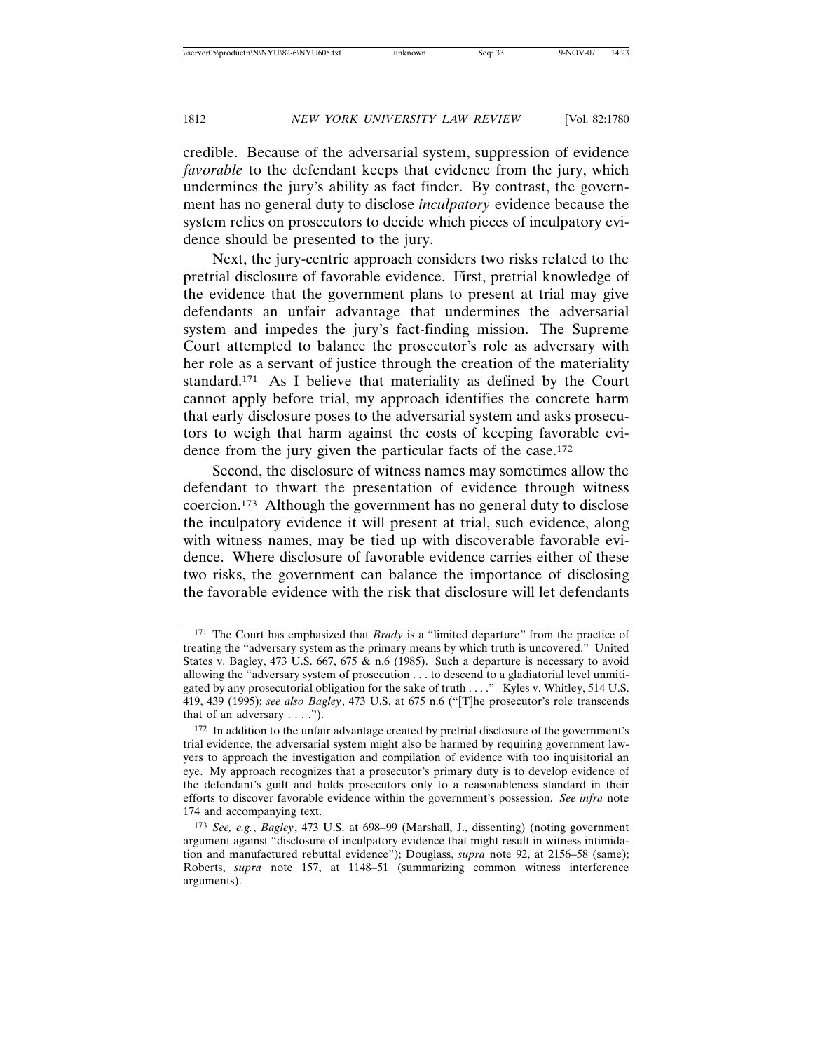credible. Because of the adversarial system, suppression of evidence *favorable* to the defendant keeps that evidence from the jury, which undermines the jury's ability as fact finder. By contrast, the government has no general duty to disclose *inculpatory* evidence because the system relies on prosecutors to decide which pieces of inculpatory evidence should be presented to the jury.

Next, the jury-centric approach considers two risks related to the pretrial disclosure of favorable evidence. First, pretrial knowledge of the evidence that the government plans to present at trial may give defendants an unfair advantage that undermines the adversarial system and impedes the jury's fact-finding mission. The Supreme Court attempted to balance the prosecutor's role as adversary with her role as a servant of justice through the creation of the materiality standard.171 As I believe that materiality as defined by the Court cannot apply before trial, my approach identifies the concrete harm that early disclosure poses to the adversarial system and asks prosecutors to weigh that harm against the costs of keeping favorable evidence from the jury given the particular facts of the case.<sup>172</sup>

Second, the disclosure of witness names may sometimes allow the defendant to thwart the presentation of evidence through witness coercion.173 Although the government has no general duty to disclose the inculpatory evidence it will present at trial, such evidence, along with witness names, may be tied up with discoverable favorable evidence. Where disclosure of favorable evidence carries either of these two risks, the government can balance the importance of disclosing the favorable evidence with the risk that disclosure will let defendants

<sup>171</sup> The Court has emphasized that *Brady* is a "limited departure" from the practice of treating the "adversary system as the primary means by which truth is uncovered." United States v. Bagley, 473 U.S. 667, 675 & n.6 (1985). Such a departure is necessary to avoid allowing the "adversary system of prosecution . . . to descend to a gladiatorial level unmitigated by any prosecutorial obligation for the sake of truth . . . ." Kyles v. Whitley, 514 U.S. 419, 439 (1995); *see also Bagley*, 473 U.S. at 675 n.6 ("[T]he prosecutor's role transcends that of an adversary  $\dots$ .").

<sup>172</sup> In addition to the unfair advantage created by pretrial disclosure of the government's trial evidence, the adversarial system might also be harmed by requiring government lawyers to approach the investigation and compilation of evidence with too inquisitorial an eye. My approach recognizes that a prosecutor's primary duty is to develop evidence of the defendant's guilt and holds prosecutors only to a reasonableness standard in their efforts to discover favorable evidence within the government's possession. *See infra* note 174 and accompanying text.

<sup>173</sup> *See, e.g.*, *Bagley*, 473 U.S. at 698–99 (Marshall, J., dissenting) (noting government argument against "disclosure of inculpatory evidence that might result in witness intimidation and manufactured rebuttal evidence"); Douglass, *supra* note 92, at 2156–58 (same); Roberts, *supra* note 157, at 1148–51 (summarizing common witness interference arguments).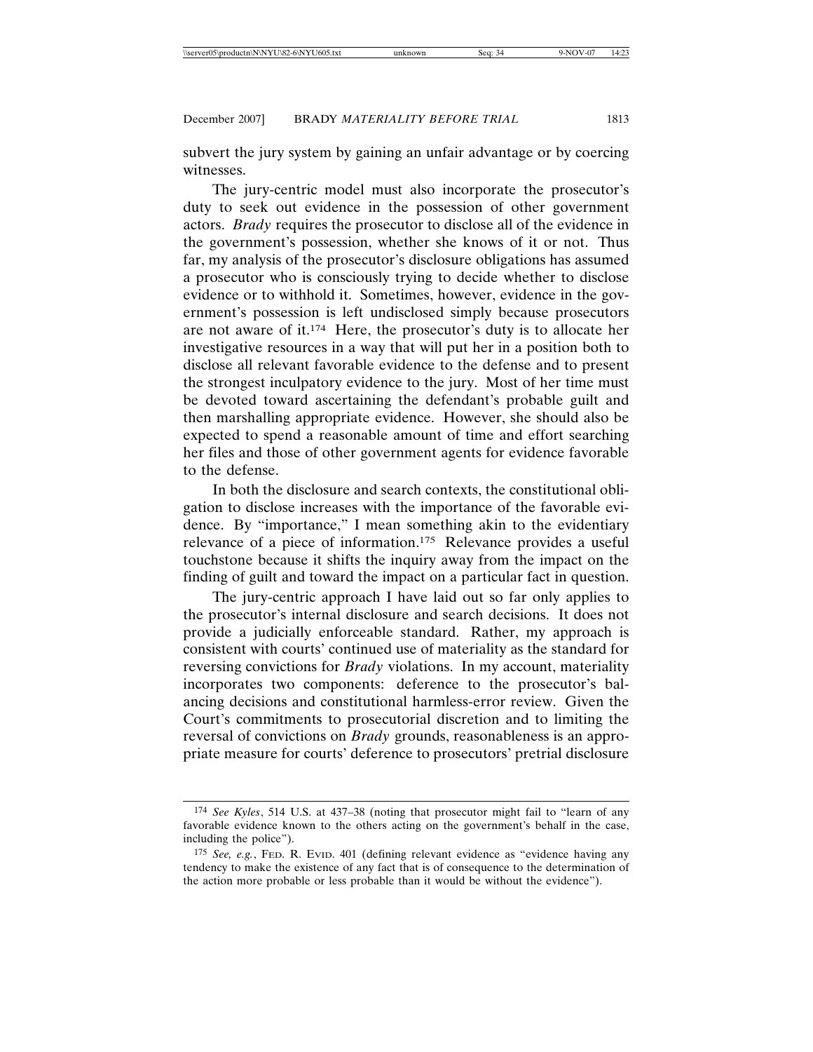subvert the jury system by gaining an unfair advantage or by coercing witnesses.

The jury-centric model must also incorporate the prosecutor's duty to seek out evidence in the possession of other government actors. *Brady* requires the prosecutor to disclose all of the evidence in the government's possession, whether she knows of it or not. Thus far, my analysis of the prosecutor's disclosure obligations has assumed a prosecutor who is consciously trying to decide whether to disclose evidence or to withhold it. Sometimes, however, evidence in the government's possession is left undisclosed simply because prosecutors are not aware of it.174 Here, the prosecutor's duty is to allocate her investigative resources in a way that will put her in a position both to disclose all relevant favorable evidence to the defense and to present the strongest inculpatory evidence to the jury. Most of her time must be devoted toward ascertaining the defendant's probable guilt and then marshalling appropriate evidence. However, she should also be expected to spend a reasonable amount of time and effort searching her files and those of other government agents for evidence favorable to the defense.

In both the disclosure and search contexts, the constitutional obligation to disclose increases with the importance of the favorable evidence. By "importance," I mean something akin to the evidentiary relevance of a piece of information.175 Relevance provides a useful touchstone because it shifts the inquiry away from the impact on the finding of guilt and toward the impact on a particular fact in question.

The jury-centric approach I have laid out so far only applies to the prosecutor's internal disclosure and search decisions. It does not provide a judicially enforceable standard. Rather, my approach is consistent with courts' continued use of materiality as the standard for reversing convictions for *Brady* violations. In my account, materiality incorporates two components: deference to the prosecutor's balancing decisions and constitutional harmless-error review. Given the Court's commitments to prosecutorial discretion and to limiting the reversal of convictions on *Brady* grounds, reasonableness is an appropriate measure for courts' deference to prosecutors' pretrial disclosure

<sup>174</sup> *See Kyles*, 514 U.S. at 437–38 (noting that prosecutor might fail to "learn of any favorable evidence known to the others acting on the government's behalf in the case, including the police").

<sup>175</sup> *See, e.g.*, FED. R. EVID. 401 (defining relevant evidence as "evidence having any tendency to make the existence of any fact that is of consequence to the determination of the action more probable or less probable than it would be without the evidence").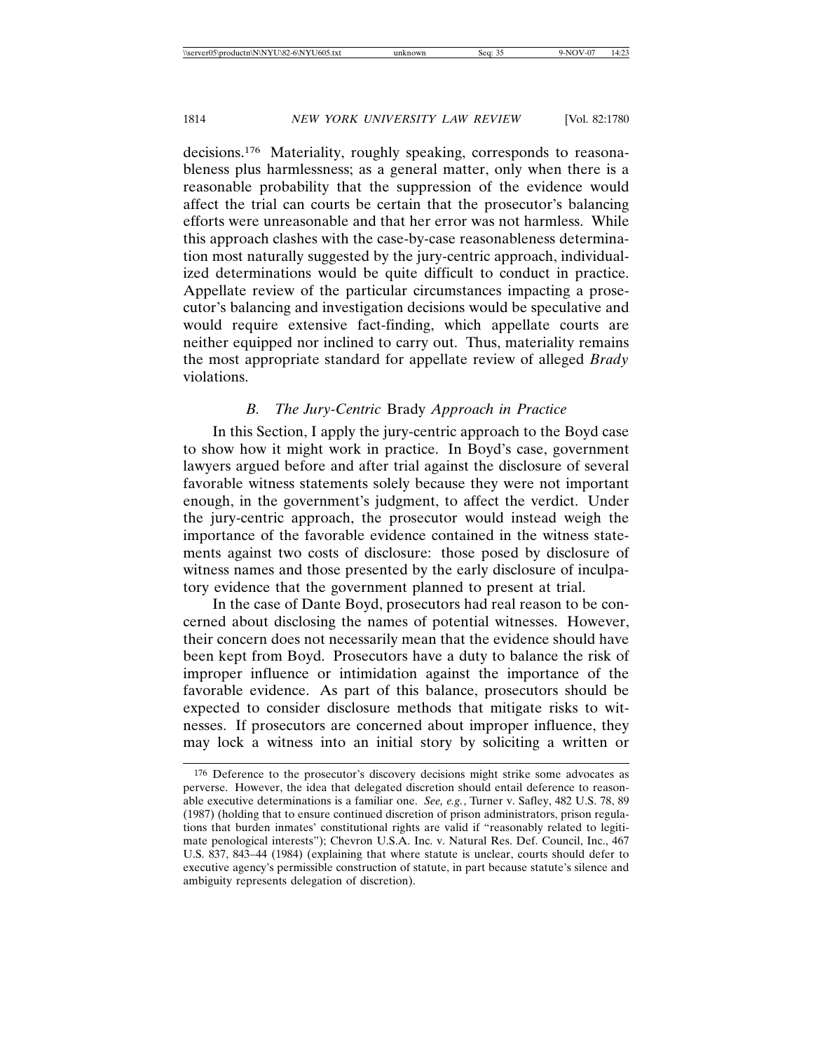decisions.176 Materiality, roughly speaking, corresponds to reasonableness plus harmlessness; as a general matter, only when there is a reasonable probability that the suppression of the evidence would affect the trial can courts be certain that the prosecutor's balancing efforts were unreasonable and that her error was not harmless. While this approach clashes with the case-by-case reasonableness determination most naturally suggested by the jury-centric approach, individualized determinations would be quite difficult to conduct in practice. Appellate review of the particular circumstances impacting a prosecutor's balancing and investigation decisions would be speculative and would require extensive fact-finding, which appellate courts are neither equipped nor inclined to carry out. Thus, materiality remains the most appropriate standard for appellate review of alleged *Brady* violations.

# *B. The Jury-Centric* Brady *Approach in Practice*

In this Section, I apply the jury-centric approach to the Boyd case to show how it might work in practice. In Boyd's case, government lawyers argued before and after trial against the disclosure of several favorable witness statements solely because they were not important enough, in the government's judgment, to affect the verdict. Under the jury-centric approach, the prosecutor would instead weigh the importance of the favorable evidence contained in the witness statements against two costs of disclosure: those posed by disclosure of witness names and those presented by the early disclosure of inculpatory evidence that the government planned to present at trial.

In the case of Dante Boyd, prosecutors had real reason to be concerned about disclosing the names of potential witnesses. However, their concern does not necessarily mean that the evidence should have been kept from Boyd. Prosecutors have a duty to balance the risk of improper influence or intimidation against the importance of the favorable evidence. As part of this balance, prosecutors should be expected to consider disclosure methods that mitigate risks to witnesses. If prosecutors are concerned about improper influence, they may lock a witness into an initial story by soliciting a written or

<sup>176</sup> Deference to the prosecutor's discovery decisions might strike some advocates as perverse. However, the idea that delegated discretion should entail deference to reasonable executive determinations is a familiar one. *See, e.g.*, Turner v. Safley, 482 U.S. 78, 89 (1987) (holding that to ensure continued discretion of prison administrators, prison regulations that burden inmates' constitutional rights are valid if "reasonably related to legitimate penological interests"); Chevron U.S.A. Inc. v. Natural Res. Def. Council, Inc., 467 U.S. 837, 843–44 (1984) (explaining that where statute is unclear, courts should defer to executive agency's permissible construction of statute, in part because statute's silence and ambiguity represents delegation of discretion).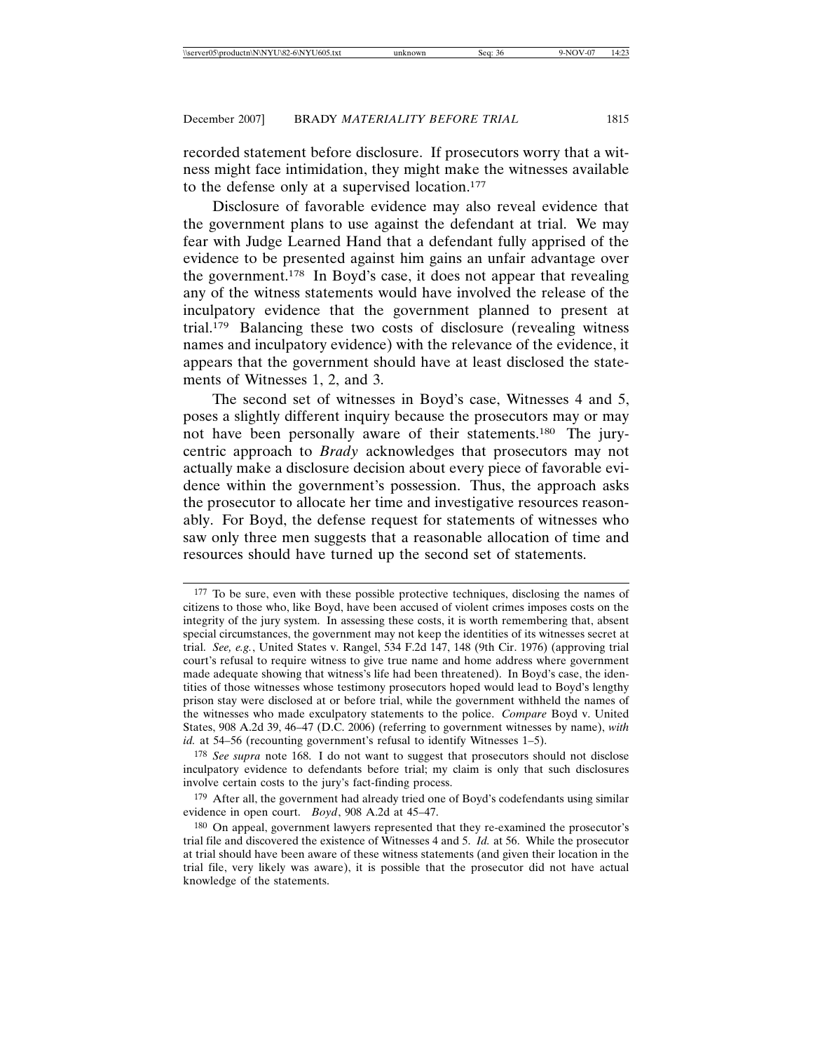recorded statement before disclosure. If prosecutors worry that a witness might face intimidation, they might make the witnesses available to the defense only at a supervised location.177

Disclosure of favorable evidence may also reveal evidence that the government plans to use against the defendant at trial. We may fear with Judge Learned Hand that a defendant fully apprised of the evidence to be presented against him gains an unfair advantage over the government.178 In Boyd's case, it does not appear that revealing any of the witness statements would have involved the release of the inculpatory evidence that the government planned to present at trial.179 Balancing these two costs of disclosure (revealing witness names and inculpatory evidence) with the relevance of the evidence, it appears that the government should have at least disclosed the statements of Witnesses 1, 2, and 3.

The second set of witnesses in Boyd's case, Witnesses 4 and 5, poses a slightly different inquiry because the prosecutors may or may not have been personally aware of their statements.180 The jurycentric approach to *Brady* acknowledges that prosecutors may not actually make a disclosure decision about every piece of favorable evidence within the government's possession. Thus, the approach asks the prosecutor to allocate her time and investigative resources reasonably. For Boyd, the defense request for statements of witnesses who saw only three men suggests that a reasonable allocation of time and resources should have turned up the second set of statements.

179 After all, the government had already tried one of Boyd's codefendants using similar evidence in open court. *Boyd*, 908 A.2d at 45–47.

<sup>&</sup>lt;sup>177</sup> To be sure, even with these possible protective techniques, disclosing the names of citizens to those who, like Boyd, have been accused of violent crimes imposes costs on the integrity of the jury system. In assessing these costs, it is worth remembering that, absent special circumstances, the government may not keep the identities of its witnesses secret at trial. *See, e.g.*, United States v. Rangel, 534 F.2d 147, 148 (9th Cir. 1976) (approving trial court's refusal to require witness to give true name and home address where government made adequate showing that witness's life had been threatened). In Boyd's case, the identities of those witnesses whose testimony prosecutors hoped would lead to Boyd's lengthy prison stay were disclosed at or before trial, while the government withheld the names of the witnesses who made exculpatory statements to the police. *Compare* Boyd v. United States, 908 A.2d 39, 46–47 (D.C. 2006) (referring to government witnesses by name), *with id.* at 54–56 (recounting government's refusal to identify Witnesses 1–5).

<sup>178</sup> *See supra* note 168. I do not want to suggest that prosecutors should not disclose inculpatory evidence to defendants before trial; my claim is only that such disclosures involve certain costs to the jury's fact-finding process.

<sup>180</sup> On appeal, government lawyers represented that they re-examined the prosecutor's trial file and discovered the existence of Witnesses 4 and 5. *Id.* at 56. While the prosecutor at trial should have been aware of these witness statements (and given their location in the trial file, very likely was aware), it is possible that the prosecutor did not have actual knowledge of the statements.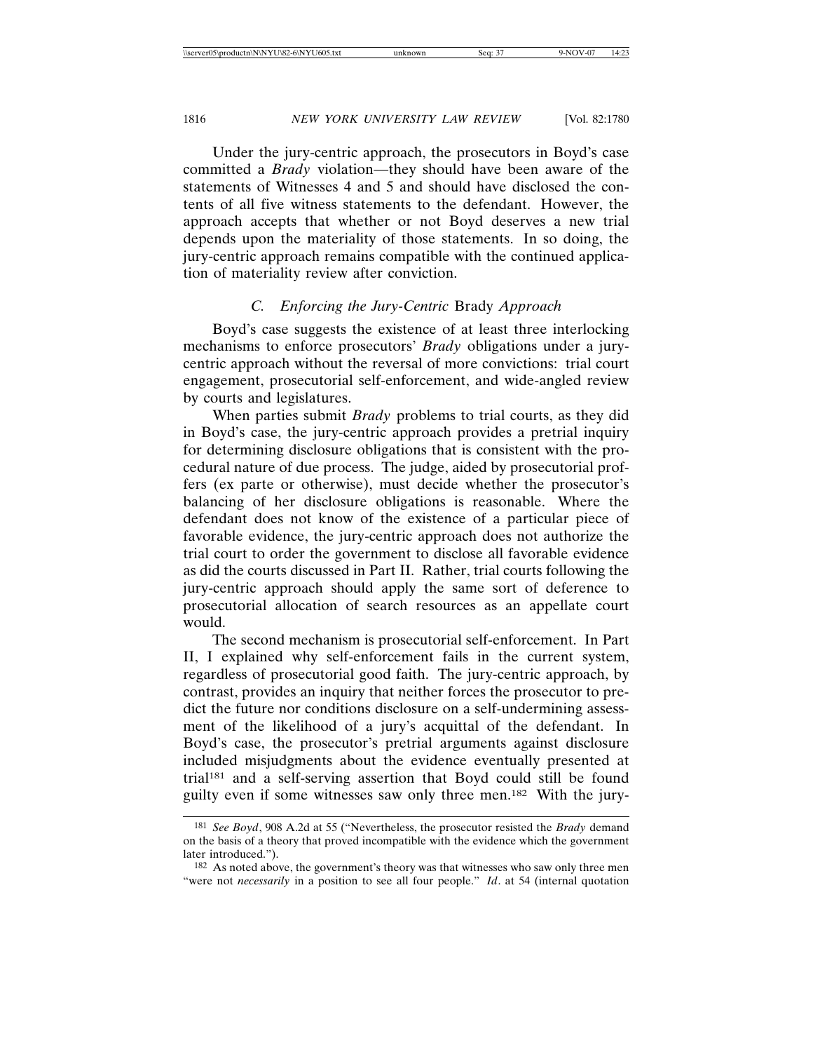Under the jury-centric approach, the prosecutors in Boyd's case committed a *Brady* violation—they should have been aware of the statements of Witnesses 4 and 5 and should have disclosed the contents of all five witness statements to the defendant. However, the approach accepts that whether or not Boyd deserves a new trial depends upon the materiality of those statements. In so doing, the jury-centric approach remains compatible with the continued application of materiality review after conviction.

# *C. Enforcing the Jury-Centric* Brady *Approach*

Boyd's case suggests the existence of at least three interlocking mechanisms to enforce prosecutors' *Brady* obligations under a jurycentric approach without the reversal of more convictions: trial court engagement, prosecutorial self-enforcement, and wide-angled review by courts and legislatures.

When parties submit *Brady* problems to trial courts, as they did in Boyd's case, the jury-centric approach provides a pretrial inquiry for determining disclosure obligations that is consistent with the procedural nature of due process. The judge, aided by prosecutorial proffers (ex parte or otherwise), must decide whether the prosecutor's balancing of her disclosure obligations is reasonable. Where the defendant does not know of the existence of a particular piece of favorable evidence, the jury-centric approach does not authorize the trial court to order the government to disclose all favorable evidence as did the courts discussed in Part II. Rather, trial courts following the jury-centric approach should apply the same sort of deference to prosecutorial allocation of search resources as an appellate court would.

The second mechanism is prosecutorial self-enforcement. In Part II, I explained why self-enforcement fails in the current system, regardless of prosecutorial good faith. The jury-centric approach, by contrast, provides an inquiry that neither forces the prosecutor to predict the future nor conditions disclosure on a self-undermining assessment of the likelihood of a jury's acquittal of the defendant. In Boyd's case, the prosecutor's pretrial arguments against disclosure included misjudgments about the evidence eventually presented at trial181 and a self-serving assertion that Boyd could still be found guilty even if some witnesses saw only three men.182 With the jury-

<sup>181</sup> *See Boyd*, 908 A.2d at 55 ("Nevertheless, the prosecutor resisted the *Brady* demand on the basis of a theory that proved incompatible with the evidence which the government later introduced.").

<sup>182</sup> As noted above, the government's theory was that witnesses who saw only three men "were not *necessarily* in a position to see all four people." *Id*. at 54 (internal quotation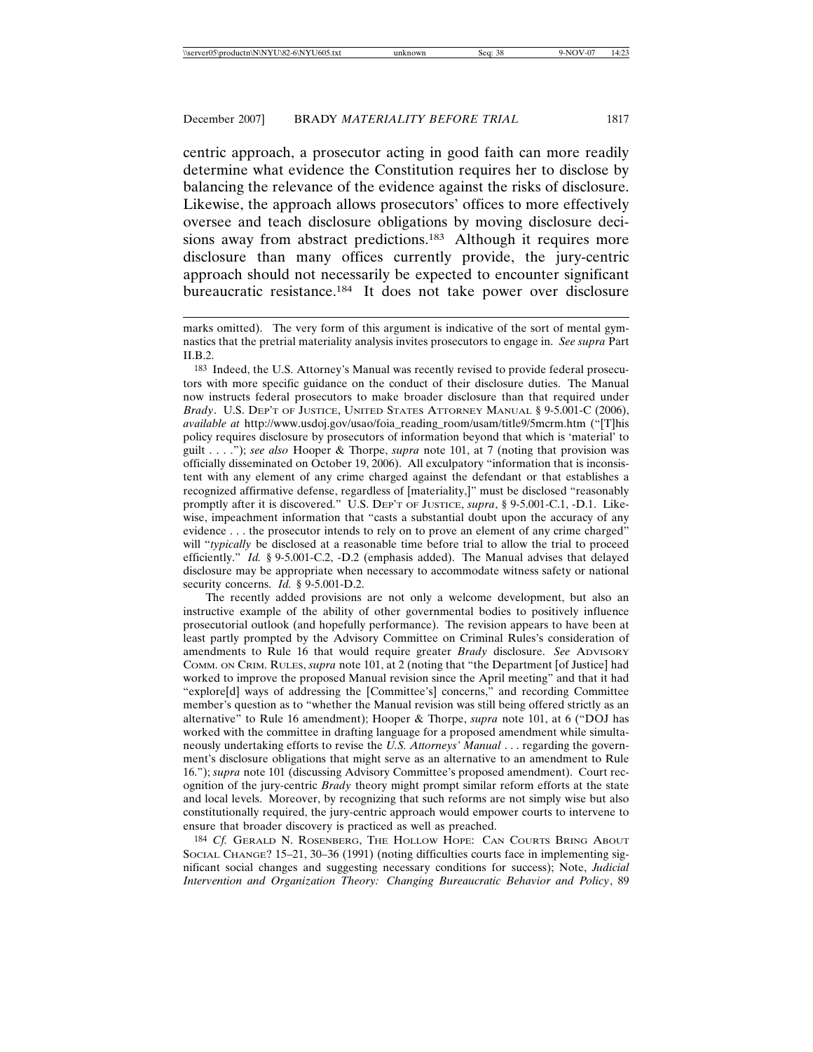centric approach, a prosecutor acting in good faith can more readily determine what evidence the Constitution requires her to disclose by balancing the relevance of the evidence against the risks of disclosure. Likewise, the approach allows prosecutors' offices to more effectively oversee and teach disclosure obligations by moving disclosure decisions away from abstract predictions.<sup>183</sup> Although it requires more disclosure than many offices currently provide, the jury-centric approach should not necessarily be expected to encounter significant bureaucratic resistance.184 It does not take power over disclosure

The recently added provisions are not only a welcome development, but also an instructive example of the ability of other governmental bodies to positively influence prosecutorial outlook (and hopefully performance). The revision appears to have been at least partly prompted by the Advisory Committee on Criminal Rules's consideration of amendments to Rule 16 that would require greater *Brady* disclosure. *See* ADVISORY COMM. ON CRIM. RULES, *supra* note 101, at 2 (noting that "the Department [of Justice] had worked to improve the proposed Manual revision since the April meeting" and that it had "explore[d] ways of addressing the [Committee's] concerns," and recording Committee member's question as to "whether the Manual revision was still being offered strictly as an alternative" to Rule 16 amendment); Hooper & Thorpe, *supra* note 101, at 6 ("DOJ has worked with the committee in drafting language for a proposed amendment while simultaneously undertaking efforts to revise the *U.S. Attorneys' Manual* . . . regarding the government's disclosure obligations that might serve as an alternative to an amendment to Rule 16."); *supra* note 101 (discussing Advisory Committee's proposed amendment). Court recognition of the jury-centric *Brady* theory might prompt similar reform efforts at the state and local levels. Moreover, by recognizing that such reforms are not simply wise but also constitutionally required, the jury-centric approach would empower courts to intervene to ensure that broader discovery is practiced as well as preached.

184 *Cf.* GERALD N. ROSENBERG, THE HOLLOW HOPE: CAN COURTS BRING ABOUT SOCIAL CHANGE? 15–21, 30–36 (1991) (noting difficulties courts face in implementing significant social changes and suggesting necessary conditions for success); Note, *Judicial Intervention and Organization Theory: Changing Bureaucratic Behavior and Policy*, 89

marks omitted). The very form of this argument is indicative of the sort of mental gymnastics that the pretrial materiality analysis invites prosecutors to engage in. *See supra* Part II.B.2.

<sup>183</sup> Indeed, the U.S. Attorney's Manual was recently revised to provide federal prosecutors with more specific guidance on the conduct of their disclosure duties. The Manual now instructs federal prosecutors to make broader disclosure than that required under *Brady*. U.S. DEP'T OF JUSTICE, UNITED STATES ATTORNEY MANUAL § 9-5.001-C (2006), *available at* http://www.usdoj.gov/usao/foia\_reading\_room/usam/title9/5mcrm.htm ("[T]his policy requires disclosure by prosecutors of information beyond that which is 'material' to guilt . . . ."); *see also* Hooper & Thorpe, *supra* note 101, at 7 (noting that provision was officially disseminated on October 19, 2006). All exculpatory "information that is inconsistent with any element of any crime charged against the defendant or that establishes a recognized affirmative defense, regardless of [materiality,]" must be disclosed "reasonably promptly after it is discovered." U.S. DEP'T OF JUSTICE, *supra*, § 9-5.001-C.1, -D.1. Likewise, impeachment information that "casts a substantial doubt upon the accuracy of any evidence . . . the prosecutor intends to rely on to prove an element of any crime charged" will "*typically* be disclosed at a reasonable time before trial to allow the trial to proceed efficiently." *Id.* § 9-5.001-C.2, -D.2 (emphasis added). The Manual advises that delayed disclosure may be appropriate when necessary to accommodate witness safety or national security concerns. *Id.* § 9-5.001-D.2.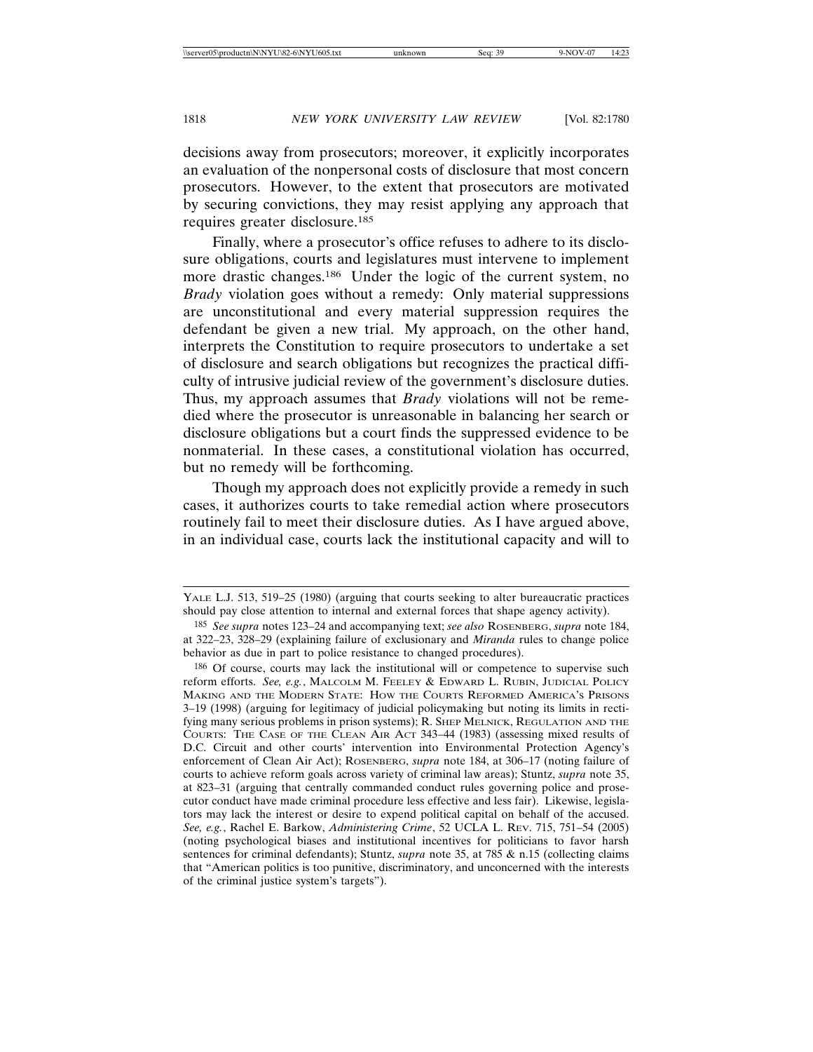decisions away from prosecutors; moreover, it explicitly incorporates an evaluation of the nonpersonal costs of disclosure that most concern prosecutors. However, to the extent that prosecutors are motivated by securing convictions, they may resist applying any approach that requires greater disclosure.185

Finally, where a prosecutor's office refuses to adhere to its disclosure obligations, courts and legislatures must intervene to implement more drastic changes.186 Under the logic of the current system, no *Brady* violation goes without a remedy: Only material suppressions are unconstitutional and every material suppression requires the defendant be given a new trial. My approach, on the other hand, interprets the Constitution to require prosecutors to undertake a set of disclosure and search obligations but recognizes the practical difficulty of intrusive judicial review of the government's disclosure duties. Thus, my approach assumes that *Brady* violations will not be remedied where the prosecutor is unreasonable in balancing her search or disclosure obligations but a court finds the suppressed evidence to be nonmaterial. In these cases, a constitutional violation has occurred, but no remedy will be forthcoming.

Though my approach does not explicitly provide a remedy in such cases, it authorizes courts to take remedial action where prosecutors routinely fail to meet their disclosure duties. As I have argued above, in an individual case, courts lack the institutional capacity and will to

YALE L.J. 513, 519–25 (1980) (arguing that courts seeking to alter bureaucratic practices should pay close attention to internal and external forces that shape agency activity).

<sup>185</sup> *See supra* notes 123–24 and accompanying text; *see also* ROSENBERG, *supra* note 184, at 322–23, 328–29 (explaining failure of exclusionary and *Miranda* rules to change police behavior as due in part to police resistance to changed procedures).

<sup>186</sup> Of course, courts may lack the institutional will or competence to supervise such reform efforts. *See, e.g.*, MALCOLM M. FEELEY & EDWARD L. RUBIN, JUDICIAL POLICY MAKING AND THE MODERN STATE: HOW THE COURTS REFORMED AMERICA'S PRISONS 3–19 (1998) (arguing for legitimacy of judicial policymaking but noting its limits in rectifying many serious problems in prison systems); R. SHEP MELNICK, REGULATION AND THE COURTS: THE CASE OF THE CLEAN AIR ACT 343–44 (1983) (assessing mixed results of D.C. Circuit and other courts' intervention into Environmental Protection Agency's enforcement of Clean Air Act); ROSENBERG, *supra* note 184, at 306–17 (noting failure of courts to achieve reform goals across variety of criminal law areas); Stuntz, *supra* note 35, at 823–31 (arguing that centrally commanded conduct rules governing police and prosecutor conduct have made criminal procedure less effective and less fair). Likewise, legislators may lack the interest or desire to expend political capital on behalf of the accused. *See, e.g.*, Rachel E. Barkow, *Administering Crime*, 52 UCLA L. REV. 715, 751–54 (2005) (noting psychological biases and institutional incentives for politicians to favor harsh sentences for criminal defendants); Stuntz, *supra* note 35, at 785 & n.15 (collecting claims that "American politics is too punitive, discriminatory, and unconcerned with the interests of the criminal justice system's targets").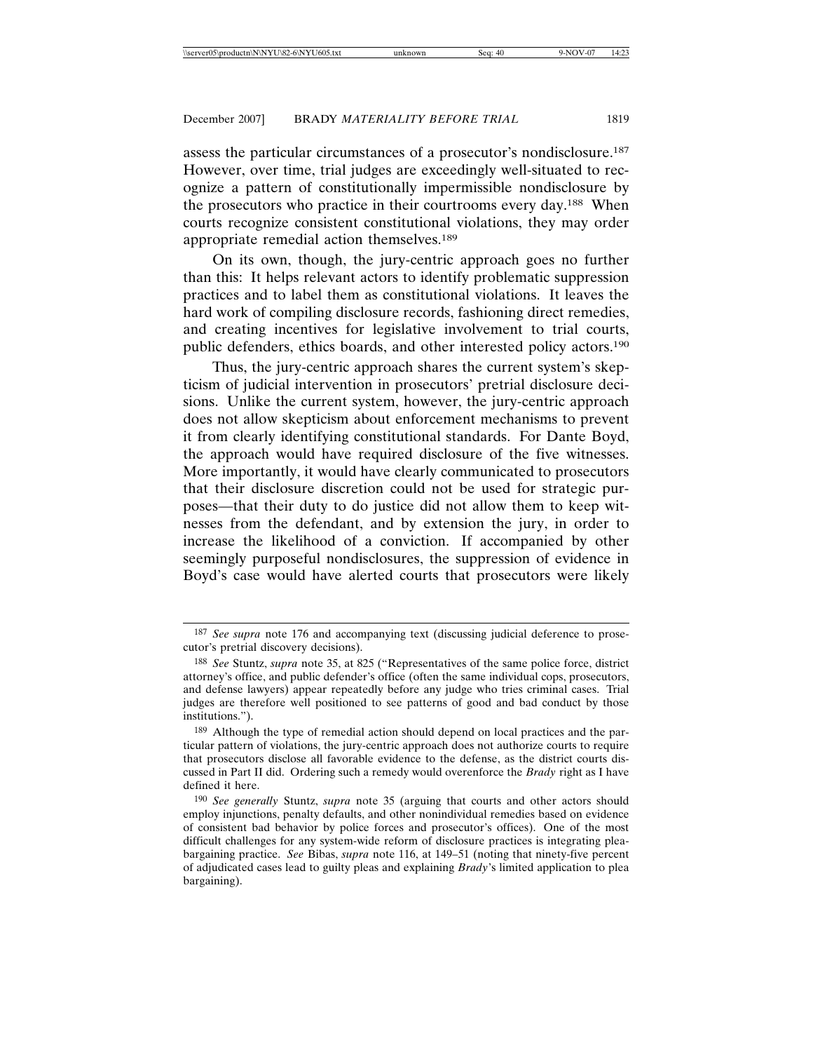assess the particular circumstances of a prosecutor's nondisclosure.187 However, over time, trial judges are exceedingly well-situated to recognize a pattern of constitutionally impermissible nondisclosure by the prosecutors who practice in their courtrooms every day.188 When courts recognize consistent constitutional violations, they may order appropriate remedial action themselves.189

On its own, though, the jury-centric approach goes no further than this: It helps relevant actors to identify problematic suppression practices and to label them as constitutional violations. It leaves the hard work of compiling disclosure records, fashioning direct remedies, and creating incentives for legislative involvement to trial courts, public defenders, ethics boards, and other interested policy actors.190

Thus, the jury-centric approach shares the current system's skepticism of judicial intervention in prosecutors' pretrial disclosure decisions. Unlike the current system, however, the jury-centric approach does not allow skepticism about enforcement mechanisms to prevent it from clearly identifying constitutional standards. For Dante Boyd, the approach would have required disclosure of the five witnesses. More importantly, it would have clearly communicated to prosecutors that their disclosure discretion could not be used for strategic purposes—that their duty to do justice did not allow them to keep witnesses from the defendant, and by extension the jury, in order to increase the likelihood of a conviction. If accompanied by other seemingly purposeful nondisclosures, the suppression of evidence in Boyd's case would have alerted courts that prosecutors were likely

<sup>187</sup> *See supra* note 176 and accompanying text (discussing judicial deference to prosecutor's pretrial discovery decisions).

<sup>188</sup> *See* Stuntz, *supra* note 35, at 825 ("Representatives of the same police force, district attorney's office, and public defender's office (often the same individual cops, prosecutors, and defense lawyers) appear repeatedly before any judge who tries criminal cases. Trial judges are therefore well positioned to see patterns of good and bad conduct by those institutions.").

<sup>189</sup> Although the type of remedial action should depend on local practices and the particular pattern of violations, the jury-centric approach does not authorize courts to require that prosecutors disclose all favorable evidence to the defense, as the district courts discussed in Part II did. Ordering such a remedy would overenforce the *Brady* right as I have defined it here.

<sup>190</sup> *See generally* Stuntz, *supra* note 35 (arguing that courts and other actors should employ injunctions, penalty defaults, and other nonindividual remedies based on evidence of consistent bad behavior by police forces and prosecutor's offices). One of the most difficult challenges for any system-wide reform of disclosure practices is integrating pleabargaining practice. *See* Bibas, *supra* note 116, at 149–51 (noting that ninety-five percent of adjudicated cases lead to guilty pleas and explaining *Brady*'s limited application to plea bargaining).